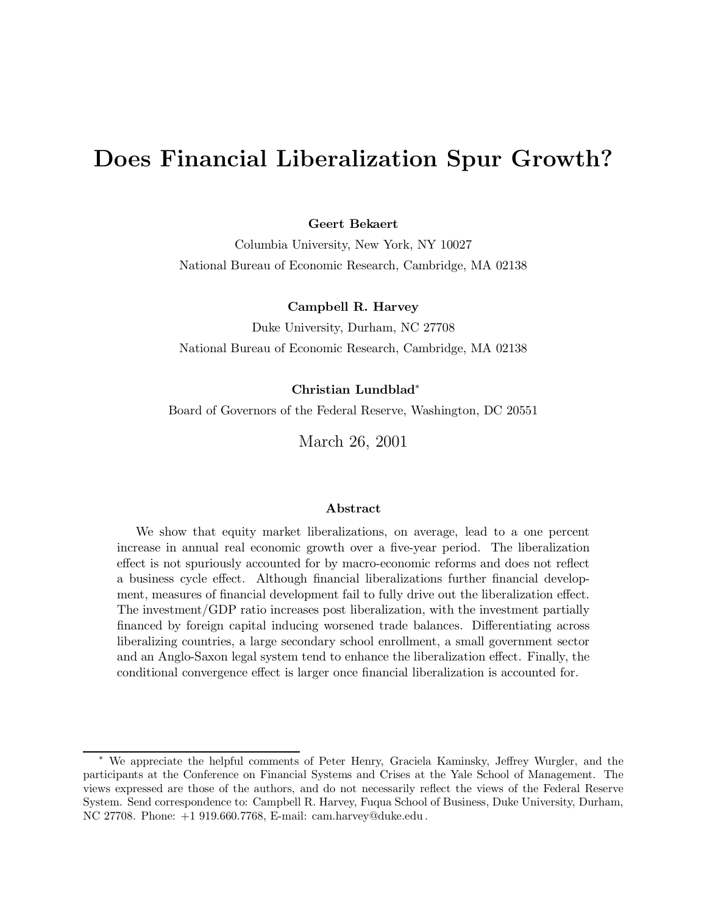# **Does Financial Liberalization Spur Growth?**

**Geert Bekaert**

Columbia University, New York, NY 10027 National Bureau of Economic Research, Cambridge, MA 02138

## **Campbell R. Harvey**

Duke University, Durham, NC 27708 National Bureau of Economic Research, Cambridge, MA 02138

### **Christian Lundblad**∗

Board of Governors of the Federal Reserve, Washington, DC 20551

March 26, 2001

### **Abstract**

We show that equity market liberalizations, on average, lead to a one percent increase in annual real economic growth over a five-year period. The liberalization effect is not spuriously accounted for by macro-economic reforms and does not reflect a business cycle effect. Although financial liberalizations further financial development, measures of financial development fail to fully drive out the liberalization effect. The investment/GDP ratio increases post liberalization, with the investment partially financed by foreign capital inducing worsened trade balances. Differentiating across liberalizing countries, a large secondary school enrollment, a small government sector and an Anglo-Saxon legal system tend to enhance the liberalization effect. Finally, the conditional convergence effect is larger once financial liberalization is accounted for.

<sup>∗</sup> We appreciate the helpful comments of Peter Henry, Graciela Kaminsky, Jeffrey Wurgler, and the participants at the Conference on Financial Systems and Crises at the Yale School of Management. The views expressed are those of the authors, and do not necessarily reflect the views of the Federal Reserve System. Send correspondence to: Campbell R. Harvey, Fuqua School of Business, Duke University, Durham, NC 27708. Phone: +1 919.660.7768, E-mail: cam.harvey@duke.edu.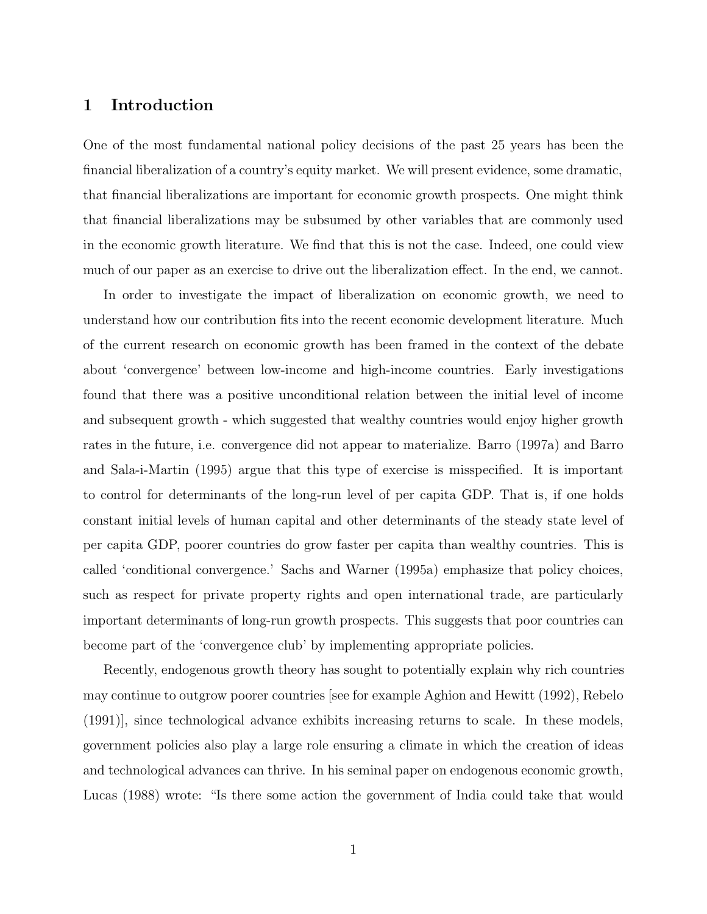# **1 Introduction**

One of the most fundamental national policy decisions of the past 25 years has been the financial liberalization of a country's equity market. We will present evidence, some dramatic, that financial liberalizations are important for economic growth prospects. One might think that financial liberalizations may be subsumed by other variables that are commonly used in the economic growth literature. We find that this is not the case. Indeed, one could view much of our paper as an exercise to drive out the liberalization effect. In the end, we cannot.

In order to investigate the impact of liberalization on economic growth, we need to understand how our contribution fits into the recent economic development literature. Much of the current research on economic growth has been framed in the context of the debate about 'convergence' between low-income and high-income countries. Early investigations found that there was a positive unconditional relation between the initial level of income and subsequent growth - which suggested that wealthy countries would enjoy higher growth rates in the future, i.e. convergence did not appear to materialize. Barro (1997a) and Barro and Sala-i-Martin (1995) argue that this type of exercise is misspecified. It is important to control for determinants of the long-run level of per capita GDP. That is, if one holds constant initial levels of human capital and other determinants of the steady state level of per capita GDP, poorer countries do grow faster per capita than wealthy countries. This is called 'conditional convergence.' Sachs and Warner (1995a) emphasize that policy choices, such as respect for private property rights and open international trade, are particularly important determinants of long-run growth prospects. This suggests that poor countries can become part of the 'convergence club' by implementing appropriate policies.

Recently, endogenous growth theory has sought to potentially explain why rich countries may continue to outgrow poorer countries [see for example Aghion and Hewitt (1992), Rebelo (1991)], since technological advance exhibits increasing returns to scale. In these models, government policies also play a large role ensuring a climate in which the creation of ideas and technological advances can thrive. In his seminal paper on endogenous economic growth, Lucas (1988) wrote: "Is there some action the government of India could take that would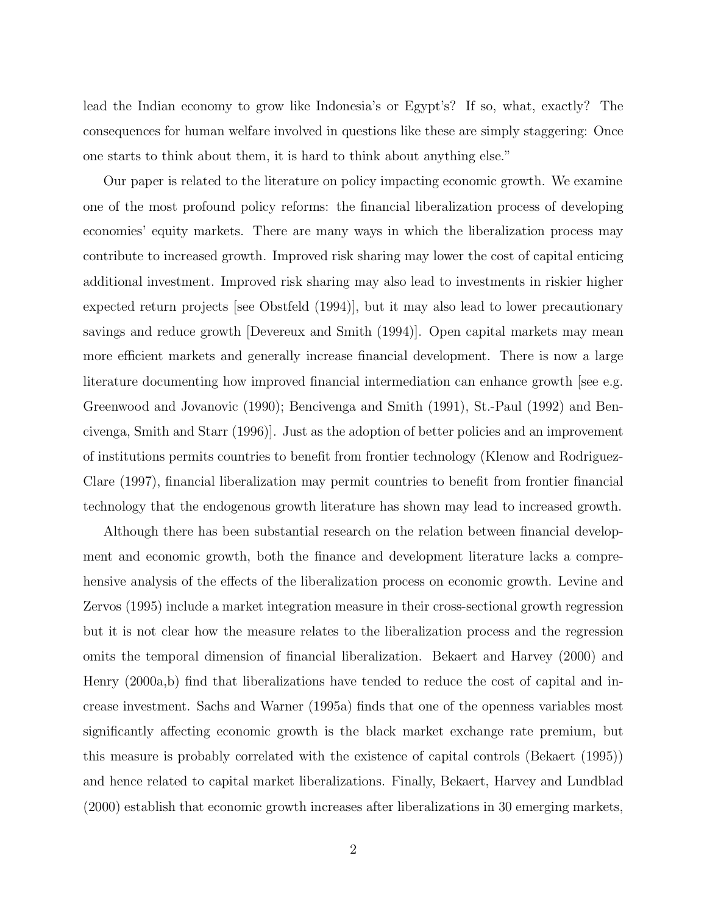lead the Indian economy to grow like Indonesia's or Egypt's? If so, what, exactly? The consequences for human welfare involved in questions like these are simply staggering: Once one starts to think about them, it is hard to think about anything else."

Our paper is related to the literature on policy impacting economic growth. We examine one of the most profound policy reforms: the financial liberalization process of developing economies' equity markets. There are many ways in which the liberalization process may contribute to increased growth. Improved risk sharing may lower the cost of capital enticing additional investment. Improved risk sharing may also lead to investments in riskier higher expected return projects [see Obstfeld (1994)], but it may also lead to lower precautionary savings and reduce growth [Devereux and Smith (1994)]. Open capital markets may mean more efficient markets and generally increase financial development. There is now a large literature documenting how improved financial intermediation can enhance growth [see e.g. Greenwood and Jovanovic (1990); Bencivenga and Smith (1991), St.-Paul (1992) and Bencivenga, Smith and Starr (1996)]. Just as the adoption of better policies and an improvement of institutions permits countries to benefit from frontier technology (Klenow and Rodriguez-Clare (1997), financial liberalization may permit countries to benefit from frontier financial technology that the endogenous growth literature has shown may lead to increased growth.

Although there has been substantial research on the relation between financial development and economic growth, both the finance and development literature lacks a comprehensive analysis of the effects of the liberalization process on economic growth. Levine and Zervos (1995) include a market integration measure in their cross-sectional growth regression but it is not clear how the measure relates to the liberalization process and the regression omits the temporal dimension of financial liberalization. Bekaert and Harvey (2000) and Henry (2000a,b) find that liberalizations have tended to reduce the cost of capital and increase investment. Sachs and Warner (1995a) finds that one of the openness variables most significantly affecting economic growth is the black market exchange rate premium, but this measure is probably correlated with the existence of capital controls (Bekaert (1995)) and hence related to capital market liberalizations. Finally, Bekaert, Harvey and Lundblad (2000) establish that economic growth increases after liberalizations in 30 emerging markets,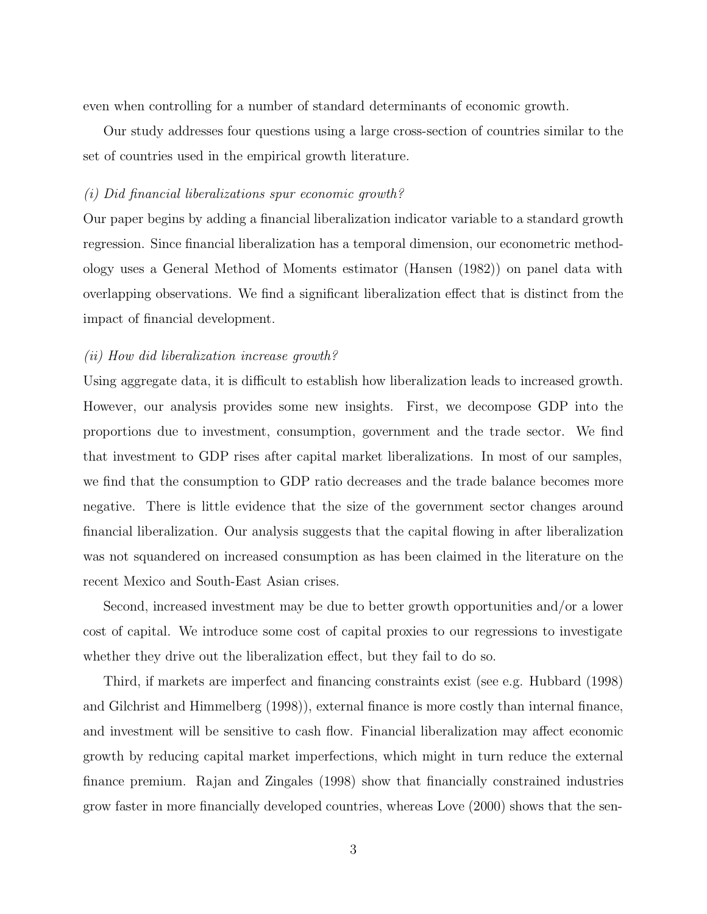even when controlling for a number of standard determinants of economic growth.

Our study addresses four questions using a large cross-section of countries similar to the set of countries used in the empirical growth literature.

### (i) Did financial liberalizations spur economic growth?

Our paper begins by adding a financial liberalization indicator variable to a standard growth regression. Since financial liberalization has a temporal dimension, our econometric methodology uses a General Method of Moments estimator (Hansen (1982)) on panel data with overlapping observations. We find a significant liberalization effect that is distinct from the impact of financial development.

## (ii) How did liberalization increase growth?

Using aggregate data, it is difficult to establish how liberalization leads to increased growth. However, our analysis provides some new insights. First, we decompose GDP into the proportions due to investment, consumption, government and the trade sector. We find that investment to GDP rises after capital market liberalizations. In most of our samples, we find that the consumption to GDP ratio decreases and the trade balance becomes more negative. There is little evidence that the size of the government sector changes around financial liberalization. Our analysis suggests that the capital flowing in after liberalization was not squandered on increased consumption as has been claimed in the literature on the recent Mexico and South-East Asian crises.

Second, increased investment may be due to better growth opportunities and/or a lower cost of capital. We introduce some cost of capital proxies to our regressions to investigate whether they drive out the liberalization effect, but they fail to do so.

Third, if markets are imperfect and financing constraints exist (see e.g. Hubbard (1998) and Gilchrist and Himmelberg (1998)), external finance is more costly than internal finance, and investment will be sensitive to cash flow. Financial liberalization may affect economic growth by reducing capital market imperfections, which might in turn reduce the external finance premium. Rajan and Zingales (1998) show that financially constrained industries grow faster in more financially developed countries, whereas Love (2000) shows that the sen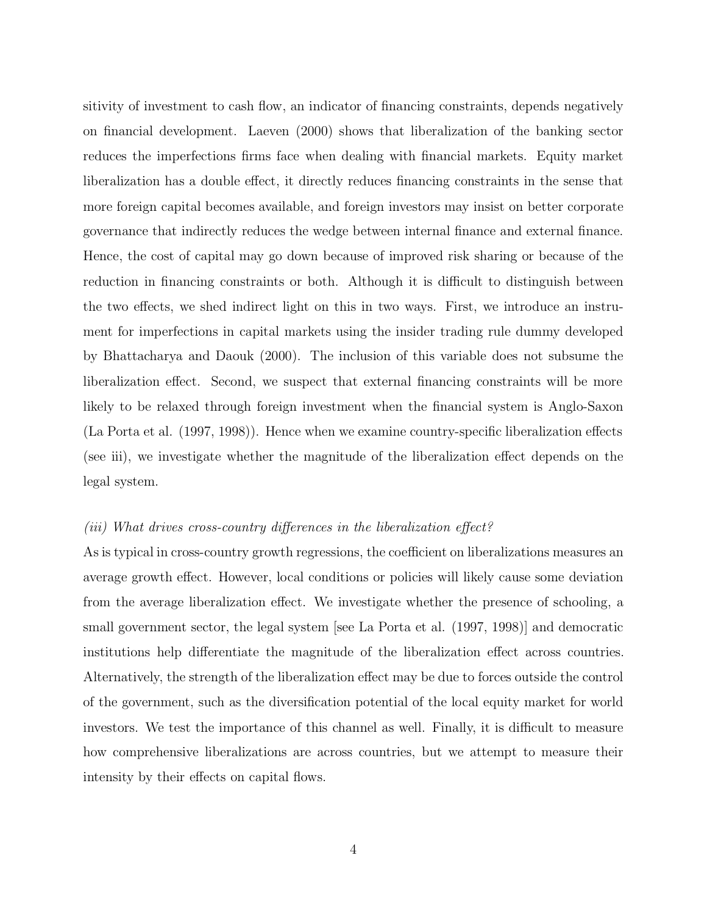sitivity of investment to cash flow, an indicator of financing constraints, depends negatively on financial development. Laeven (2000) shows that liberalization of the banking sector reduces the imperfections firms face when dealing with financial markets. Equity market liberalization has a double effect, it directly reduces financing constraints in the sense that more foreign capital becomes available, and foreign investors may insist on better corporate governance that indirectly reduces the wedge between internal finance and external finance. Hence, the cost of capital may go down because of improved risk sharing or because of the reduction in financing constraints or both. Although it is difficult to distinguish between the two effects, we shed indirect light on this in two ways. First, we introduce an instrument for imperfections in capital markets using the insider trading rule dummy developed by Bhattacharya and Daouk (2000). The inclusion of this variable does not subsume the liberalization effect. Second, we suspect that external financing constraints will be more likely to be relaxed through foreign investment when the financial system is Anglo-Saxon (La Porta et al. (1997, 1998)). Hence when we examine country-specific liberalization effects (see iii), we investigate whether the magnitude of the liberalization effect depends on the legal system.

### (iii) What drives cross-country differences in the liberalization effect?

As is typical in cross-country growth regressions, the coefficient on liberalizations measures an average growth effect. However, local conditions or policies will likely cause some deviation from the average liberalization effect. We investigate whether the presence of schooling, a small government sector, the legal system [see La Porta et al. (1997, 1998)] and democratic institutions help differentiate the magnitude of the liberalization effect across countries. Alternatively, the strength of the liberalization effect may be due to forces outside the control of the government, such as the diversification potential of the local equity market for world investors. We test the importance of this channel as well. Finally, it is difficult to measure how comprehensive liberalizations are across countries, but we attempt to measure their intensity by their effects on capital flows.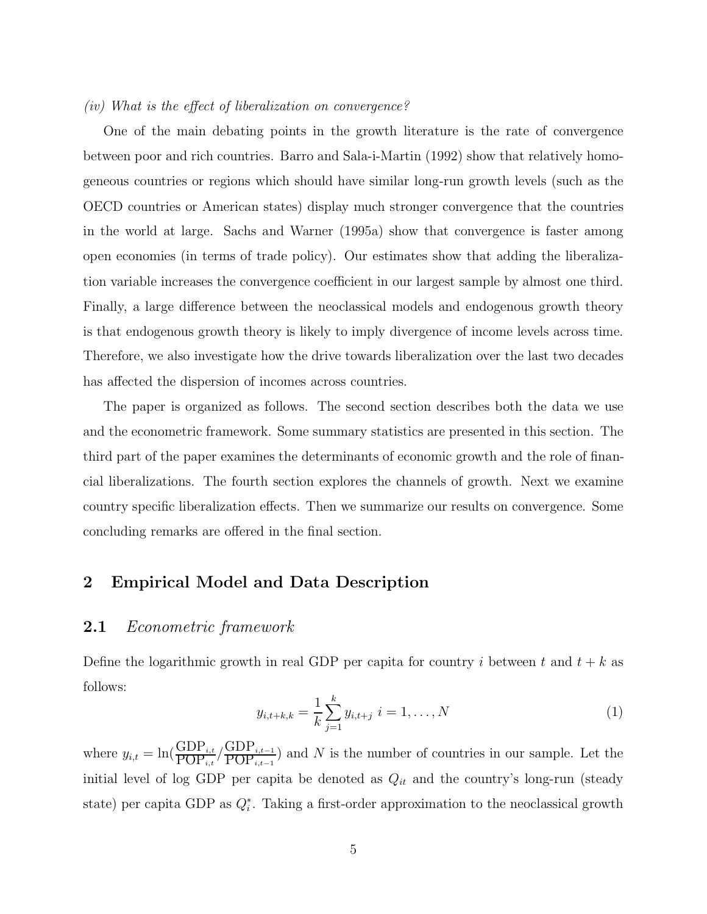### (iv) What is the effect of liberalization on convergence?

One of the main debating points in the growth literature is the rate of convergence between poor and rich countries. Barro and Sala-i-Martin (1992) show that relatively homogeneous countries or regions which should have similar long-run growth levels (such as the OECD countries or American states) display much stronger convergence that the countries in the world at large. Sachs and Warner (1995a) show that convergence is faster among open economies (in terms of trade policy). Our estimates show that adding the liberalization variable increases the convergence coefficient in our largest sample by almost one third. Finally, a large difference between the neoclassical models and endogenous growth theory is that endogenous growth theory is likely to imply divergence of income levels across time. Therefore, we also investigate how the drive towards liberalization over the last two decades has affected the dispersion of incomes across countries.

The paper is organized as follows. The second section describes both the data we use and the econometric framework. Some summary statistics are presented in this section. The third part of the paper examines the determinants of economic growth and the role of financial liberalizations. The fourth section explores the channels of growth. Next we examine country specific liberalization effects. Then we summarize our results on convergence. Some concluding remarks are offered in the final section.

# **2 Empirical Model and Data Description**

# **2.1** Econometric framework

Define the logarithmic growth in real GDP per capita for country i between t and  $t + k$  as follows:

$$
y_{i,t+k,k} = \frac{1}{k} \sum_{j=1}^{k} y_{i,t+j} \ i = 1, \dots, N \tag{1}
$$

where  $y_{i,t} = \ln(\frac{\text{GDP}_{i,t}}{\text{POP}_{i,t}} / \frac{\text{GDP}_{i,t-1}}{\text{POP}_{i,t-1}})$  and N is the number of countries in our sample. Let the initial level of log GDP per capita be denoted as  $Q_{it}$  and the country's long-run (steady state) per capita GDP as  $Q_i^*$ . Taking a first-order approximation to the neoclassical growth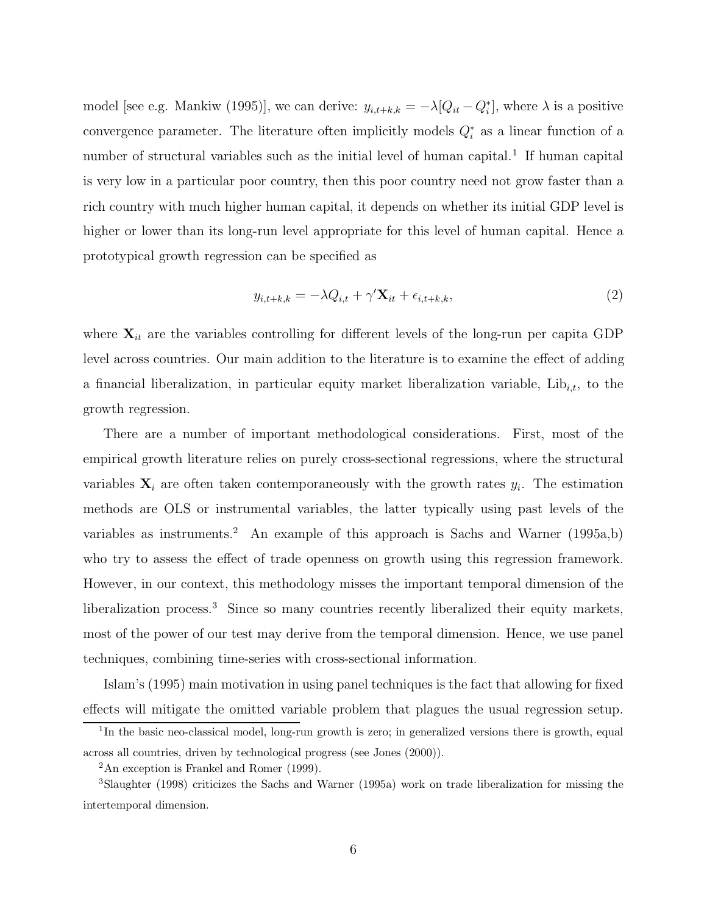model [see e.g. Mankiw (1995)], we can derive:  $y_{i,t+k,k} = -\lambda [Q_{it} - Q_i^*]$ , where  $\lambda$  is a positive convergence parameter. The literature often implicitly models  $Q_i^*$  as a linear function of a number of structural variables such as the initial level of human capital.<sup>1</sup> If human capital is very low in a particular poor country, then this poor country need not grow faster than a rich country with much higher human capital, it depends on whether its initial GDP level is higher or lower than its long-run level appropriate for this level of human capital. Hence a prototypical growth regression can be specified as

$$
y_{i,t+k,k} = -\lambda Q_{i,t} + \gamma' \mathbf{X}_{it} + \epsilon_{i,t+k,k},\tag{2}
$$

where  $\mathbf{X}_{it}$  are the variables controlling for different levels of the long-run per capita GDP level across countries. Our main addition to the literature is to examine the effect of adding a financial liberalization, in particular equity market liberalization variable,  $\text{Lib}_{i,t}$ , to the growth regression.

There are a number of important methodological considerations. First, most of the empirical growth literature relies on purely cross-sectional regressions, where the structural variables  $X_i$  are often taken contemporaneously with the growth rates  $y_i$ . The estimation methods are OLS or instrumental variables, the latter typically using past levels of the variables as instruments.<sup>2</sup> An example of this approach is Sachs and Warner (1995a,b) who try to assess the effect of trade openness on growth using this regression framework. However, in our context, this methodology misses the important temporal dimension of the liberalization process.<sup>3</sup> Since so many countries recently liberalized their equity markets, most of the power of our test may derive from the temporal dimension. Hence, we use panel techniques, combining time-series with cross-sectional information.

Islam's (1995) main motivation in using panel techniques is the fact that allowing for fixed effects will mitigate the omitted variable problem that plagues the usual regression setup.

<sup>&</sup>lt;sup>1</sup>In the basic neo-classical model, long-run growth is zero; in generalized versions there is growth, equal across all countries, driven by technological progress (see Jones (2000)).

 $2$ An exception is Frankel and Romer (1999).

<sup>3</sup>Slaughter (1998) criticizes the Sachs and Warner (1995a) work on trade liberalization for missing the intertemporal dimension.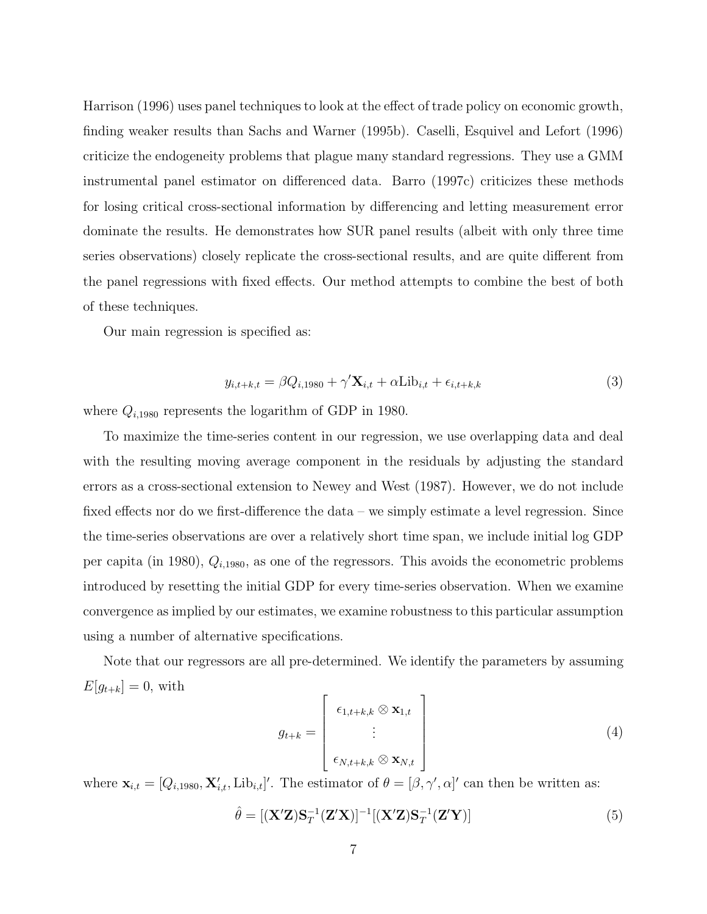Harrison (1996) uses panel techniques to look at the effect of trade policy on economic growth, finding weaker results than Sachs and Warner (1995b). Caselli, Esquivel and Lefort (1996) criticize the endogeneity problems that plague many standard regressions. They use a GMM instrumental panel estimator on differenced data. Barro (1997c) criticizes these methods for losing critical cross-sectional information by differencing and letting measurement error dominate the results. He demonstrates how SUR panel results (albeit with only three time series observations) closely replicate the cross-sectional results, and are quite different from the panel regressions with fixed effects. Our method attempts to combine the best of both of these techniques.

Our main regression is specified as:

$$
y_{i,t+k,t} = \beta Q_{i,1980} + \gamma' \mathbf{X}_{i,t} + \alpha \text{Lib}_{i,t} + \epsilon_{i,t+k,k}
$$
\n
$$
\tag{3}
$$

where  $Q_{i,1980}$  represents the logarithm of GDP in 1980.

To maximize the time-series content in our regression, we use overlapping data and deal with the resulting moving average component in the residuals by adjusting the standard errors as a cross-sectional extension to Newey and West (1987). However, we do not include fixed effects nor do we first-difference the data – we simply estimate a level regression. Since the time-series observations are over a relatively short time span, we include initial log GDP per capita (in 1980),  $Q_{i,1980}$ , as one of the regressors. This avoids the econometric problems introduced by resetting the initial GDP for every time-series observation. When we examine convergence as implied by our estimates, we examine robustness to this particular assumption using a number of alternative specifications.

Note that our regressors are all pre-determined. We identify the parameters by assuming  $E[g_{t+k}] = 0$ , with

$$
g_{t+k} = \begin{bmatrix} \epsilon_{1,t+k,k} \otimes \mathbf{x}_{1,t} \\ \vdots \\ \epsilon_{N,t+k,k} \otimes \mathbf{x}_{N,t} \end{bmatrix}
$$
 (4)

where  $\mathbf{x}_{i,t} = [Q_{i,1980}, \mathbf{X}'_{i,t}, \text{Lib}_{i,t}]'$ . The estimator of  $\theta = [\beta, \gamma', \alpha]'$  can then be written as:

$$
\hat{\theta} = [(\mathbf{X'Z})\mathbf{S}_T^{-1}(\mathbf{Z'X})]^{-1}[(\mathbf{X'Z})\mathbf{S}_T^{-1}(\mathbf{Z'Y})]
$$
\n(5)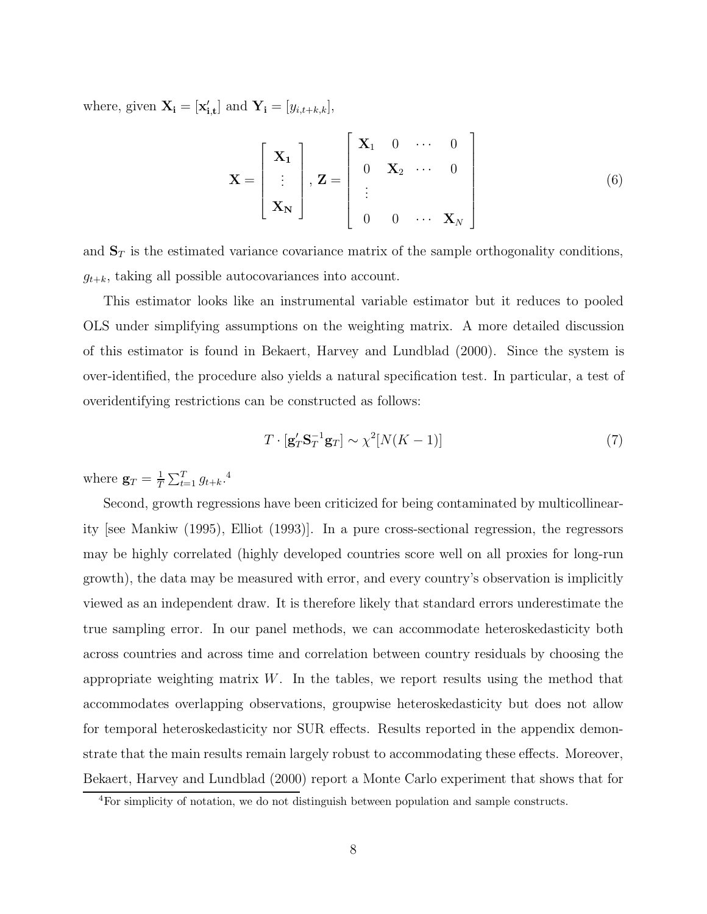where, given  $\mathbf{X_i} = [\mathbf{x'_{i,t}}]$  and  $\mathbf{Y_i} = [y_{i,t+k,k}],$ 

$$
\mathbf{X} = \begin{bmatrix} \mathbf{X_1} \\ \vdots \\ \mathbf{X_N} \end{bmatrix}, \mathbf{Z} = \begin{bmatrix} \mathbf{X_1} & 0 & \cdots & 0 \\ 0 & \mathbf{X_2} & \cdots & 0 \\ \vdots & & & \\ 0 & 0 & \cdots & \mathbf{X_N} \end{bmatrix}
$$
(6)

and  $\mathbf{S}_T$  is the estimated variance covariance matrix of the sample orthogonality conditions,  $g_{t+k}$ , taking all possible autocovariances into account.

This estimator looks like an instrumental variable estimator but it reduces to pooled OLS under simplifying assumptions on the weighting matrix. A more detailed discussion of this estimator is found in Bekaert, Harvey and Lundblad (2000). Since the system is over-identified, the procedure also yields a natural specification test. In particular, a test of overidentifying restrictions can be constructed as follows:

$$
T \cdot \left[\mathbf{g}'_T \mathbf{S}_T^{-1} \mathbf{g}_T\right] \sim \chi^2 [N(K-1)] \tag{7}
$$

where  $\mathbf{g}_T = \frac{1}{T} \sum_{t=1}^T g_{t+k}$ .<sup>4</sup>

Second, growth regressions have been criticized for being contaminated by multicollinearity [see Mankiw (1995), Elliot (1993)]. In a pure cross-sectional regression, the regressors may be highly correlated (highly developed countries score well on all proxies for long-run growth), the data may be measured with error, and every country's observation is implicitly viewed as an independent draw. It is therefore likely that standard errors underestimate the true sampling error. In our panel methods, we can accommodate heteroskedasticity both across countries and across time and correlation between country residuals by choosing the appropriate weighting matrix  $W$ . In the tables, we report results using the method that accommodates overlapping observations, groupwise heteroskedasticity but does not allow for temporal heteroskedasticity nor SUR effects. Results reported in the appendix demonstrate that the main results remain largely robust to accommodating these effects. Moreover, Bekaert, Harvey and Lundblad (2000) report a Monte Carlo experiment that shows that for

<sup>4</sup>For simplicity of notation, we do not distinguish between population and sample constructs.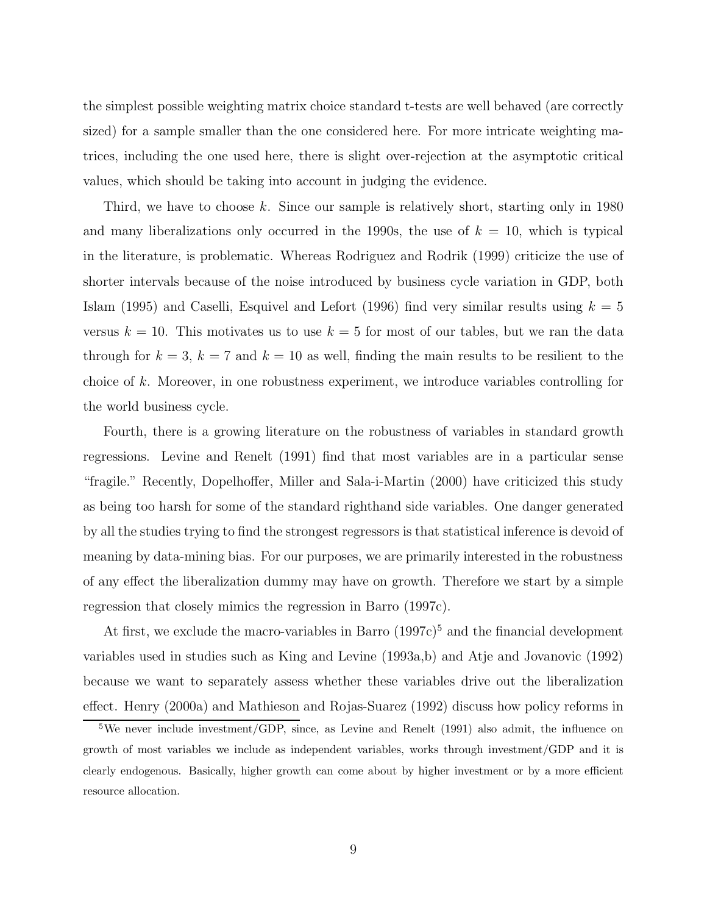the simplest possible weighting matrix choice standard t-tests are well behaved (are correctly sized) for a sample smaller than the one considered here. For more intricate weighting matrices, including the one used here, there is slight over-rejection at the asymptotic critical values, which should be taking into account in judging the evidence.

Third, we have to choose k. Since our sample is relatively short, starting only in  $1980$ and many liberalizations only occurred in the 1990s, the use of  $k = 10$ , which is typical in the literature, is problematic. Whereas Rodriguez and Rodrik (1999) criticize the use of shorter intervals because of the noise introduced by business cycle variation in GDP, both Islam (1995) and Caselli, Esquivel and Lefort (1996) find very similar results using  $k = 5$ versus  $k = 10$ . This motivates us to use  $k = 5$  for most of our tables, but we ran the data through for  $k = 3$ ,  $k = 7$  and  $k = 10$  as well, finding the main results to be resilient to the choice of k. Moreover, in one robustness experiment, we introduce variables controlling for the world business cycle.

Fourth, there is a growing literature on the robustness of variables in standard growth regressions. Levine and Renelt (1991) find that most variables are in a particular sense "fragile." Recently, Dopelhoffer, Miller and Sala-i-Martin (2000) have criticized this study as being too harsh for some of the standard righthand side variables. One danger generated by all the studies trying to find the strongest regressors is that statistical inference is devoid of meaning by data-mining bias. For our purposes, we are primarily interested in the robustness of any effect the liberalization dummy may have on growth. Therefore we start by a simple regression that closely mimics the regression in Barro (1997c).

At first, we exclude the macro-variables in Barro  $(1997c)^5$  and the financial development variables used in studies such as King and Levine (1993a,b) and Atje and Jovanovic (1992) because we want to separately assess whether these variables drive out the liberalization effect. Henry (2000a) and Mathieson and Rojas-Suarez (1992) discuss how policy reforms in

<sup>&</sup>lt;sup>5</sup>We never include investment/GDP, since, as Levine and Renelt (1991) also admit, the influence on growth of most variables we include as independent variables, works through investment/GDP and it is clearly endogenous. Basically, higher growth can come about by higher investment or by a more efficient resource allocation.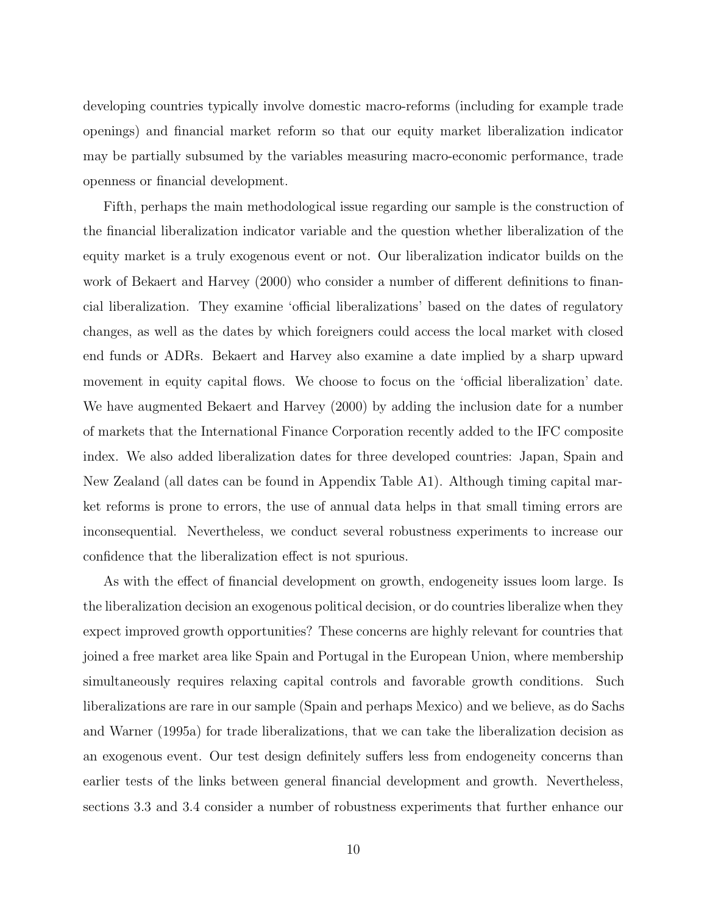developing countries typically involve domestic macro-reforms (including for example trade openings) and financial market reform so that our equity market liberalization indicator may be partially subsumed by the variables measuring macro-economic performance, trade openness or financial development.

Fifth, perhaps the main methodological issue regarding our sample is the construction of the financial liberalization indicator variable and the question whether liberalization of the equity market is a truly exogenous event or not. Our liberalization indicator builds on the work of Bekaert and Harvey (2000) who consider a number of different definitions to financial liberalization. They examine 'official liberalizations' based on the dates of regulatory changes, as well as the dates by which foreigners could access the local market with closed end funds or ADRs. Bekaert and Harvey also examine a date implied by a sharp upward movement in equity capital flows. We choose to focus on the 'official liberalization' date. We have augmented Bekaert and Harvey (2000) by adding the inclusion date for a number of markets that the International Finance Corporation recently added to the IFC composite index. We also added liberalization dates for three developed countries: Japan, Spain and New Zealand (all dates can be found in Appendix Table A1). Although timing capital market reforms is prone to errors, the use of annual data helps in that small timing errors are inconsequential. Nevertheless, we conduct several robustness experiments to increase our confidence that the liberalization effect is not spurious.

As with the effect of financial development on growth, endogeneity issues loom large. Is the liberalization decision an exogenous political decision, or do countries liberalize when they expect improved growth opportunities? These concerns are highly relevant for countries that joined a free market area like Spain and Portugal in the European Union, where membership simultaneously requires relaxing capital controls and favorable growth conditions. Such liberalizations are rare in our sample (Spain and perhaps Mexico) and we believe, as do Sachs and Warner (1995a) for trade liberalizations, that we can take the liberalization decision as an exogenous event. Our test design definitely suffers less from endogeneity concerns than earlier tests of the links between general financial development and growth. Nevertheless, sections 3.3 and 3.4 consider a number of robustness experiments that further enhance our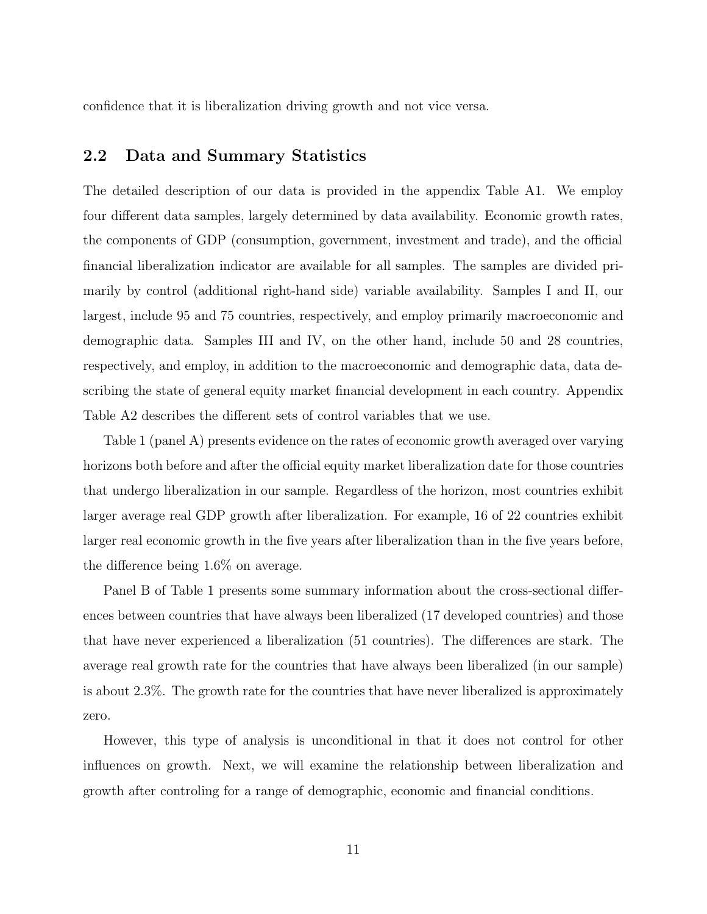confidence that it is liberalization driving growth and not vice versa.

# **2.2 Data and Summary Statistics**

The detailed description of our data is provided in the appendix Table A1. We employ four different data samples, largely determined by data availability. Economic growth rates, the components of GDP (consumption, government, investment and trade), and the official financial liberalization indicator are available for all samples. The samples are divided primarily by control (additional right-hand side) variable availability. Samples I and II, our largest, include 95 and 75 countries, respectively, and employ primarily macroeconomic and demographic data. Samples III and IV, on the other hand, include 50 and 28 countries, respectively, and employ, in addition to the macroeconomic and demographic data, data describing the state of general equity market financial development in each country. Appendix Table A2 describes the different sets of control variables that we use.

Table 1 (panel A) presents evidence on the rates of economic growth averaged over varying horizons both before and after the official equity market liberalization date for those countries that undergo liberalization in our sample. Regardless of the horizon, most countries exhibit larger average real GDP growth after liberalization. For example, 16 of 22 countries exhibit larger real economic growth in the five years after liberalization than in the five years before, the difference being 1.6% on average.

Panel B of Table 1 presents some summary information about the cross-sectional differences between countries that have always been liberalized (17 developed countries) and those that have never experienced a liberalization (51 countries). The differences are stark. The average real growth rate for the countries that have always been liberalized (in our sample) is about 2.3%. The growth rate for the countries that have never liberalized is approximately zero.

However, this type of analysis is unconditional in that it does not control for other influences on growth. Next, we will examine the relationship between liberalization and growth after controling for a range of demographic, economic and financial conditions.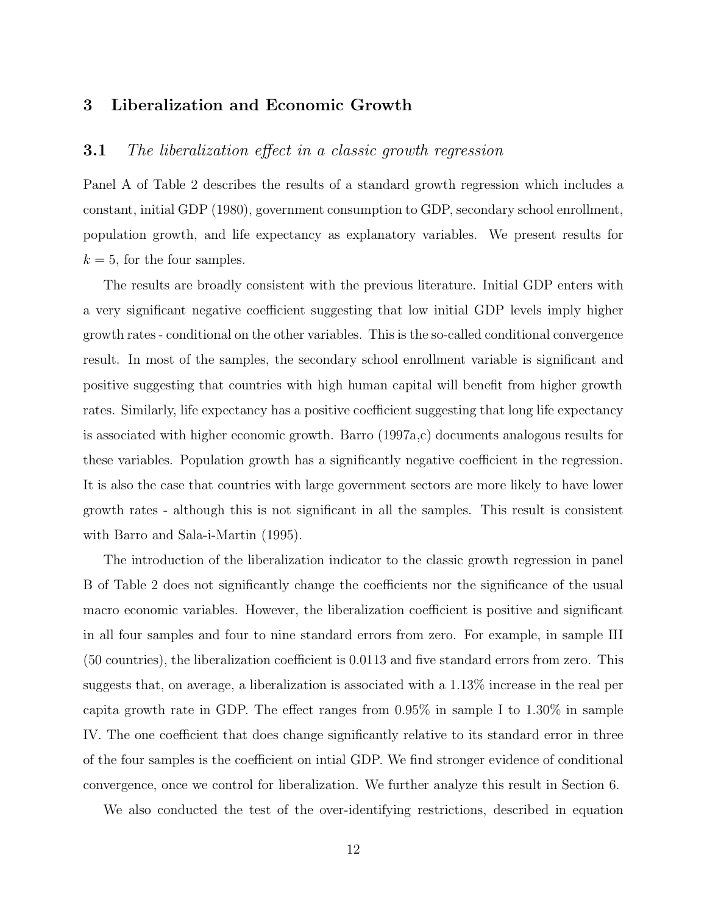# **3 Liberalization and Economic Growth**

# **3.1** The liberalization effect in a classic growth regression

Panel A of Table 2 describes the results of a standard growth regression which includes a constant, initial GDP (1980), government consumption to GDP, secondary school enrollment, population growth, and life expectancy as explanatory variables. We present results for  $k = 5$ , for the four samples.

The results are broadly consistent with the previous literature. Initial GDP enters with a very significant negative coefficient suggesting that low initial GDP levels imply higher growth rates - conditional on the other variables. This is the so-called conditional convergence result. In most of the samples, the secondary school enrollment variable is significant and positive suggesting that countries with high human capital will benefit from higher growth rates. Similarly, life expectancy has a positive coefficient suggesting that long life expectancy is associated with higher economic growth. Barro (1997a,c) documents analogous results for these variables. Population growth has a significantly negative coefficient in the regression. It is also the case that countries with large government sectors are more likely to have lower growth rates - although this is not significant in all the samples. This result is consistent with Barro and Sala-i-Martin (1995).

The introduction of the liberalization indicator to the classic growth regression in panel B of Table 2 does not significantly change the coefficients nor the significance of the usual macro economic variables. However, the liberalization coefficient is positive and significant in all four samples and four to nine standard errors from zero. For example, in sample III (50 countries), the liberalization coefficient is 0.0113 and five standard errors from zero. This suggests that, on average, a liberalization is associated with a 1.13% increase in the real per capita growth rate in GDP. The effect ranges from 0.95% in sample I to 1.30% in sample IV. The one coefficient that does change significantly relative to its standard error in three of the four samples is the coefficient on intial GDP. We find stronger evidence of conditional convergence, once we control for liberalization. We further analyze this result in Section 6.

We also conducted the test of the over-identifying restrictions, described in equation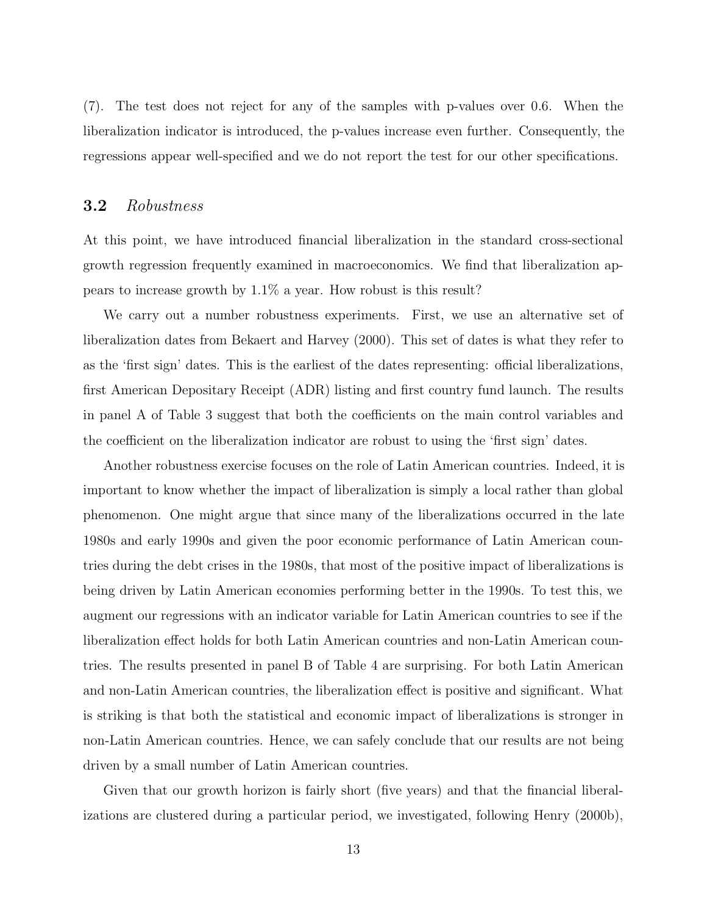(7). The test does not reject for any of the samples with p-values over 0.6. When the liberalization indicator is introduced, the p-values increase even further. Consequently, the regressions appear well-specified and we do not report the test for our other specifications.

# **3.2** Robustness

At this point, we have introduced financial liberalization in the standard cross-sectional growth regression frequently examined in macroeconomics. We find that liberalization appears to increase growth by 1.1% a year. How robust is this result?

We carry out a number robustness experiments. First, we use an alternative set of liberalization dates from Bekaert and Harvey (2000). This set of dates is what they refer to as the 'first sign' dates. This is the earliest of the dates representing: official liberalizations, first American Depositary Receipt (ADR) listing and first country fund launch. The results in panel A of Table 3 suggest that both the coefficients on the main control variables and the coefficient on the liberalization indicator are robust to using the 'first sign' dates.

Another robustness exercise focuses on the role of Latin American countries. Indeed, it is important to know whether the impact of liberalization is simply a local rather than global phenomenon. One might argue that since many of the liberalizations occurred in the late 1980s and early 1990s and given the poor economic performance of Latin American countries during the debt crises in the 1980s, that most of the positive impact of liberalizations is being driven by Latin American economies performing better in the 1990s. To test this, we augment our regressions with an indicator variable for Latin American countries to see if the liberalization effect holds for both Latin American countries and non-Latin American countries. The results presented in panel B of Table 4 are surprising. For both Latin American and non-Latin American countries, the liberalization effect is positive and significant. What is striking is that both the statistical and economic impact of liberalizations is stronger in non-Latin American countries. Hence, we can safely conclude that our results are not being driven by a small number of Latin American countries.

Given that our growth horizon is fairly short (five years) and that the financial liberalizations are clustered during a particular period, we investigated, following Henry (2000b),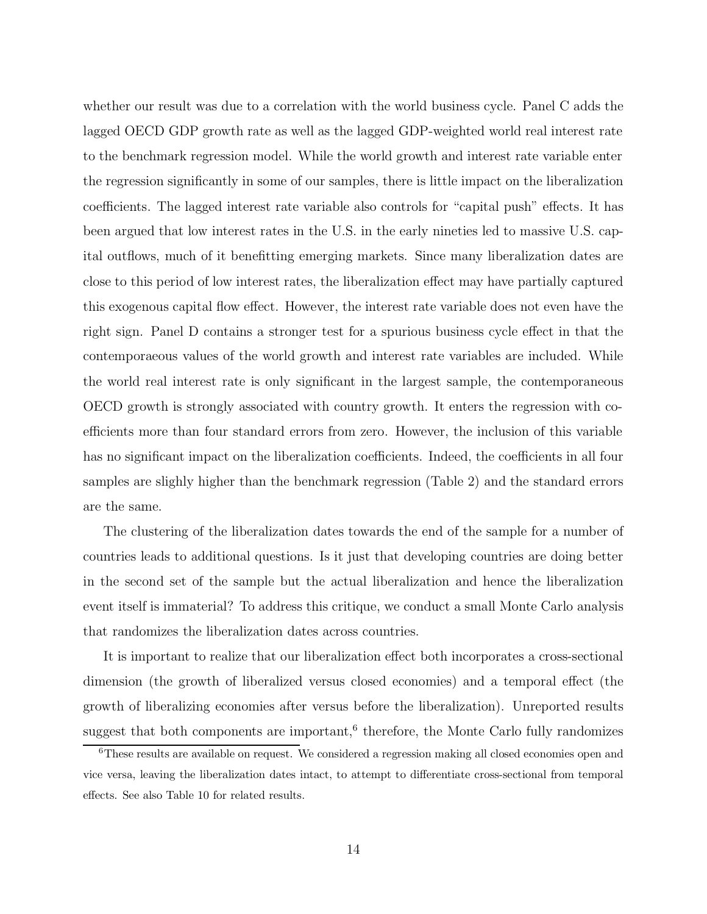whether our result was due to a correlation with the world business cycle. Panel C adds the lagged OECD GDP growth rate as well as the lagged GDP-weighted world real interest rate to the benchmark regression model. While the world growth and interest rate variable enter the regression significantly in some of our samples, there is little impact on the liberalization coefficients. The lagged interest rate variable also controls for "capital push" effects. It has been argued that low interest rates in the U.S. in the early nineties led to massive U.S. capital outflows, much of it benefitting emerging markets. Since many liberalization dates are close to this period of low interest rates, the liberalization effect may have partially captured this exogenous capital flow effect. However, the interest rate variable does not even have the right sign. Panel D contains a stronger test for a spurious business cycle effect in that the contemporaeous values of the world growth and interest rate variables are included. While the world real interest rate is only significant in the largest sample, the contemporaneous OECD growth is strongly associated with country growth. It enters the regression with coefficients more than four standard errors from zero. However, the inclusion of this variable has no significant impact on the liberalization coefficients. Indeed, the coefficients in all four samples are slighly higher than the benchmark regression (Table 2) and the standard errors are the same.

The clustering of the liberalization dates towards the end of the sample for a number of countries leads to additional questions. Is it just that developing countries are doing better in the second set of the sample but the actual liberalization and hence the liberalization event itself is immaterial? To address this critique, we conduct a small Monte Carlo analysis that randomizes the liberalization dates across countries.

It is important to realize that our liberalization effect both incorporates a cross-sectional dimension (the growth of liberalized versus closed economies) and a temporal effect (the growth of liberalizing economies after versus before the liberalization). Unreported results suggest that both components are important, $6$  therefore, the Monte Carlo fully randomizes

<sup>6</sup>These results are available on request. We considered a regression making all closed economies open and vice versa, leaving the liberalization dates intact, to attempt to differentiate cross-sectional from temporal effects. See also Table 10 for related results.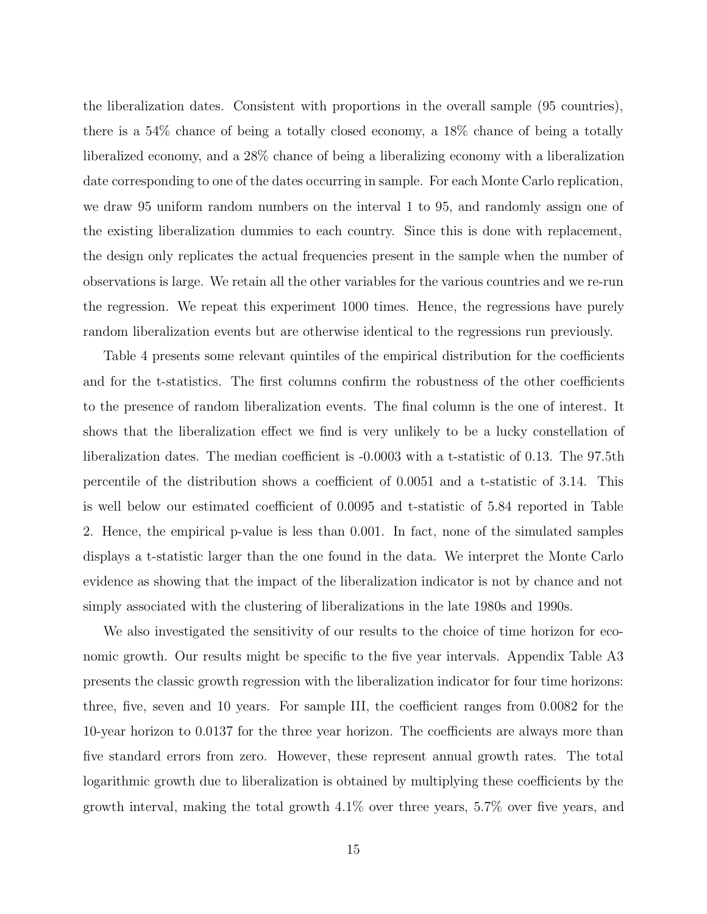the liberalization dates. Consistent with proportions in the overall sample (95 countries), there is a 54% chance of being a totally closed economy, a 18% chance of being a totally liberalized economy, and a 28% chance of being a liberalizing economy with a liberalization date corresponding to one of the dates occurring in sample. For each Monte Carlo replication, we draw 95 uniform random numbers on the interval 1 to 95, and randomly assign one of the existing liberalization dummies to each country. Since this is done with replacement, the design only replicates the actual frequencies present in the sample when the number of observations is large. We retain all the other variables for the various countries and we re-run the regression. We repeat this experiment 1000 times. Hence, the regressions have purely random liberalization events but are otherwise identical to the regressions run previously.

Table 4 presents some relevant quintiles of the empirical distribution for the coefficients and for the t-statistics. The first columns confirm the robustness of the other coefficients to the presence of random liberalization events. The final column is the one of interest. It shows that the liberalization effect we find is very unlikely to be a lucky constellation of liberalization dates. The median coefficient is -0.0003 with a t-statistic of 0.13. The 97.5th percentile of the distribution shows a coefficient of 0.0051 and a t-statistic of 3.14. This is well below our estimated coefficient of 0.0095 and t-statistic of 5.84 reported in Table 2. Hence, the empirical p-value is less than 0.001. In fact, none of the simulated samples displays a t-statistic larger than the one found in the data. We interpret the Monte Carlo evidence as showing that the impact of the liberalization indicator is not by chance and not simply associated with the clustering of liberalizations in the late 1980s and 1990s.

We also investigated the sensitivity of our results to the choice of time horizon for economic growth. Our results might be specific to the five year intervals. Appendix Table A3 presents the classic growth regression with the liberalization indicator for four time horizons: three, five, seven and 10 years. For sample III, the coefficient ranges from 0.0082 for the 10-year horizon to 0.0137 for the three year horizon. The coefficients are always more than five standard errors from zero. However, these represent annual growth rates. The total logarithmic growth due to liberalization is obtained by multiplying these coefficients by the growth interval, making the total growth 4.1% over three years, 5.7% over five years, and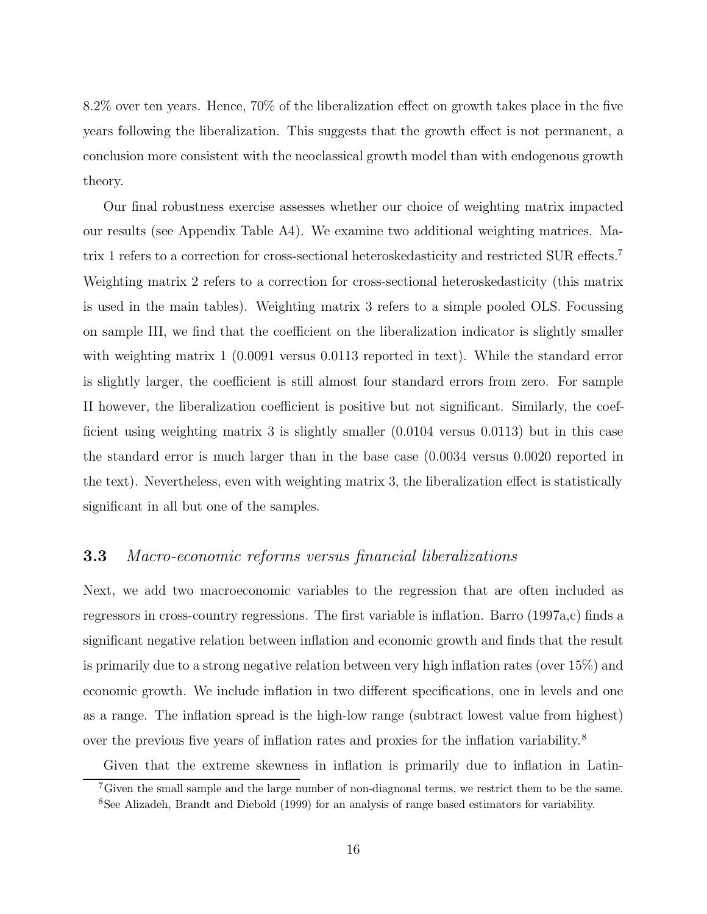8.2% over ten years. Hence, 70% of the liberalization effect on growth takes place in the five years following the liberalization. This suggests that the growth effect is not permanent, a conclusion more consistent with the neoclassical growth model than with endogenous growth theory.

Our final robustness exercise assesses whether our choice of weighting matrix impacted our results (see Appendix Table A4). We examine two additional weighting matrices. Matrix 1 refers to a correction for cross-sectional heteroskedasticity and restricted SUR effects.<sup>7</sup> Weighting matrix 2 refers to a correction for cross-sectional heteroskedasticity (this matrix is used in the main tables). Weighting matrix 3 refers to a simple pooled OLS. Focussing on sample III, we find that the coefficient on the liberalization indicator is slightly smaller with weighting matrix 1 (0.0091 versus 0.0113 reported in text). While the standard error is slightly larger, the coefficient is still almost four standard errors from zero. For sample II however, the liberalization coefficient is positive but not significant. Similarly, the coefficient using weighting matrix 3 is slightly smaller (0.0104 versus 0.0113) but in this case the standard error is much larger than in the base case (0.0034 versus 0.0020 reported in the text). Nevertheless, even with weighting matrix 3, the liberalization effect is statistically significant in all but one of the samples.

# **3.3** Macro-economic reforms versus financial liberalizations

Next, we add two macroeconomic variables to the regression that are often included as regressors in cross-country regressions. The first variable is inflation. Barro (1997a,c) finds a significant negative relation between inflation and economic growth and finds that the result is primarily due to a strong negative relation between very high inflation rates (over 15%) and economic growth. We include inflation in two different specifications, one in levels and one as a range. The inflation spread is the high-low range (subtract lowest value from highest) over the previous five years of inflation rates and proxies for the inflation variability.<sup>8</sup>

Given that the extreme skewness in inflation is primarily due to inflation in Latin-

<sup>&</sup>lt;sup>7</sup>Given the small sample and the large number of non-diagnonal terms, we restrict them to be the same.

<sup>8</sup>See Alizadeh, Brandt and Diebold (1999) for an analysis of range based estimators for variability.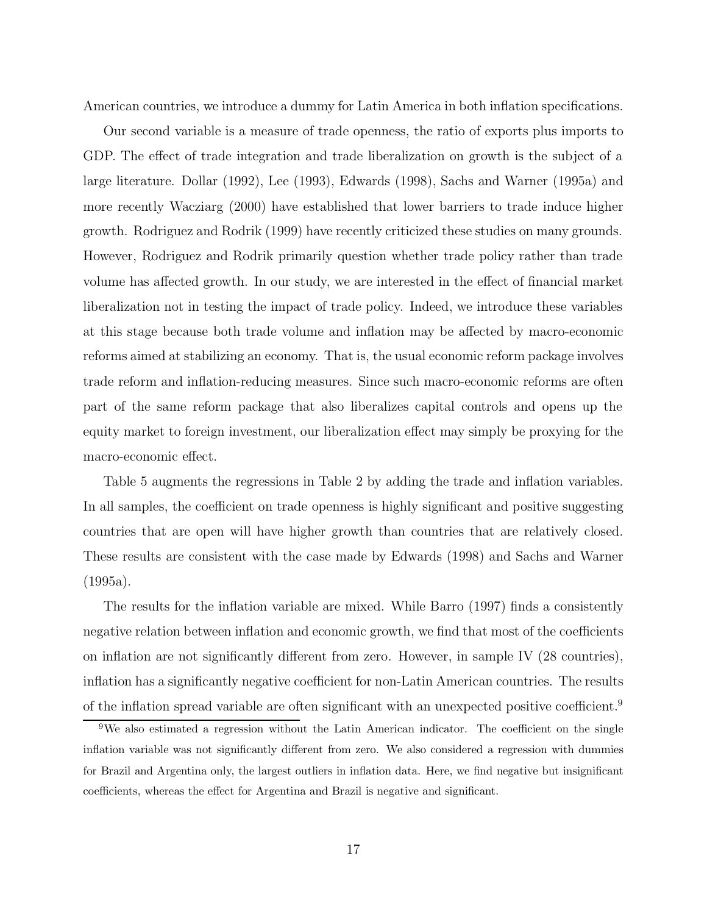American countries, we introduce a dummy for Latin America in both inflation specifications.

Our second variable is a measure of trade openness, the ratio of exports plus imports to GDP. The effect of trade integration and trade liberalization on growth is the subject of a large literature. Dollar (1992), Lee (1993), Edwards (1998), Sachs and Warner (1995a) and more recently Wacziarg (2000) have established that lower barriers to trade induce higher growth. Rodriguez and Rodrik (1999) have recently criticized these studies on many grounds. However, Rodriguez and Rodrik primarily question whether trade policy rather than trade volume has affected growth. In our study, we are interested in the effect of financial market liberalization not in testing the impact of trade policy. Indeed, we introduce these variables at this stage because both trade volume and inflation may be affected by macro-economic reforms aimed at stabilizing an economy. That is, the usual economic reform package involves trade reform and inflation-reducing measures. Since such macro-economic reforms are often part of the same reform package that also liberalizes capital controls and opens up the equity market to foreign investment, our liberalization effect may simply be proxying for the macro-economic effect.

Table 5 augments the regressions in Table 2 by adding the trade and inflation variables. In all samples, the coefficient on trade openness is highly significant and positive suggesting countries that are open will have higher growth than countries that are relatively closed. These results are consistent with the case made by Edwards (1998) and Sachs and Warner (1995a).

The results for the inflation variable are mixed. While Barro (1997) finds a consistently negative relation between inflation and economic growth, we find that most of the coefficients on inflation are not significantly different from zero. However, in sample IV (28 countries), inflation has a significantly negative coefficient for non-Latin American countries. The results of the inflation spread variable are often significant with an unexpected positive coefficient.<sup>9</sup>

<sup>&</sup>lt;sup>9</sup>We also estimated a regression without the Latin American indicator. The coefficient on the single inflation variable was not significantly different from zero. We also considered a regression with dummies for Brazil and Argentina only, the largest outliers in inflation data. Here, we find negative but insignificant coefficients, whereas the effect for Argentina and Brazil is negative and significant.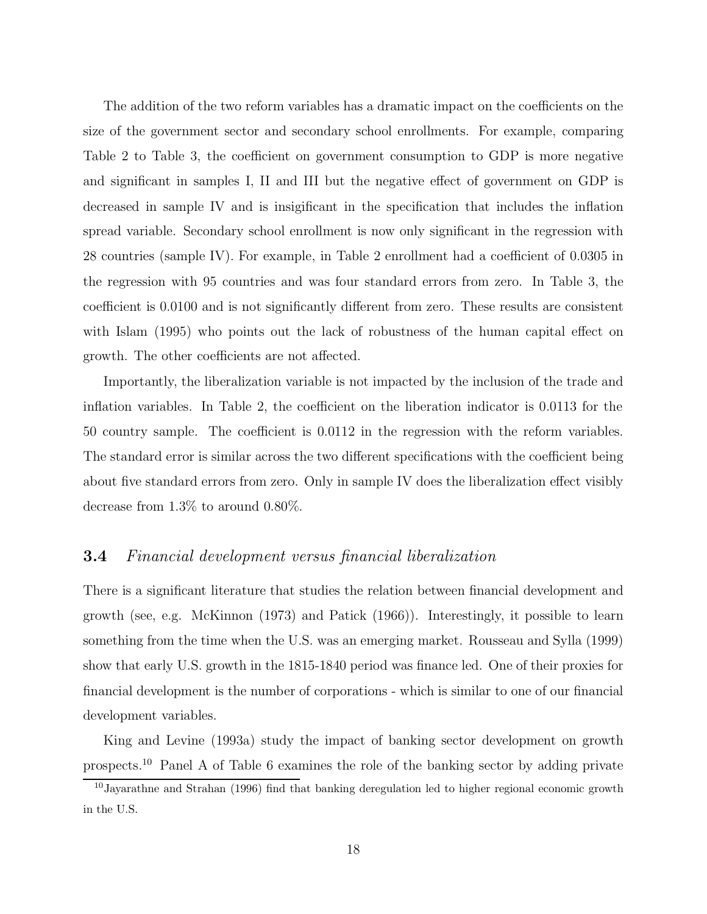The addition of the two reform variables has a dramatic impact on the coefficients on the size of the government sector and secondary school enrollments. For example, comparing Table 2 to Table 3, the coefficient on government consumption to GDP is more negative and significant in samples I, II and III but the negative effect of government on GDP is decreased in sample IV and is insigificant in the specification that includes the inflation spread variable. Secondary school enrollment is now only significant in the regression with 28 countries (sample IV). For example, in Table 2 enrollment had a coefficient of 0.0305 in the regression with 95 countries and was four standard errors from zero. In Table 3, the coefficient is 0.0100 and is not significantly different from zero. These results are consistent with Islam (1995) who points out the lack of robustness of the human capital effect on growth. The other coefficients are not affected.

Importantly, the liberalization variable is not impacted by the inclusion of the trade and inflation variables. In Table 2, the coefficient on the liberation indicator is 0.0113 for the 50 country sample. The coefficient is 0.0112 in the regression with the reform variables. The standard error is similar across the two different specifications with the coefficient being about five standard errors from zero. Only in sample IV does the liberalization effect visibly decrease from 1.3% to around 0.80%.

# **3.4** Financial development versus financial liberalization

There is a significant literature that studies the relation between financial development and growth (see, e.g. McKinnon (1973) and Patick (1966)). Interestingly, it possible to learn something from the time when the U.S. was an emerging market. Rousseau and Sylla (1999) show that early U.S. growth in the 1815-1840 period was finance led. One of their proxies for financial development is the number of corporations - which is similar to one of our financial development variables.

King and Levine (1993a) study the impact of banking sector development on growth prospects.<sup>10</sup> Panel A of Table 6 examines the role of the banking sector by adding private

<sup>10</sup>Jayarathne and Strahan (1996) find that banking deregulation led to higher regional economic growth in the U.S.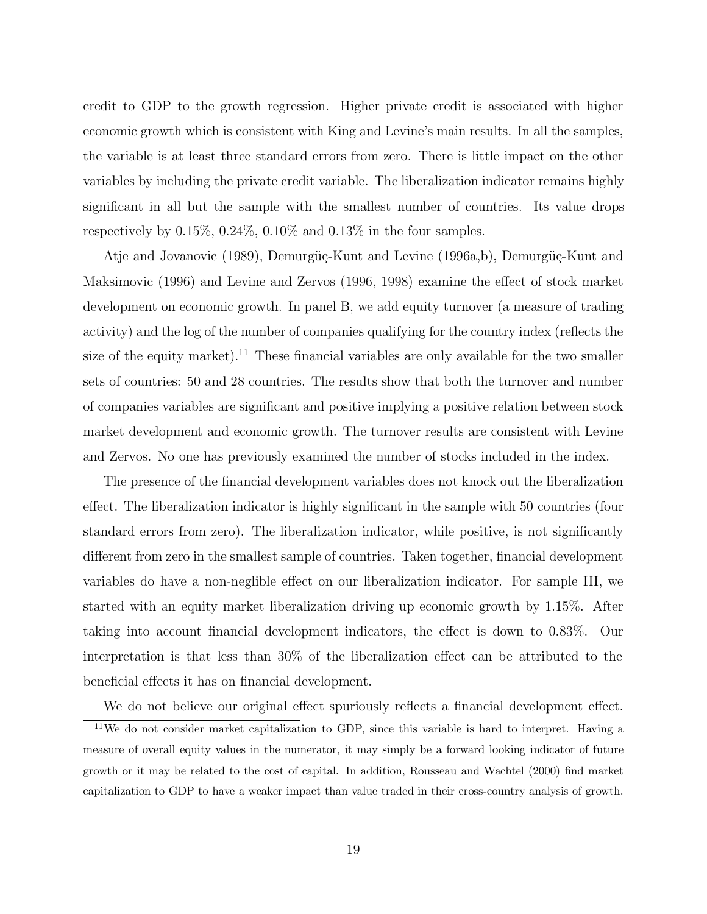credit to GDP to the growth regression. Higher private credit is associated with higher economic growth which is consistent with King and Levine's main results. In all the samples, the variable is at least three standard errors from zero. There is little impact on the other variables by including the private credit variable. The liberalization indicator remains highly significant in all but the sample with the smallest number of countries. Its value drops respectively by 0.15%, 0.24%, 0.10% and 0.13% in the four samples.

Atje and Jovanovic (1989), Demurgüç-Kunt and Levine (1996a,b), Demurgüç-Kunt and Maksimovic (1996) and Levine and Zervos (1996, 1998) examine the effect of stock market development on economic growth. In panel B, we add equity turnover (a measure of trading activity) and the log of the number of companies qualifying for the country index (reflects the size of the equity market).<sup>11</sup> These financial variables are only available for the two smaller sets of countries: 50 and 28 countries. The results show that both the turnover and number of companies variables are significant and positive implying a positive relation between stock market development and economic growth. The turnover results are consistent with Levine and Zervos. No one has previously examined the number of stocks included in the index.

The presence of the financial development variables does not knock out the liberalization effect. The liberalization indicator is highly significant in the sample with 50 countries (four standard errors from zero). The liberalization indicator, while positive, is not significantly different from zero in the smallest sample of countries. Taken together, financial development variables do have a non-neglible effect on our liberalization indicator. For sample III, we started with an equity market liberalization driving up economic growth by 1.15%. After taking into account financial development indicators, the effect is down to 0.83%. Our interpretation is that less than 30% of the liberalization effect can be attributed to the beneficial effects it has on financial development.

We do not believe our original effect spuriously reflects a financial development effect. <sup>11</sup>We do not consider market capitalization to GDP, since this variable is hard to interpret. Having a measure of overall equity values in the numerator, it may simply be a forward looking indicator of future growth or it may be related to the cost of capital. In addition, Rousseau and Wachtel (2000) find market capitalization to GDP to have a weaker impact than value traded in their cross-country analysis of growth.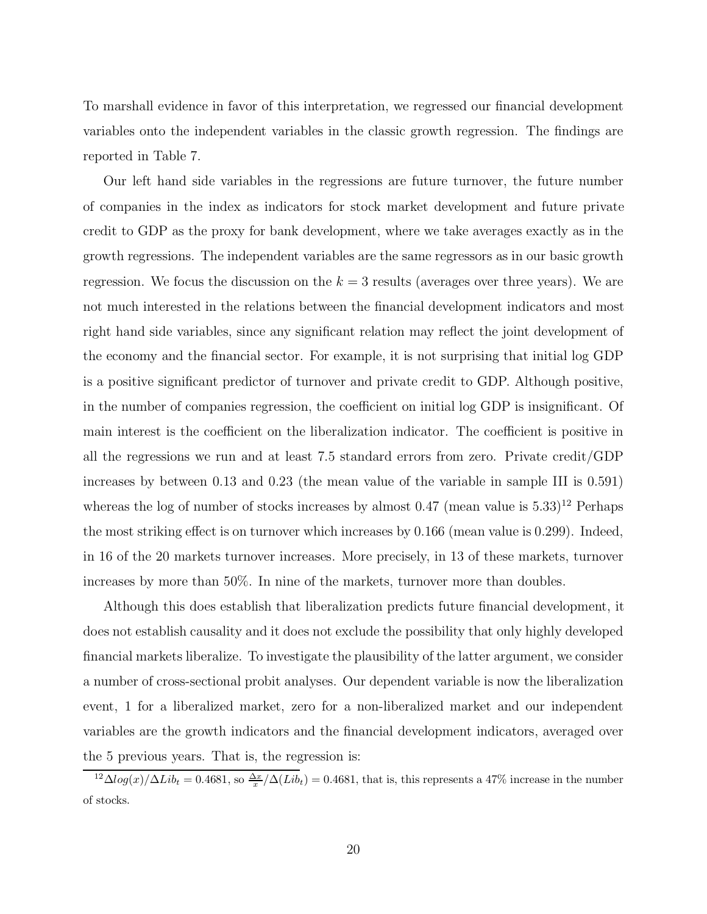To marshall evidence in favor of this interpretation, we regressed our financial development variables onto the independent variables in the classic growth regression. The findings are reported in Table 7.

Our left hand side variables in the regressions are future turnover, the future number of companies in the index as indicators for stock market development and future private credit to GDP as the proxy for bank development, where we take averages exactly as in the growth regressions. The independent variables are the same regressors as in our basic growth regression. We focus the discussion on the  $k = 3$  results (averages over three years). We are not much interested in the relations between the financial development indicators and most right hand side variables, since any significant relation may reflect the joint development of the economy and the financial sector. For example, it is not surprising that initial log GDP is a positive significant predictor of turnover and private credit to GDP. Although positive, in the number of companies regression, the coefficient on initial log GDP is insignificant. Of main interest is the coefficient on the liberalization indicator. The coefficient is positive in all the regressions we run and at least 7.5 standard errors from zero. Private credit/GDP increases by between 0.13 and 0.23 (the mean value of the variable in sample III is 0.591) whereas the log of number of stocks increases by almost  $0.47$  (mean value is  $5.33$ )<sup>12</sup> Perhaps the most striking effect is on turnover which increases by 0.166 (mean value is 0.299). Indeed, in 16 of the 20 markets turnover increases. More precisely, in 13 of these markets, turnover increases by more than 50%. In nine of the markets, turnover more than doubles.

Although this does establish that liberalization predicts future financial development, it does not establish causality and it does not exclude the possibility that only highly developed financial markets liberalize. To investigate the plausibility of the latter argument, we consider a number of cross-sectional probit analyses. Our dependent variable is now the liberalization event, 1 for a liberalized market, zero for a non-liberalized market and our independent variables are the growth indicators and the financial development indicators, averaged over the 5 previous years. That is, the regression is:

<sup>&</sup>lt;sup>12</sup> $\Delta log(x)/\Delta Lib_t = 0.4681$ , so  $\frac{\Delta x}{x}/\Delta (Lib_t) = 0.4681$ , that is, this represents a 47% increase in the number of stocks.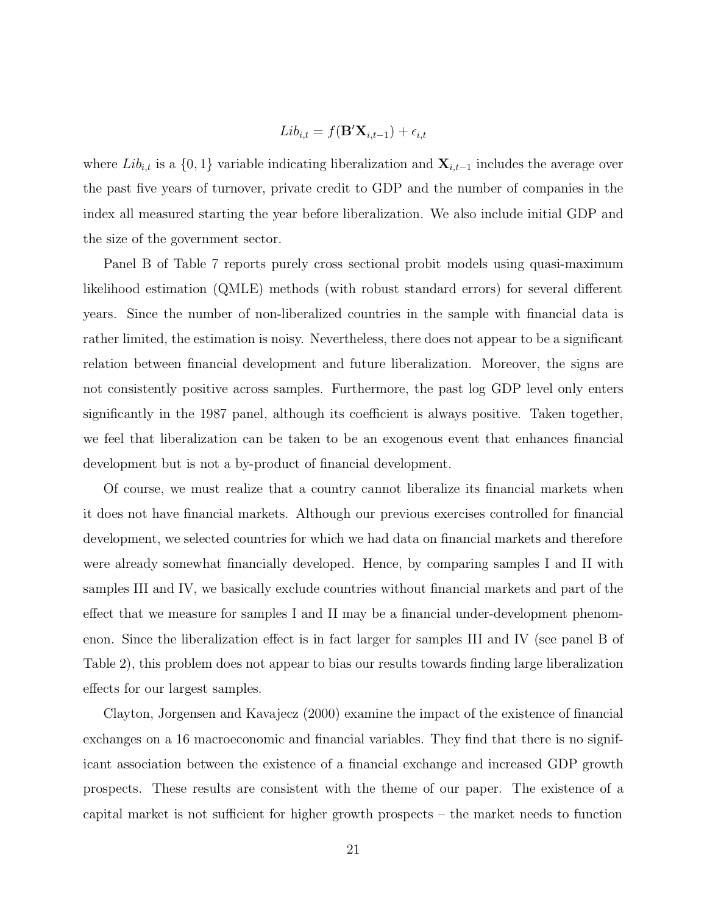$$
Lib_{i,t} = f(\mathbf{B}'\mathbf{X}_{i,t-1}) + \epsilon_{i,t}
$$

where  $Lib_{i,t}$  is a  $\{0,1\}$  variable indicating liberalization and  $\mathbf{X}_{i,t-1}$  includes the average over the past five years of turnover, private credit to GDP and the number of companies in the index all measured starting the year before liberalization. We also include initial GDP and the size of the government sector.

Panel B of Table 7 reports purely cross sectional probit models using quasi-maximum likelihood estimation (QMLE) methods (with robust standard errors) for several different years. Since the number of non-liberalized countries in the sample with financial data is rather limited, the estimation is noisy. Nevertheless, there does not appear to be a significant relation between financial development and future liberalization. Moreover, the signs are not consistently positive across samples. Furthermore, the past log GDP level only enters significantly in the 1987 panel, although its coefficient is always positive. Taken together, we feel that liberalization can be taken to be an exogenous event that enhances financial development but is not a by-product of financial development.

Of course, we must realize that a country cannot liberalize its financial markets when it does not have financial markets. Although our previous exercises controlled for financial development, we selected countries for which we had data on financial markets and therefore were already somewhat financially developed. Hence, by comparing samples I and II with samples III and IV, we basically exclude countries without financial markets and part of the effect that we measure for samples I and II may be a financial under-development phenomenon. Since the liberalization effect is in fact larger for samples III and IV (see panel B of Table 2), this problem does not appear to bias our results towards finding large liberalization effects for our largest samples.

Clayton, Jorgensen and Kavajecz (2000) examine the impact of the existence of financial exchanges on a 16 macroeconomic and financial variables. They find that there is no significant association between the existence of a financial exchange and increased GDP growth prospects. These results are consistent with the theme of our paper. The existence of a capital market is not sufficient for higher growth prospects – the market needs to function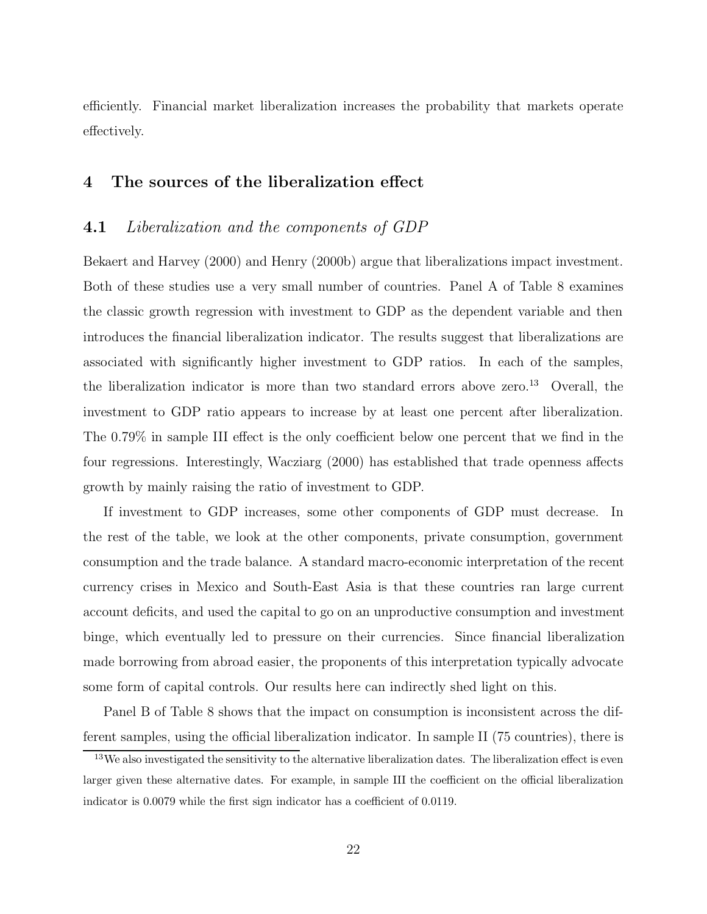efficiently. Financial market liberalization increases the probability that markets operate effectively.

# **4 The sources of the liberalization effect**

# **4.1** Liberalization and the components of GDP

Bekaert and Harvey (2000) and Henry (2000b) argue that liberalizations impact investment. Both of these studies use a very small number of countries. Panel A of Table 8 examines the classic growth regression with investment to GDP as the dependent variable and then introduces the financial liberalization indicator. The results suggest that liberalizations are associated with significantly higher investment to GDP ratios. In each of the samples, the liberalization indicator is more than two standard errors above zero.<sup>13</sup> Overall, the investment to GDP ratio appears to increase by at least one percent after liberalization. The 0.79% in sample III effect is the only coefficient below one percent that we find in the four regressions. Interestingly, Wacziarg (2000) has established that trade openness affects growth by mainly raising the ratio of investment to GDP.

If investment to GDP increases, some other components of GDP must decrease. In the rest of the table, we look at the other components, private consumption, government consumption and the trade balance. A standard macro-economic interpretation of the recent currency crises in Mexico and South-East Asia is that these countries ran large current account deficits, and used the capital to go on an unproductive consumption and investment binge, which eventually led to pressure on their currencies. Since financial liberalization made borrowing from abroad easier, the proponents of this interpretation typically advocate some form of capital controls. Our results here can indirectly shed light on this.

Panel B of Table 8 shows that the impact on consumption is inconsistent across the different samples, using the official liberalization indicator. In sample II (75 countries), there is

<sup>&</sup>lt;sup>13</sup>We also investigated the sensitivity to the alternative liberalization dates. The liberalization effect is even larger given these alternative dates. For example, in sample III the coefficient on the official liberalization indicator is 0.0079 while the first sign indicator has a coefficient of 0.0119.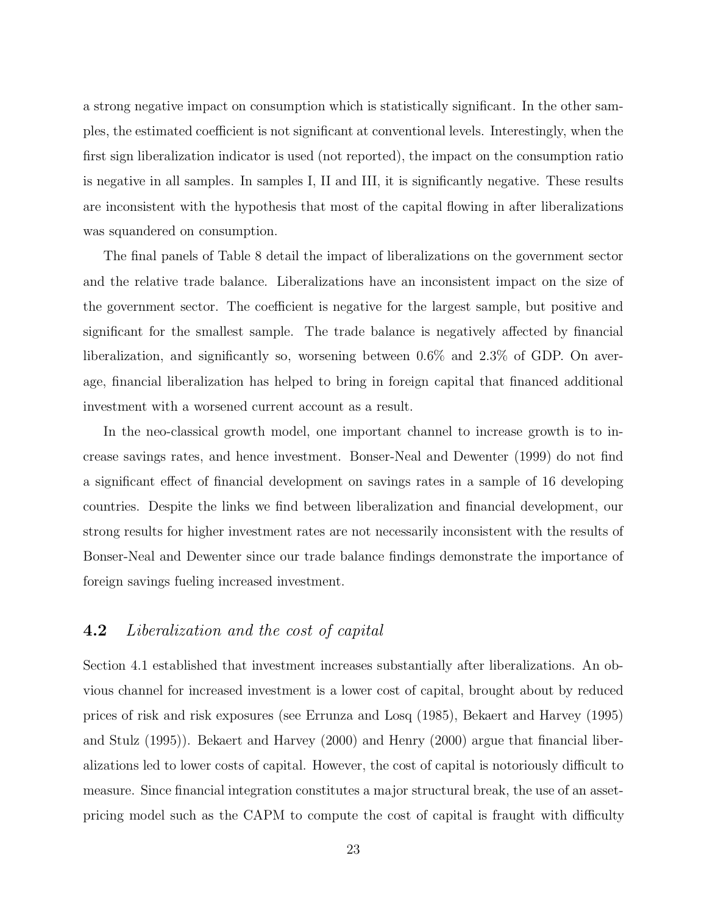a strong negative impact on consumption which is statistically significant. In the other samples, the estimated coefficient is not significant at conventional levels. Interestingly, when the first sign liberalization indicator is used (not reported), the impact on the consumption ratio is negative in all samples. In samples I, II and III, it is significantly negative. These results are inconsistent with the hypothesis that most of the capital flowing in after liberalizations was squandered on consumption.

The final panels of Table 8 detail the impact of liberalizations on the government sector and the relative trade balance. Liberalizations have an inconsistent impact on the size of the government sector. The coefficient is negative for the largest sample, but positive and significant for the smallest sample. The trade balance is negatively affected by financial liberalization, and significantly so, worsening between 0.6% and 2.3% of GDP. On average, financial liberalization has helped to bring in foreign capital that financed additional investment with a worsened current account as a result.

In the neo-classical growth model, one important channel to increase growth is to increase savings rates, and hence investment. Bonser-Neal and Dewenter (1999) do not find a significant effect of financial development on savings rates in a sample of 16 developing countries. Despite the links we find between liberalization and financial development, our strong results for higher investment rates are not necessarily inconsistent with the results of Bonser-Neal and Dewenter since our trade balance findings demonstrate the importance of foreign savings fueling increased investment.

# **4.2** Liberalization and the cost of capital

Section 4.1 established that investment increases substantially after liberalizations. An obvious channel for increased investment is a lower cost of capital, brought about by reduced prices of risk and risk exposures (see Errunza and Losq (1985), Bekaert and Harvey (1995) and Stulz (1995)). Bekaert and Harvey (2000) and Henry (2000) argue that financial liberalizations led to lower costs of capital. However, the cost of capital is notoriously difficult to measure. Since financial integration constitutes a major structural break, the use of an assetpricing model such as the CAPM to compute the cost of capital is fraught with difficulty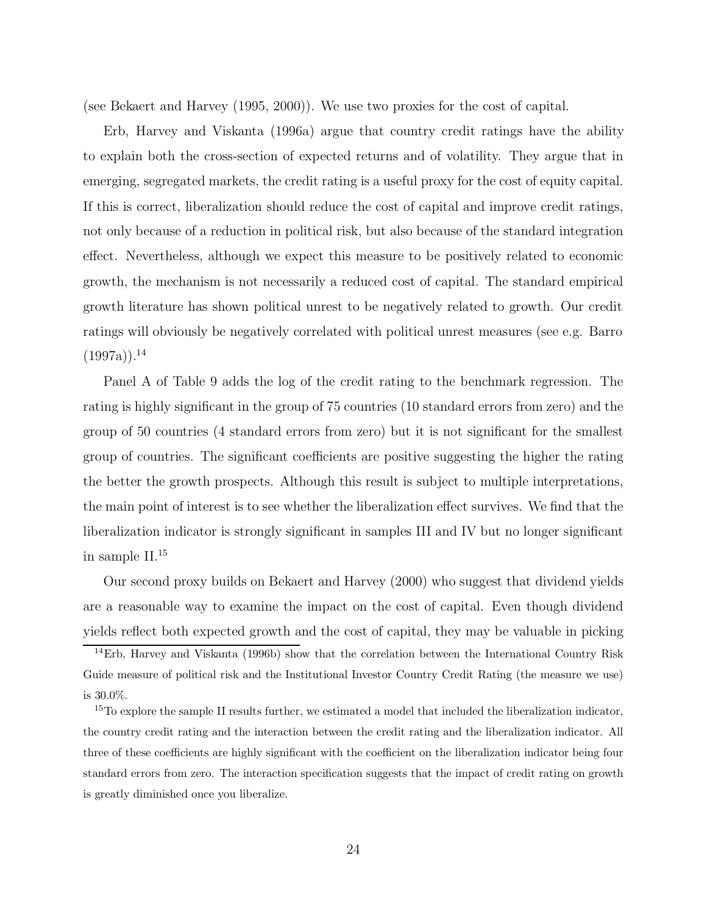(see Bekaert and Harvey (1995, 2000)). We use two proxies for the cost of capital.

Erb, Harvey and Viskanta (1996a) argue that country credit ratings have the ability to explain both the cross-section of expected returns and of volatility. They argue that in emerging, segregated markets, the credit rating is a useful proxy for the cost of equity capital. If this is correct, liberalization should reduce the cost of capital and improve credit ratings, not only because of a reduction in political risk, but also because of the standard integration effect. Nevertheless, although we expect this measure to be positively related to economic growth, the mechanism is not necessarily a reduced cost of capital. The standard empirical growth literature has shown political unrest to be negatively related to growth. Our credit ratings will obviously be negatively correlated with political unrest measures (see e.g. Barro  $(1997a)$ <sup>14</sup>

Panel A of Table 9 adds the log of the credit rating to the benchmark regression. The rating is highly significant in the group of 75 countries (10 standard errors from zero) and the group of 50 countries (4 standard errors from zero) but it is not significant for the smallest group of countries. The significant coefficients are positive suggesting the higher the rating the better the growth prospects. Although this result is subject to multiple interpretations, the main point of interest is to see whether the liberalization effect survives. We find that the liberalization indicator is strongly significant in samples III and IV but no longer significant in sample II.<sup>15</sup>

Our second proxy builds on Bekaert and Harvey (2000) who suggest that dividend yields are a reasonable way to examine the impact on the cost of capital. Even though dividend yields reflect both expected growth and the cost of capital, they may be valuable in picking

<sup>&</sup>lt;sup>14</sup>Erb, Harvey and Viskanta (1996b) show that the correlation between the International Country Risk Guide measure of political risk and the Institutional Investor Country Credit Rating (the measure we use) is 30.0%.

 $15$ To explore the sample II results further, we estimated a model that included the liberalization indicator, the country credit rating and the interaction between the credit rating and the liberalization indicator. All three of these coefficients are highly significant with the coefficient on the liberalization indicator being four standard errors from zero. The interaction specification suggests that the impact of credit rating on growth is greatly diminished once you liberalize.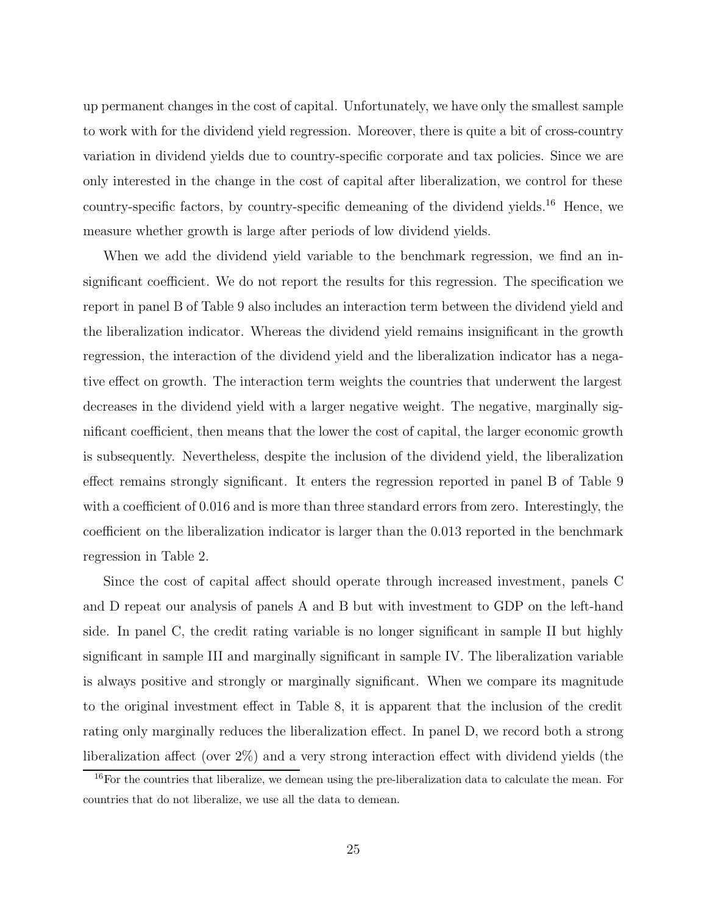up permanent changes in the cost of capital. Unfortunately, we have only the smallest sample to work with for the dividend yield regression. Moreover, there is quite a bit of cross-country variation in dividend yields due to country-specific corporate and tax policies. Since we are only interested in the change in the cost of capital after liberalization, we control for these country-specific factors, by country-specific demeaning of the dividend yields.<sup>16</sup> Hence, we measure whether growth is large after periods of low dividend yields.

When we add the dividend yield variable to the benchmark regression, we find an insignificant coefficient. We do not report the results for this regression. The specification we report in panel B of Table 9 also includes an interaction term between the dividend yield and the liberalization indicator. Whereas the dividend yield remains insignificant in the growth regression, the interaction of the dividend yield and the liberalization indicator has a negative effect on growth. The interaction term weights the countries that underwent the largest decreases in the dividend yield with a larger negative weight. The negative, marginally significant coefficient, then means that the lower the cost of capital, the larger economic growth is subsequently. Nevertheless, despite the inclusion of the dividend yield, the liberalization effect remains strongly significant. It enters the regression reported in panel B of Table 9 with a coefficient of 0.016 and is more than three standard errors from zero. Interestingly, the coefficient on the liberalization indicator is larger than the 0.013 reported in the benchmark regression in Table 2.

Since the cost of capital affect should operate through increased investment, panels C and D repeat our analysis of panels A and B but with investment to GDP on the left-hand side. In panel C, the credit rating variable is no longer significant in sample II but highly significant in sample III and marginally significant in sample IV. The liberalization variable is always positive and strongly or marginally significant. When we compare its magnitude to the original investment effect in Table 8, it is apparent that the inclusion of the credit rating only marginally reduces the liberalization effect. In panel D, we record both a strong liberalization affect (over 2%) and a very strong interaction effect with dividend yields (the

<sup>&</sup>lt;sup>16</sup>For the countries that liberalize, we demean using the pre-liberalization data to calculate the mean. For countries that do not liberalize, we use all the data to demean.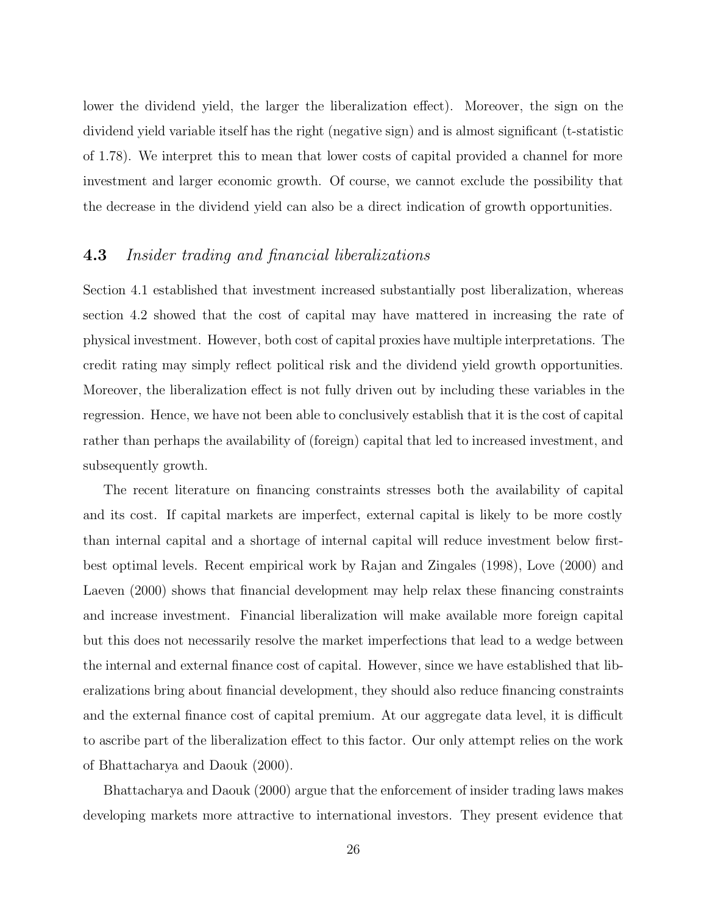lower the dividend yield, the larger the liberalization effect). Moreover, the sign on the dividend yield variable itself has the right (negative sign) and is almost significant (t-statistic of 1.78). We interpret this to mean that lower costs of capital provided a channel for more investment and larger economic growth. Of course, we cannot exclude the possibility that the decrease in the dividend yield can also be a direct indication of growth opportunities.

# **4.3** Insider trading and financial liberalizations

Section 4.1 established that investment increased substantially post liberalization, whereas section 4.2 showed that the cost of capital may have mattered in increasing the rate of physical investment. However, both cost of capital proxies have multiple interpretations. The credit rating may simply reflect political risk and the dividend yield growth opportunities. Moreover, the liberalization effect is not fully driven out by including these variables in the regression. Hence, we have not been able to conclusively establish that it is the cost of capital rather than perhaps the availability of (foreign) capital that led to increased investment, and subsequently growth.

The recent literature on financing constraints stresses both the availability of capital and its cost. If capital markets are imperfect, external capital is likely to be more costly than internal capital and a shortage of internal capital will reduce investment below firstbest optimal levels. Recent empirical work by Rajan and Zingales (1998), Love (2000) and Laeven (2000) shows that financial development may help relax these financing constraints and increase investment. Financial liberalization will make available more foreign capital but this does not necessarily resolve the market imperfections that lead to a wedge between the internal and external finance cost of capital. However, since we have established that liberalizations bring about financial development, they should also reduce financing constraints and the external finance cost of capital premium. At our aggregate data level, it is difficult to ascribe part of the liberalization effect to this factor. Our only attempt relies on the work of Bhattacharya and Daouk (2000).

Bhattacharya and Daouk (2000) argue that the enforcement of insider trading laws makes developing markets more attractive to international investors. They present evidence that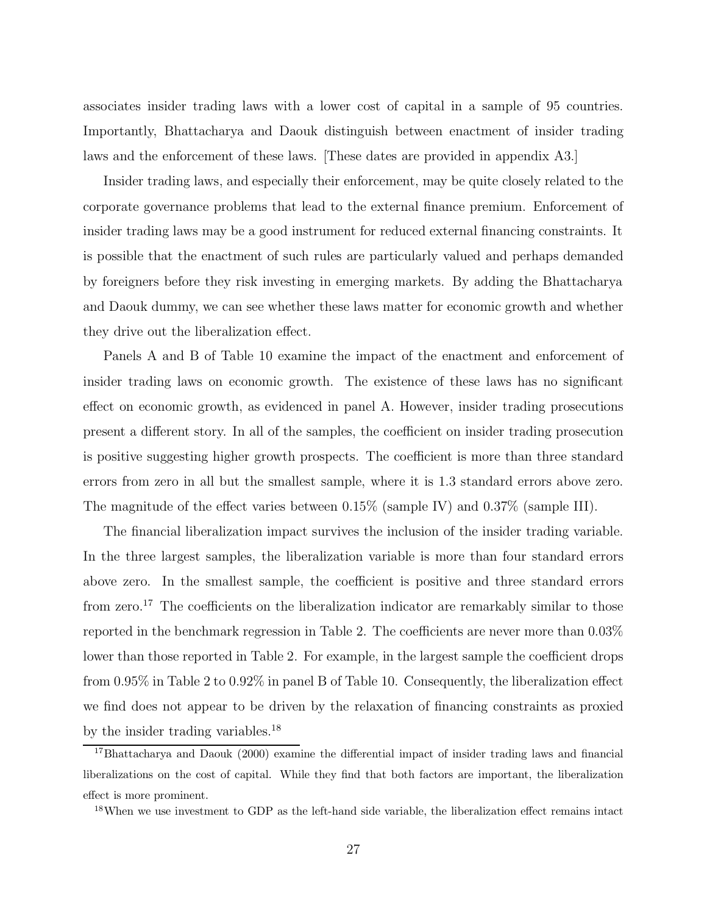associates insider trading laws with a lower cost of capital in a sample of 95 countries. Importantly, Bhattacharya and Daouk distinguish between enactment of insider trading laws and the enforcement of these laws. [These dates are provided in appendix A3.]

Insider trading laws, and especially their enforcement, may be quite closely related to the corporate governance problems that lead to the external finance premium. Enforcement of insider trading laws may be a good instrument for reduced external financing constraints. It is possible that the enactment of such rules are particularly valued and perhaps demanded by foreigners before they risk investing in emerging markets. By adding the Bhattacharya and Daouk dummy, we can see whether these laws matter for economic growth and whether they drive out the liberalization effect.

Panels A and B of Table 10 examine the impact of the enactment and enforcement of insider trading laws on economic growth. The existence of these laws has no significant effect on economic growth, as evidenced in panel A. However, insider trading prosecutions present a different story. In all of the samples, the coefficient on insider trading prosecution is positive suggesting higher growth prospects. The coefficient is more than three standard errors from zero in all but the smallest sample, where it is 1.3 standard errors above zero. The magnitude of the effect varies between 0.15% (sample IV) and 0.37% (sample III).

The financial liberalization impact survives the inclusion of the insider trading variable. In the three largest samples, the liberalization variable is more than four standard errors above zero. In the smallest sample, the coefficient is positive and three standard errors from zero.<sup>17</sup> The coefficients on the liberalization indicator are remarkably similar to those reported in the benchmark regression in Table 2. The coefficients are never more than 0.03% lower than those reported in Table 2. For example, in the largest sample the coefficient drops from 0.95% in Table 2 to 0.92% in panel B of Table 10. Consequently, the liberalization effect we find does not appear to be driven by the relaxation of financing constraints as proxied by the insider trading variables.<sup>18</sup>

<sup>17</sup>Bhattacharya and Daouk (2000) examine the differential impact of insider trading laws and financial liberalizations on the cost of capital. While they find that both factors are important, the liberalization effect is more prominent.

<sup>&</sup>lt;sup>18</sup>When we use investment to GDP as the left-hand side variable, the liberalization effect remains intact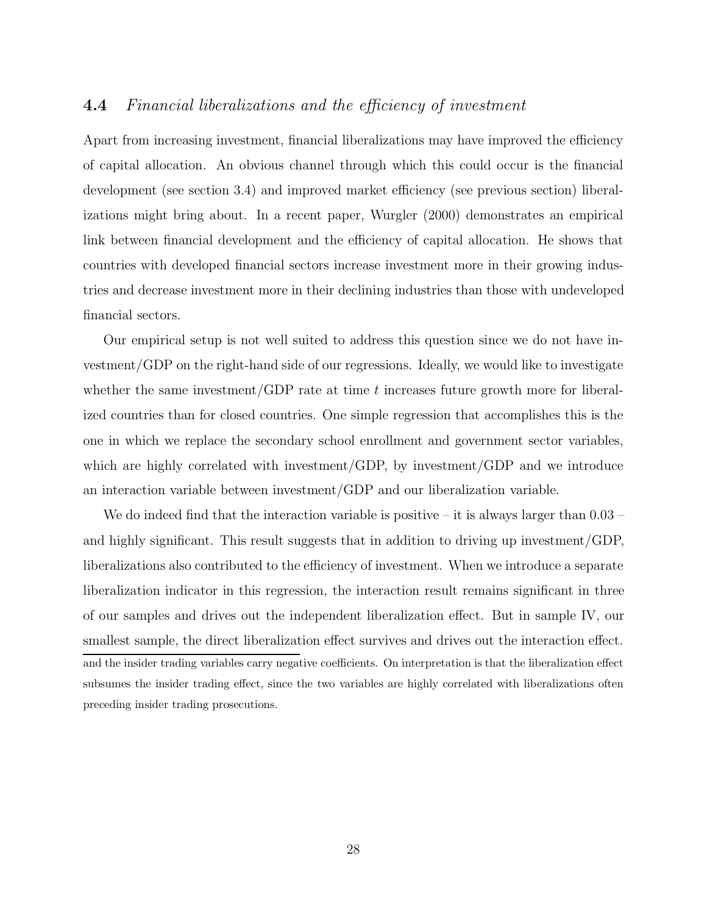# **4.4** Financial liberalizations and the efficiency of investment

Apart from increasing investment, financial liberalizations may have improved the efficiency of capital allocation. An obvious channel through which this could occur is the financial development (see section 3.4) and improved market efficiency (see previous section) liberalizations might bring about. In a recent paper, Wurgler (2000) demonstrates an empirical link between financial development and the efficiency of capital allocation. He shows that countries with developed financial sectors increase investment more in their growing industries and decrease investment more in their declining industries than those with undeveloped financial sectors.

Our empirical setup is not well suited to address this question since we do not have investment/GDP on the right-hand side of our regressions. Ideally, we would like to investigate whether the same investment/GDP rate at time  $t$  increases future growth more for liberalized countries than for closed countries. One simple regression that accomplishes this is the one in which we replace the secondary school enrollment and government sector variables, which are highly correlated with investment/GDP, by investment/GDP and we introduce an interaction variable between investment/GDP and our liberalization variable.

We do indeed find that the interaction variable is positive – it is always larger than  $0.03$  – and highly significant. This result suggests that in addition to driving up investment/GDP, liberalizations also contributed to the efficiency of investment. When we introduce a separate liberalization indicator in this regression, the interaction result remains significant in three of our samples and drives out the independent liberalization effect. But in sample IV, our smallest sample, the direct liberalization effect survives and drives out the interaction effect. and the insider trading variables carry negative coefficients. On interpretation is that the liberalization effect subsumes the insider trading effect, since the two variables are highly correlated with liberalizations often preceding insider trading prosecutions.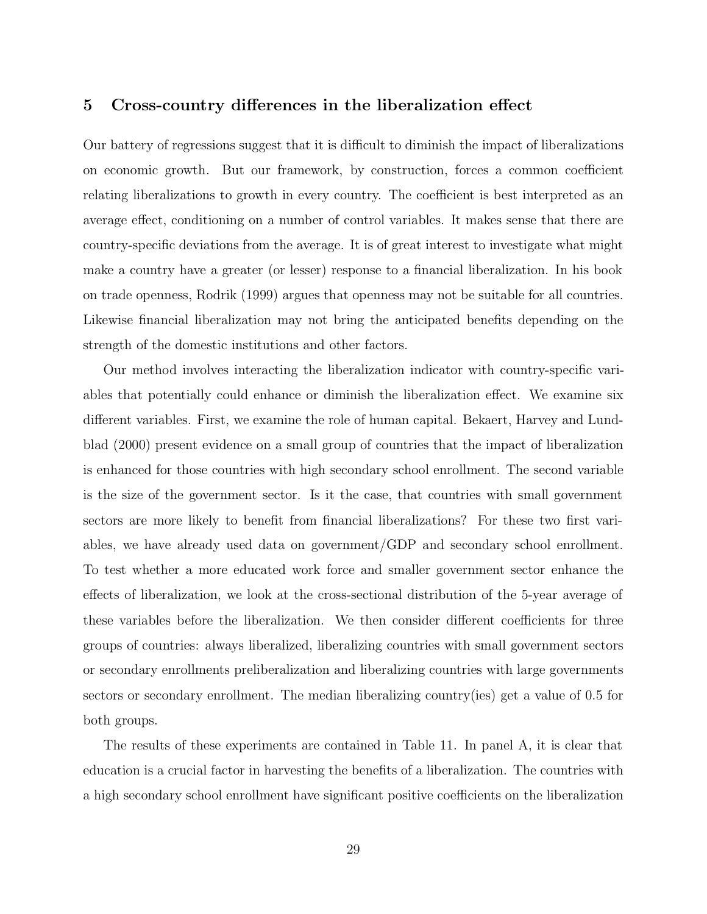# **5 Cross-country differences in the liberalization effect**

Our battery of regressions suggest that it is difficult to diminish the impact of liberalizations on economic growth. But our framework, by construction, forces a common coefficient relating liberalizations to growth in every country. The coefficient is best interpreted as an average effect, conditioning on a number of control variables. It makes sense that there are country-specific deviations from the average. It is of great interest to investigate what might make a country have a greater (or lesser) response to a financial liberalization. In his book on trade openness, Rodrik (1999) argues that openness may not be suitable for all countries. Likewise financial liberalization may not bring the anticipated benefits depending on the strength of the domestic institutions and other factors.

Our method involves interacting the liberalization indicator with country-specific variables that potentially could enhance or diminish the liberalization effect. We examine six different variables. First, we examine the role of human capital. Bekaert, Harvey and Lundblad (2000) present evidence on a small group of countries that the impact of liberalization is enhanced for those countries with high secondary school enrollment. The second variable is the size of the government sector. Is it the case, that countries with small government sectors are more likely to benefit from financial liberalizations? For these two first variables, we have already used data on government/GDP and secondary school enrollment. To test whether a more educated work force and smaller government sector enhance the effects of liberalization, we look at the cross-sectional distribution of the 5-year average of these variables before the liberalization. We then consider different coefficients for three groups of countries: always liberalized, liberalizing countries with small government sectors or secondary enrollments preliberalization and liberalizing countries with large governments sectors or secondary enrollment. The median liberalizing country(ies) get a value of 0.5 for both groups.

The results of these experiments are contained in Table 11. In panel A, it is clear that education is a crucial factor in harvesting the benefits of a liberalization. The countries with a high secondary school enrollment have significant positive coefficients on the liberalization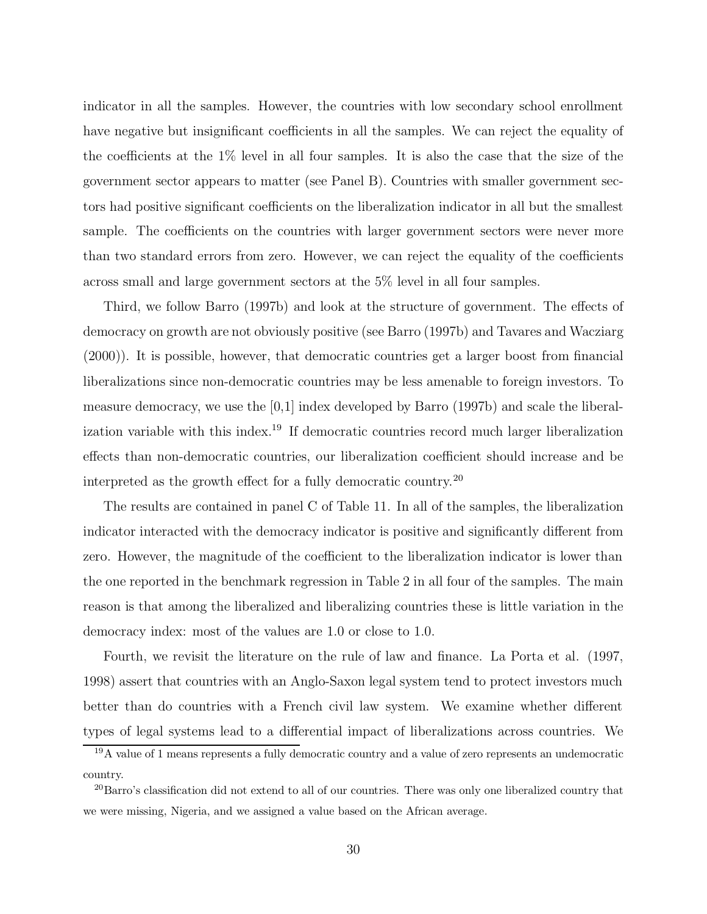indicator in all the samples. However, the countries with low secondary school enrollment have negative but insignificant coefficients in all the samples. We can reject the equality of the coefficients at the 1% level in all four samples. It is also the case that the size of the government sector appears to matter (see Panel B). Countries with smaller government sectors had positive significant coefficients on the liberalization indicator in all but the smallest sample. The coefficients on the countries with larger government sectors were never more than two standard errors from zero. However, we can reject the equality of the coefficients across small and large government sectors at the 5% level in all four samples.

Third, we follow Barro (1997b) and look at the structure of government. The effects of democracy on growth are not obviously positive (see Barro (1997b) and Tavares and Wacziarg (2000)). It is possible, however, that democratic countries get a larger boost from financial liberalizations since non-democratic countries may be less amenable to foreign investors. To measure democracy, we use the [0,1] index developed by Barro (1997b) and scale the liberalization variable with this index.<sup>19</sup> If democratic countries record much larger liberalization effects than non-democratic countries, our liberalization coefficient should increase and be interpreted as the growth effect for a fully democratic country.<sup>20</sup>

The results are contained in panel C of Table 11. In all of the samples, the liberalization indicator interacted with the democracy indicator is positive and significantly different from zero. However, the magnitude of the coefficient to the liberalization indicator is lower than the one reported in the benchmark regression in Table 2 in all four of the samples. The main reason is that among the liberalized and liberalizing countries these is little variation in the democracy index: most of the values are 1.0 or close to 1.0.

Fourth, we revisit the literature on the rule of law and finance. La Porta et al. (1997, 1998) assert that countries with an Anglo-Saxon legal system tend to protect investors much better than do countries with a French civil law system. We examine whether different types of legal systems lead to a differential impact of liberalizations across countries. We

<sup>19</sup>A value of 1 means represents a fully democratic country and a value of zero represents an undemocratic country.

<sup>&</sup>lt;sup>20</sup>Barro's classification did not extend to all of our countries. There was only one liberalized country that we were missing, Nigeria, and we assigned a value based on the African average.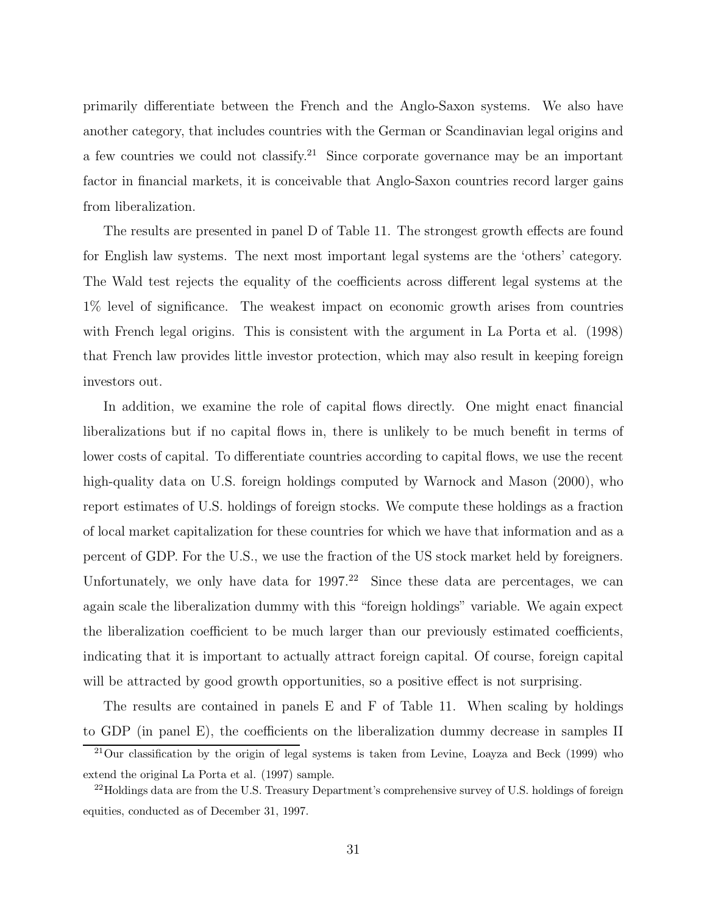primarily differentiate between the French and the Anglo-Saxon systems. We also have another category, that includes countries with the German or Scandinavian legal origins and a few countries we could not classify.<sup>21</sup> Since corporate governance may be an important factor in financial markets, it is conceivable that Anglo-Saxon countries record larger gains from liberalization.

The results are presented in panel D of Table 11. The strongest growth effects are found for English law systems. The next most important legal systems are the 'others' category. The Wald test rejects the equality of the coefficients across different legal systems at the 1% level of significance. The weakest impact on economic growth arises from countries with French legal origins. This is consistent with the argument in La Porta et al. (1998) that French law provides little investor protection, which may also result in keeping foreign investors out.

In addition, we examine the role of capital flows directly. One might enact financial liberalizations but if no capital flows in, there is unlikely to be much benefit in terms of lower costs of capital. To differentiate countries according to capital flows, we use the recent high-quality data on U.S. foreign holdings computed by Warnock and Mason  $(2000)$ , who report estimates of U.S. holdings of foreign stocks. We compute these holdings as a fraction of local market capitalization for these countries for which we have that information and as a percent of GDP. For the U.S., we use the fraction of the US stock market held by foreigners. Unfortunately, we only have data for  $1997<sup>22</sup>$  Since these data are percentages, we can again scale the liberalization dummy with this "foreign holdings" variable. We again expect the liberalization coefficient to be much larger than our previously estimated coefficients, indicating that it is important to actually attract foreign capital. Of course, foreign capital will be attracted by good growth opportunities, so a positive effect is not surprising.

The results are contained in panels E and F of Table 11. When scaling by holdings to GDP (in panel E), the coefficients on the liberalization dummy decrease in samples II

<sup>&</sup>lt;sup>21</sup>Our classification by the origin of legal systems is taken from Levine, Loayza and Beck (1999) who extend the original La Porta et al. (1997) sample.

<sup>&</sup>lt;sup>22</sup>Holdings data are from the U.S. Treasury Department's comprehensive survey of U.S. holdings of foreign equities, conducted as of December 31, 1997.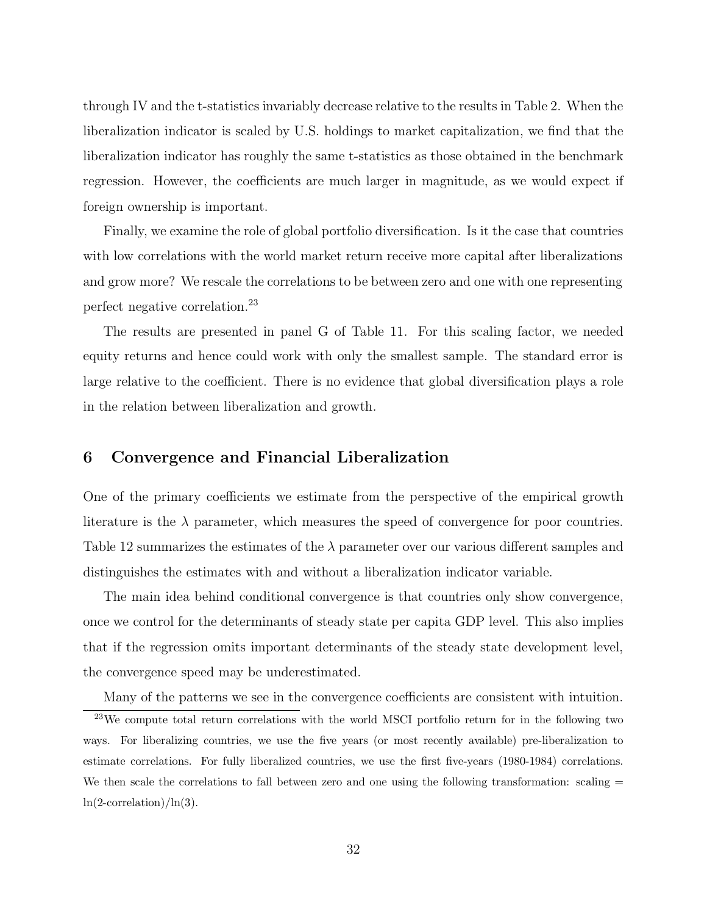through IV and the t-statistics invariably decrease relative to the results in Table 2. When the liberalization indicator is scaled by U.S. holdings to market capitalization, we find that the liberalization indicator has roughly the same t-statistics as those obtained in the benchmark regression. However, the coefficients are much larger in magnitude, as we would expect if foreign ownership is important.

Finally, we examine the role of global portfolio diversification. Is it the case that countries with low correlations with the world market return receive more capital after liberalizations and grow more? We rescale the correlations to be between zero and one with one representing perfect negative correlation.<sup>23</sup>

The results are presented in panel G of Table 11. For this scaling factor, we needed equity returns and hence could work with only the smallest sample. The standard error is large relative to the coefficient. There is no evidence that global diversification plays a role in the relation between liberalization and growth.

# **6 Convergence and Financial Liberalization**

One of the primary coefficients we estimate from the perspective of the empirical growth literature is the  $\lambda$  parameter, which measures the speed of convergence for poor countries. Table 12 summarizes the estimates of the  $\lambda$  parameter over our various different samples and distinguishes the estimates with and without a liberalization indicator variable.

The main idea behind conditional convergence is that countries only show convergence, once we control for the determinants of steady state per capita GDP level. This also implies that if the regression omits important determinants of the steady state development level, the convergence speed may be underestimated.

Many of the patterns we see in the convergence coefficients are consistent with intuition.

<sup>&</sup>lt;sup>23</sup>We compute total return correlations with the world MSCI portfolio return for in the following two ways. For liberalizing countries, we use the five years (or most recently available) pre-liberalization to estimate correlations. For fully liberalized countries, we use the first five-years (1980-1984) correlations. We then scale the correlations to fall between zero and one using the following transformation: scaling  $=$  $ln(2$ -correlation)/ $ln(3)$ .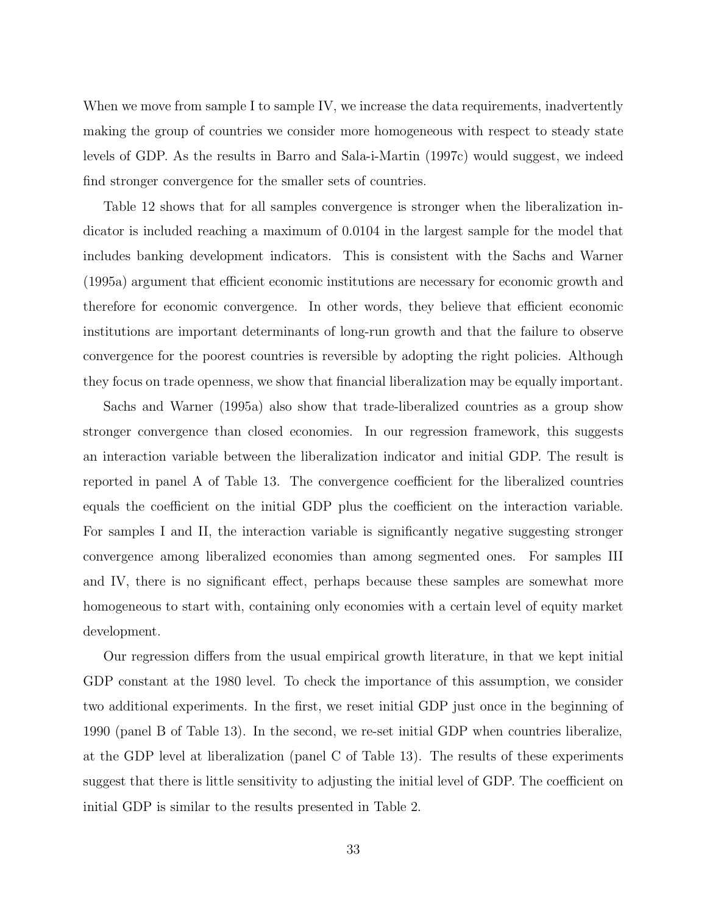When we move from sample I to sample IV, we increase the data requirements, inadvertently making the group of countries we consider more homogeneous with respect to steady state levels of GDP. As the results in Barro and Sala-i-Martin (1997c) would suggest, we indeed find stronger convergence for the smaller sets of countries.

Table 12 shows that for all samples convergence is stronger when the liberalization indicator is included reaching a maximum of 0.0104 in the largest sample for the model that includes banking development indicators. This is consistent with the Sachs and Warner (1995a) argument that efficient economic institutions are necessary for economic growth and therefore for economic convergence. In other words, they believe that efficient economic institutions are important determinants of long-run growth and that the failure to observe convergence for the poorest countries is reversible by adopting the right policies. Although they focus on trade openness, we show that financial liberalization may be equally important.

Sachs and Warner (1995a) also show that trade-liberalized countries as a group show stronger convergence than closed economies. In our regression framework, this suggests an interaction variable between the liberalization indicator and initial GDP. The result is reported in panel A of Table 13. The convergence coefficient for the liberalized countries equals the coefficient on the initial GDP plus the coefficient on the interaction variable. For samples I and II, the interaction variable is significantly negative suggesting stronger convergence among liberalized economies than among segmented ones. For samples III and IV, there is no significant effect, perhaps because these samples are somewhat more homogeneous to start with, containing only economies with a certain level of equity market development.

Our regression differs from the usual empirical growth literature, in that we kept initial GDP constant at the 1980 level. To check the importance of this assumption, we consider two additional experiments. In the first, we reset initial GDP just once in the beginning of 1990 (panel B of Table 13). In the second, we re-set initial GDP when countries liberalize, at the GDP level at liberalization (panel C of Table 13). The results of these experiments suggest that there is little sensitivity to adjusting the initial level of GDP. The coefficient on initial GDP is similar to the results presented in Table 2.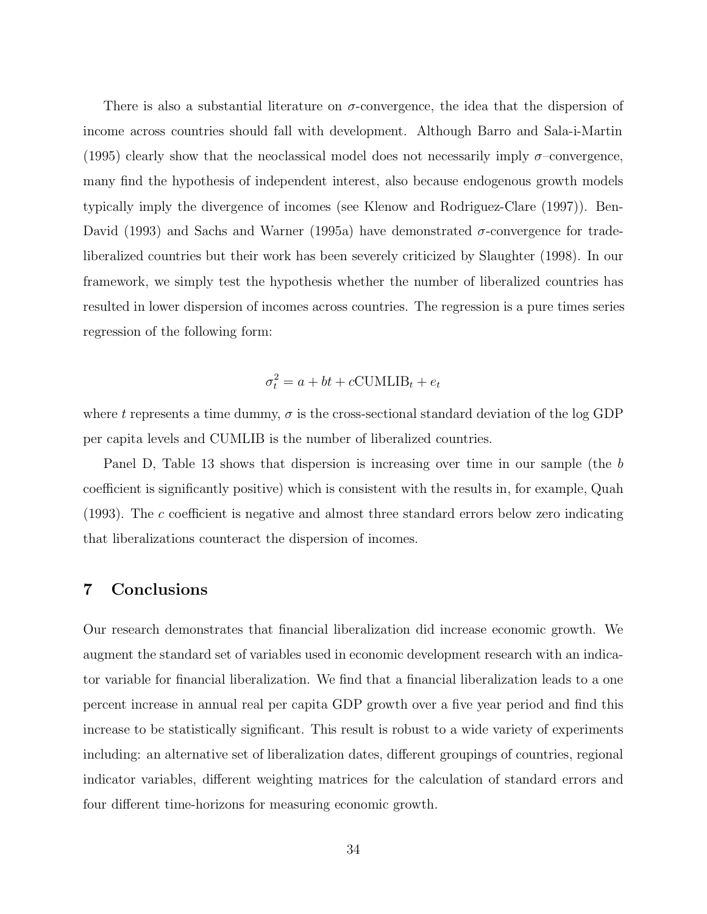There is also a substantial literature on  $\sigma$ -convergence, the idea that the dispersion of income across countries should fall with development. Although Barro and Sala-i-Martin (1995) clearly show that the neoclassical model does not necessarily imply  $\sigma$ -convergence, many find the hypothesis of independent interest, also because endogenous growth models typically imply the divergence of incomes (see Klenow and Rodriguez-Clare (1997)). Ben-David (1993) and Sachs and Warner (1995a) have demonstrated  $σ$ -convergence for tradeliberalized countries but their work has been severely criticized by Slaughter (1998). In our framework, we simply test the hypothesis whether the number of liberalized countries has resulted in lower dispersion of incomes across countries. The regression is a pure times series regression of the following form:

$$
\sigma_t^2 = a + bt + c\text{CUMLIB}_t + e_t
$$

where t represents a time dummy,  $\sigma$  is the cross-sectional standard deviation of the log GDP per capita levels and CUMLIB is the number of liberalized countries.

Panel D, Table 13 shows that dispersion is increasing over time in our sample (the b coefficient is significantly positive) which is consistent with the results in, for example, Quah (1993). The c coefficient is negative and almost three standard errors below zero indicating that liberalizations counteract the dispersion of incomes.

# **7 Conclusions**

Our research demonstrates that financial liberalization did increase economic growth. We augment the standard set of variables used in economic development research with an indicator variable for financial liberalization. We find that a financial liberalization leads to a one percent increase in annual real per capita GDP growth over a five year period and find this increase to be statistically significant. This result is robust to a wide variety of experiments including: an alternative set of liberalization dates, different groupings of countries, regional indicator variables, different weighting matrices for the calculation of standard errors and four different time-horizons for measuring economic growth.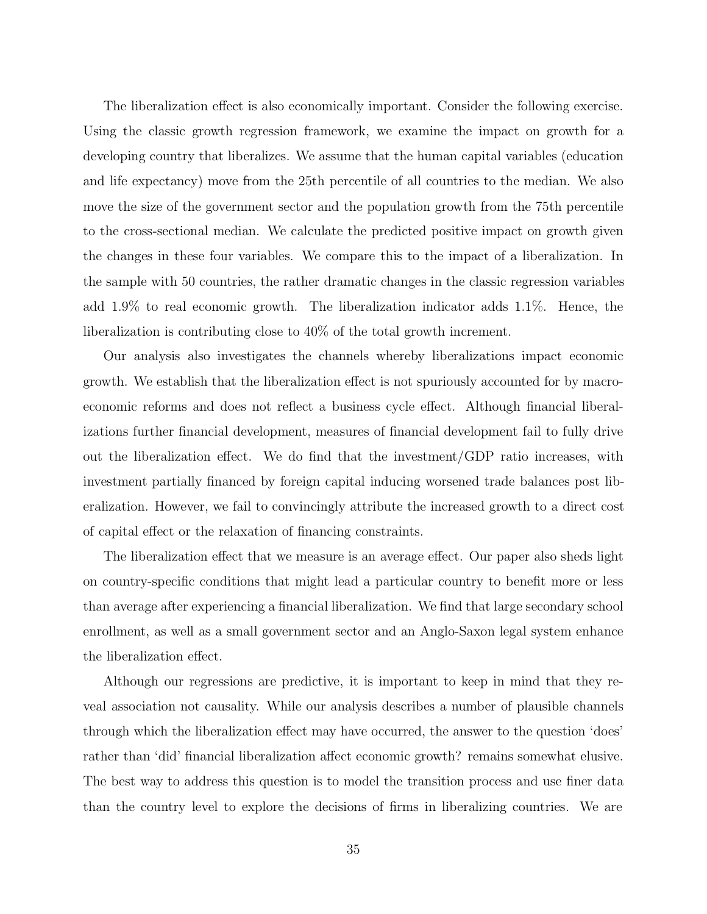The liberalization effect is also economically important. Consider the following exercise. Using the classic growth regression framework, we examine the impact on growth for a developing country that liberalizes. We assume that the human capital variables (education and life expectancy) move from the 25th percentile of all countries to the median. We also move the size of the government sector and the population growth from the 75th percentile to the cross-sectional median. We calculate the predicted positive impact on growth given the changes in these four variables. We compare this to the impact of a liberalization. In the sample with 50 countries, the rather dramatic changes in the classic regression variables add 1.9% to real economic growth. The liberalization indicator adds 1.1%. Hence, the liberalization is contributing close to 40% of the total growth increment.

Our analysis also investigates the channels whereby liberalizations impact economic growth. We establish that the liberalization effect is not spuriously accounted for by macroeconomic reforms and does not reflect a business cycle effect. Although financial liberalizations further financial development, measures of financial development fail to fully drive out the liberalization effect. We do find that the investment/GDP ratio increases, with investment partially financed by foreign capital inducing worsened trade balances post liberalization. However, we fail to convincingly attribute the increased growth to a direct cost of capital effect or the relaxation of financing constraints.

The liberalization effect that we measure is an average effect. Our paper also sheds light on country-specific conditions that might lead a particular country to benefit more or less than average after experiencing a financial liberalization. We find that large secondary school enrollment, as well as a small government sector and an Anglo-Saxon legal system enhance the liberalization effect.

Although our regressions are predictive, it is important to keep in mind that they reveal association not causality. While our analysis describes a number of plausible channels through which the liberalization effect may have occurred, the answer to the question 'does' rather than 'did' financial liberalization affect economic growth? remains somewhat elusive. The best way to address this question is to model the transition process and use finer data than the country level to explore the decisions of firms in liberalizing countries. We are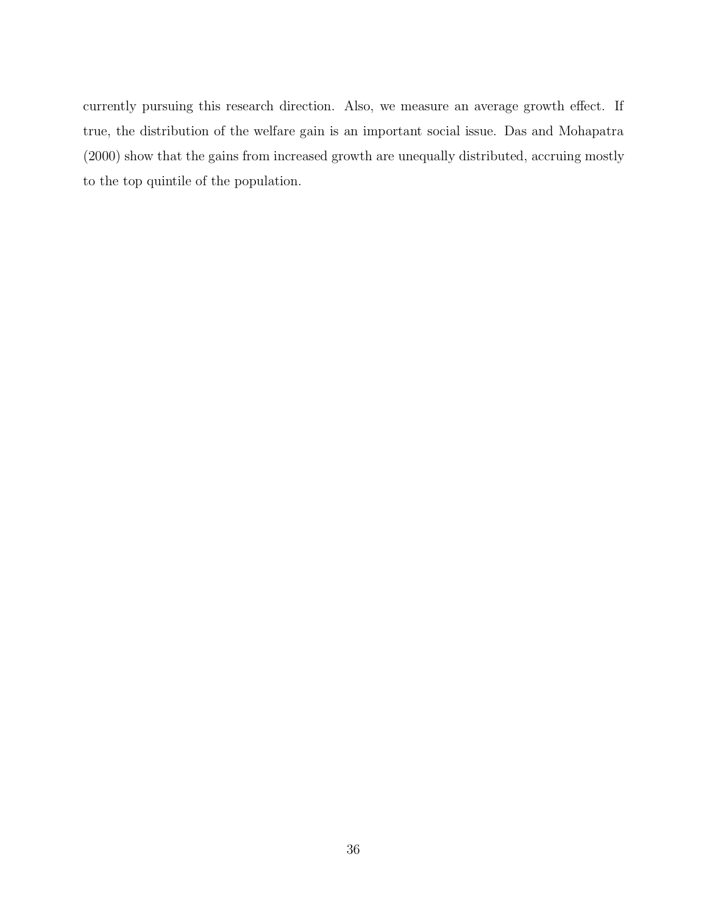currently pursuing this research direction. Also, we measure an average growth effect. If true, the distribution of the welfare gain is an important social issue. Das and Mohapatra (2000) show that the gains from increased growth are unequally distributed, accruing mostly to the top quintile of the population.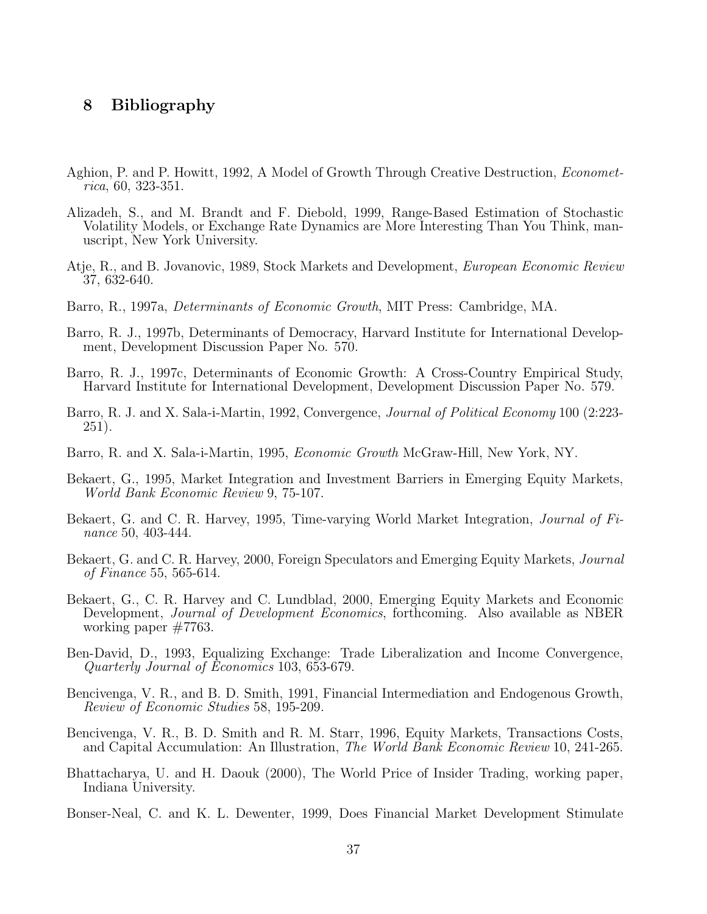# **8 Bibliography**

- Aghion, P. and P. Howitt, 1992, A Model of Growth Through Creative Destruction, *Economet*rica, 60, 323-351.
- Alizadeh, S., and M. Brandt and F. Diebold, 1999, Range-Based Estimation of Stochastic Volatility Models, or Exchange Rate Dynamics are More Interesting Than You Think, manuscript, New York University.
- Atje, R., and B. Jovanovic, 1989, Stock Markets and Development, European Economic Review 37, 632-640.
- Barro, R., 1997a, Determinants of Economic Growth, MIT Press: Cambridge, MA.
- Barro, R. J., 1997b, Determinants of Democracy, Harvard Institute for International Development, Development Discussion Paper No. 570.
- Barro, R. J., 1997c, Determinants of Economic Growth: A Cross-Country Empirical Study, Harvard Institute for International Development, Development Discussion Paper No. 579.
- Barro, R. J. and X. Sala-i-Martin, 1992, Convergence, *Journal of Political Economy* 100 (2:223-251).
- Barro, R. and X. Sala-i-Martin, 1995, Economic Growth McGraw-Hill, New York, NY.
- Bekaert, G., 1995, Market Integration and Investment Barriers in Emerging Equity Markets, World Bank Economic Review 9, 75-107.
- Bekaert, G. and C. R. Harvey, 1995, Time-varying World Market Integration, Journal of Finance 50, 403-444.
- Bekaert, G. and C. R. Harvey, 2000, Foreign Speculators and Emerging Equity Markets, Journal of Finance 55, 565-614.
- Bekaert, G., C. R. Harvey and C. Lundblad, 2000, Emerging Equity Markets and Economic Development, Journal of Development Economics, forthcoming. Also available as NBER working paper #7763.
- Ben-David, D., 1993, Equalizing Exchange: Trade Liberalization and Income Convergence, Quarterly Journal of Economics 103, 653-679.
- Bencivenga, V. R., and B. D. Smith, 1991, Financial Intermediation and Endogenous Growth, Review of Economic Studies 58, 195-209.
- Bencivenga, V. R., B. D. Smith and R. M. Starr, 1996, Equity Markets, Transactions Costs, and Capital Accumulation: An Illustration, The World Bank Economic Review 10, 241-265.
- Bhattacharya, U. and H. Daouk (2000), The World Price of Insider Trading, working paper, Indiana University.
- Bonser-Neal, C. and K. L. Dewenter, 1999, Does Financial Market Development Stimulate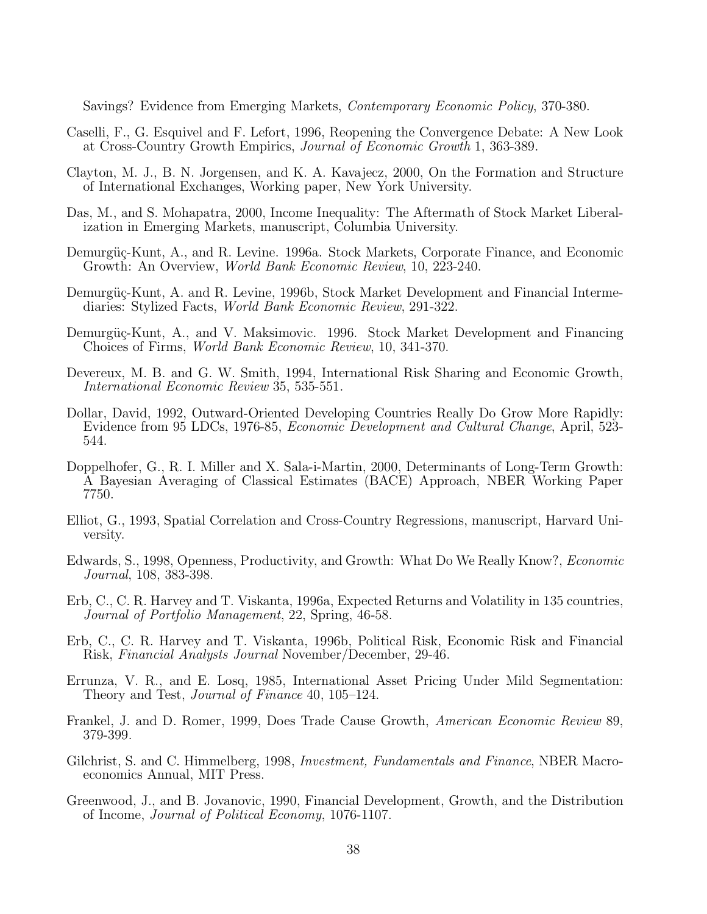Savings? Evidence from Emerging Markets, Contemporary Economic Policy, 370-380.

- Caselli, F., G. Esquivel and F. Lefort, 1996, Reopening the Convergence Debate: A New Look at Cross-Country Growth Empirics, Journal of Economic Growth 1, 363-389.
- Clayton, M. J., B. N. Jorgensen, and K. A. Kavajecz, 2000, On the Formation and Structure of International Exchanges, Working paper, New York University.
- Das, M., and S. Mohapatra, 2000, Income Inequality: The Aftermath of Stock Market Liberalization in Emerging Markets, manuscript, Columbia University.
- Demurgüç-Kunt, A., and R. Levine. 1996a. Stock Markets, Corporate Finance, and Economic Growth: An Overview, World Bank Economic Review, 10, 223-240.
- Demurgüc-Kunt, A. and R. Levine, 1996b, Stock Market Development and Financial Intermediaries: Stylized Facts, World Bank Economic Review, 291-322.
- Demurgüç-Kunt, A., and V. Maksimovic. 1996. Stock Market Development and Financing Choices of Firms, World Bank Economic Review, 10, 341-370.
- Devereux, M. B. and G. W. Smith, 1994, International Risk Sharing and Economic Growth, International Economic Review 35, 535-551.
- Dollar, David, 1992, Outward-Oriented Developing Countries Really Do Grow More Rapidly: Evidence from 95 LDCs, 1976-85, Economic Development and Cultural Change, April, 523- 544.
- Doppelhofer, G., R. I. Miller and X. Sala-i-Martin, 2000, Determinants of Long-Term Growth: A Bayesian Averaging of Classical Estimates (BACE) Approach, NBER Working Paper 7750.
- Elliot, G., 1993, Spatial Correlation and Cross-Country Regressions, manuscript, Harvard University.
- Edwards, S., 1998, Openness, Productivity, and Growth: What Do We Really Know?, Economic Journal, 108, 383-398.
- Erb, C., C. R. Harvey and T. Viskanta, 1996a, Expected Returns and Volatility in 135 countries, Journal of Portfolio Management, 22, Spring, 46-58.
- Erb, C., C. R. Harvey and T. Viskanta, 1996b, Political Risk, Economic Risk and Financial Risk, Financial Analysts Journal November/December, 29-46.
- Errunza, V. R., and E. Losq, 1985, International Asset Pricing Under Mild Segmentation: Theory and Test, Journal of Finance 40, 105–124.
- Frankel, J. and D. Romer, 1999, Does Trade Cause Growth, American Economic Review 89, 379-399.
- Gilchrist, S. and C. Himmelberg, 1998, *Investment, Fundamentals and Finance*, NBER Macroeconomics Annual, MIT Press.
- Greenwood, J., and B. Jovanovic, 1990, Financial Development, Growth, and the Distribution of Income, Journal of Political Economy, 1076-1107.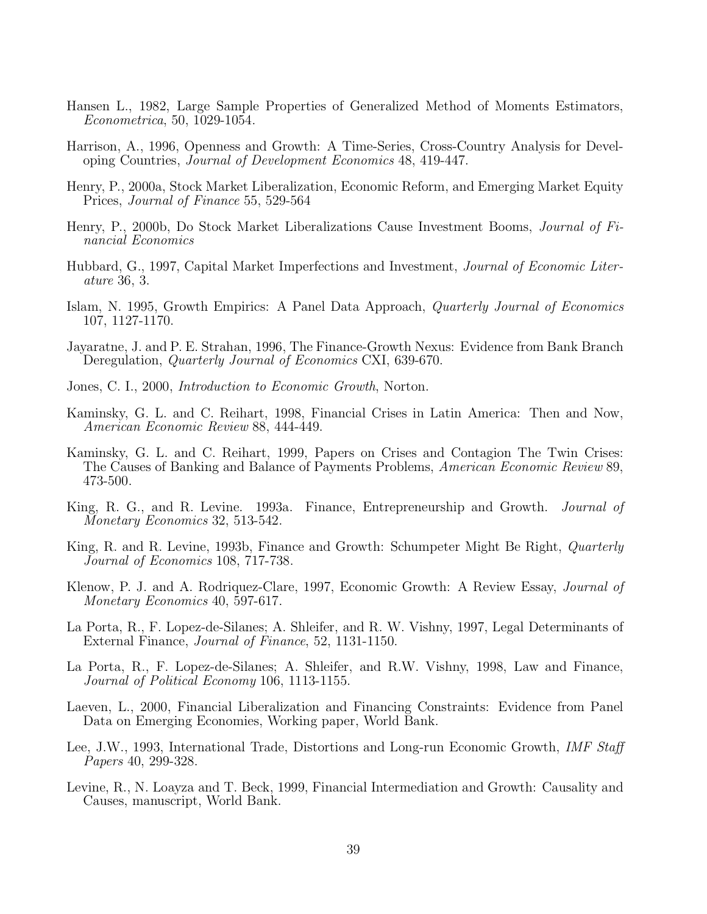- Hansen L., 1982, Large Sample Properties of Generalized Method of Moments Estimators, Econometrica, 50, 1029-1054.
- Harrison, A., 1996, Openness and Growth: A Time-Series, Cross-Country Analysis for Developing Countries, Journal of Development Economics 48, 419-447.
- Henry, P., 2000a, Stock Market Liberalization, Economic Reform, and Emerging Market Equity Prices, Journal of Finance 55, 529-564
- Henry, P., 2000b, Do Stock Market Liberalizations Cause Investment Booms, Journal of Financial Economics
- Hubbard, G., 1997, Capital Market Imperfections and Investment, Journal of Economic Literature 36, 3.
- Islam, N. 1995, Growth Empirics: A Panel Data Approach, Quarterly Journal of Economics 107, 1127-1170.
- Jayaratne, J. and P. E. Strahan, 1996, The Finance-Growth Nexus: Evidence from Bank Branch Deregulation, *Quarterly Journal of Economics* CXI, 639-670.
- Jones, C. I., 2000, Introduction to Economic Growth, Norton.
- Kaminsky, G. L. and C. Reihart, 1998, Financial Crises in Latin America: Then and Now, American Economic Review 88, 444-449.
- Kaminsky, G. L. and C. Reihart, 1999, Papers on Crises and Contagion The Twin Crises: The Causes of Banking and Balance of Payments Problems, American Economic Review 89, 473-500.
- King, R. G., and R. Levine. 1993a. Finance, Entrepreneurship and Growth. Journal of Monetary Economics 32, 513-542.
- King, R. and R. Levine, 1993b, Finance and Growth: Schumpeter Might Be Right, *Quarterly* Journal of Economics 108, 717-738.
- Klenow, P. J. and A. Rodriquez-Clare, 1997, Economic Growth: A Review Essay, Journal of Monetary Economics 40, 597-617.
- La Porta, R., F. Lopez-de-Silanes; A. Shleifer, and R. W. Vishny, 1997, Legal Determinants of External Finance, Journal of Finance, 52, 1131-1150.
- La Porta, R., F. Lopez-de-Silanes; A. Shleifer, and R.W. Vishny, 1998, Law and Finance, Journal of Political Economy 106, 1113-1155.
- Laeven, L., 2000, Financial Liberalization and Financing Constraints: Evidence from Panel Data on Emerging Economies, Working paper, World Bank.
- Lee, J.W., 1993, International Trade, Distortions and Long-run Economic Growth, *IMF Staff* Papers 40, 299-328.
- Levine, R., N. Loayza and T. Beck, 1999, Financial Intermediation and Growth: Causality and Causes, manuscript, World Bank.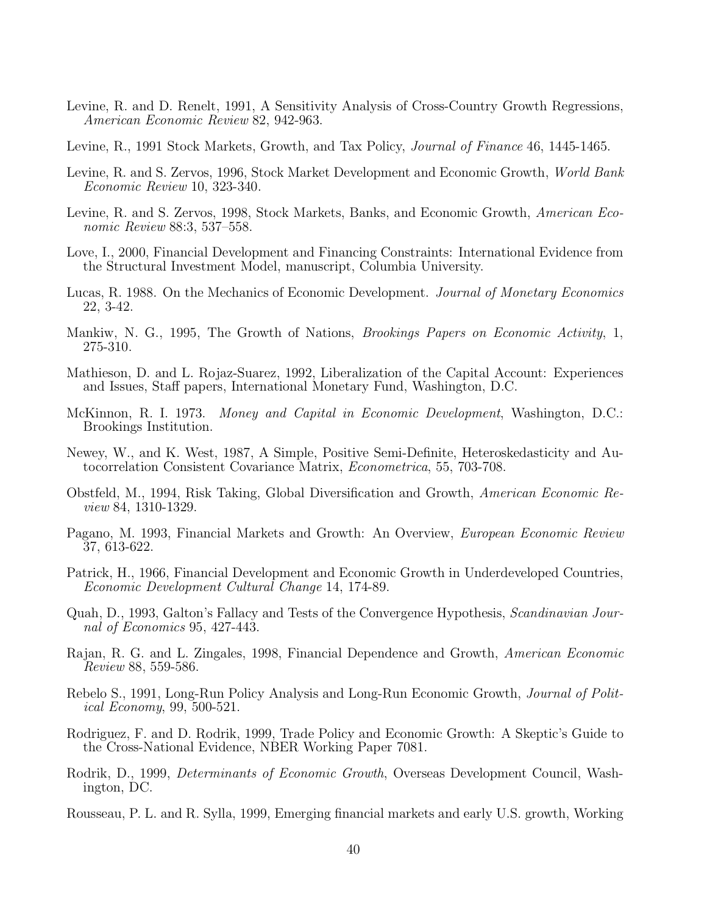- Levine, R. and D. Renelt, 1991, A Sensitivity Analysis of Cross-Country Growth Regressions, American Economic Review 82, 942-963.
- Levine, R., 1991 Stock Markets, Growth, and Tax Policy, *Journal of Finance* 46, 1445-1465.
- Levine, R. and S. Zervos, 1996, Stock Market Development and Economic Growth, World Bank Economic Review 10, 323-340.
- Levine, R. and S. Zervos, 1998, Stock Markets, Banks, and Economic Growth, American Economic Review 88:3, 537–558.
- Love, I., 2000, Financial Development and Financing Constraints: International Evidence from the Structural Investment Model, manuscript, Columbia University.
- Lucas, R. 1988. On the Mechanics of Economic Development. Journal of Monetary Economics 22, 3-42.
- Mankiw, N. G., 1995, The Growth of Nations, Brookings Papers on Economic Activity, 1, 275-310.
- Mathieson, D. and L. Rojaz-Suarez, 1992, Liberalization of the Capital Account: Experiences and Issues, Staff papers, International Monetary Fund, Washington, D.C.
- McKinnon, R. I. 1973. Money and Capital in Economic Development, Washington, D.C.: Brookings Institution.
- Newey, W., and K. West, 1987, A Simple, Positive Semi-Definite, Heteroskedasticity and Autocorrelation Consistent Covariance Matrix, Econometrica, 55, 703-708.
- Obstfeld, M., 1994, Risk Taking, Global Diversification and Growth, American Economic Review 84, 1310-1329.
- Pagano, M. 1993, Financial Markets and Growth: An Overview, European Economic Review 37, 613-622.
- Patrick, H., 1966, Financial Development and Economic Growth in Underdeveloped Countries, Economic Development Cultural Change 14, 174-89.
- Quah, D., 1993, Galton's Fallacy and Tests of the Convergence Hypothesis, Scandinavian Journal of Economics 95, 427-443.
- Rajan, R. G. and L. Zingales, 1998, Financial Dependence and Growth, American Economic Review 88, 559-586.
- Rebelo S., 1991, Long-Run Policy Analysis and Long-Run Economic Growth, Journal of Political Economy, 99, 500-521.
- Rodriguez, F. and D. Rodrik, 1999, Trade Policy and Economic Growth: A Skeptic's Guide to the Cross-National Evidence, NBER Working Paper 7081.
- Rodrik, D., 1999, Determinants of Economic Growth, Overseas Development Council, Washington, DC.
- Rousseau, P. L. and R. Sylla, 1999, Emerging financial markets and early U.S. growth, Working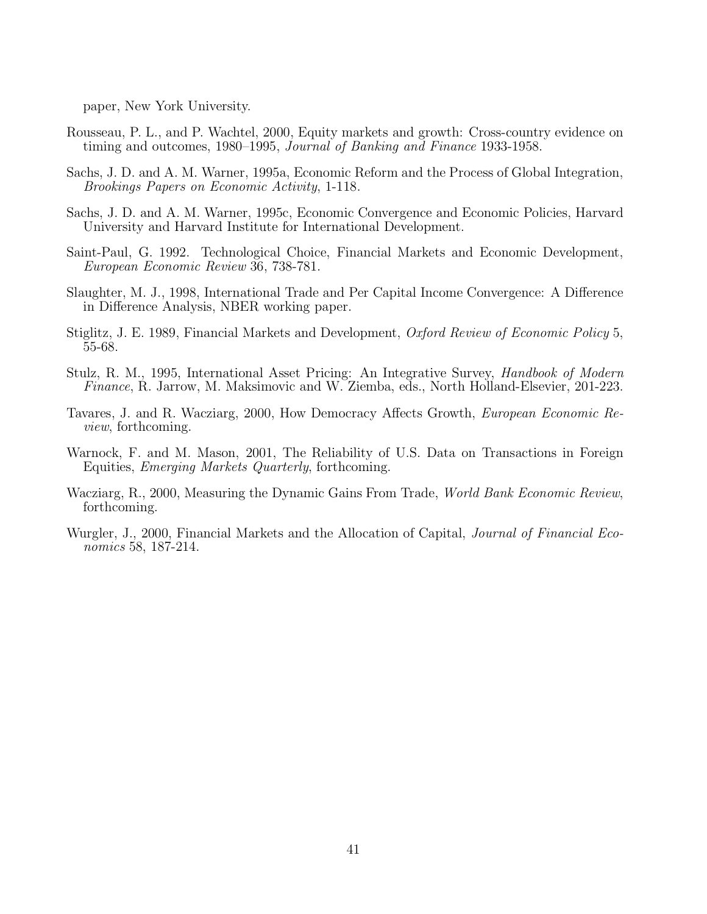paper, New York University.

- Rousseau, P. L., and P. Wachtel, 2000, Equity markets and growth: Cross-country evidence on timing and outcomes, 1980–1995, Journal of Banking and Finance 1933-1958.
- Sachs, J. D. and A. M. Warner, 1995a, Economic Reform and the Process of Global Integration, Brookings Papers on Economic Activity, 1-118.
- Sachs, J. D. and A. M. Warner, 1995c, Economic Convergence and Economic Policies, Harvard University and Harvard Institute for International Development.
- Saint-Paul, G. 1992. Technological Choice, Financial Markets and Economic Development, European Economic Review 36, 738-781.
- Slaughter, M. J., 1998, International Trade and Per Capital Income Convergence: A Difference in Difference Analysis, NBER working paper.
- Stiglitz, J. E. 1989, Financial Markets and Development, Oxford Review of Economic Policy 5, 55-68.
- Stulz, R. M., 1995, International Asset Pricing: An Integrative Survey, Handbook of Modern Finance, R. Jarrow, M. Maksimovic and W. Ziemba, eds., North Holland-Elsevier, 201-223.
- Tavares, J. and R. Wacziarg, 2000, How Democracy Affects Growth, European Economic Review, forthcoming.
- Warnock, F. and M. Mason, 2001, The Reliability of U.S. Data on Transactions in Foreign Equities, Emerging Markets Quarterly, forthcoming.
- Wacziarg, R., 2000, Measuring the Dynamic Gains From Trade, *World Bank Economic Review*, forthcoming.
- Wurgler, J., 2000, Financial Markets and the Allocation of Capital, *Journal of Financial Eco*nomics 58, 187-214.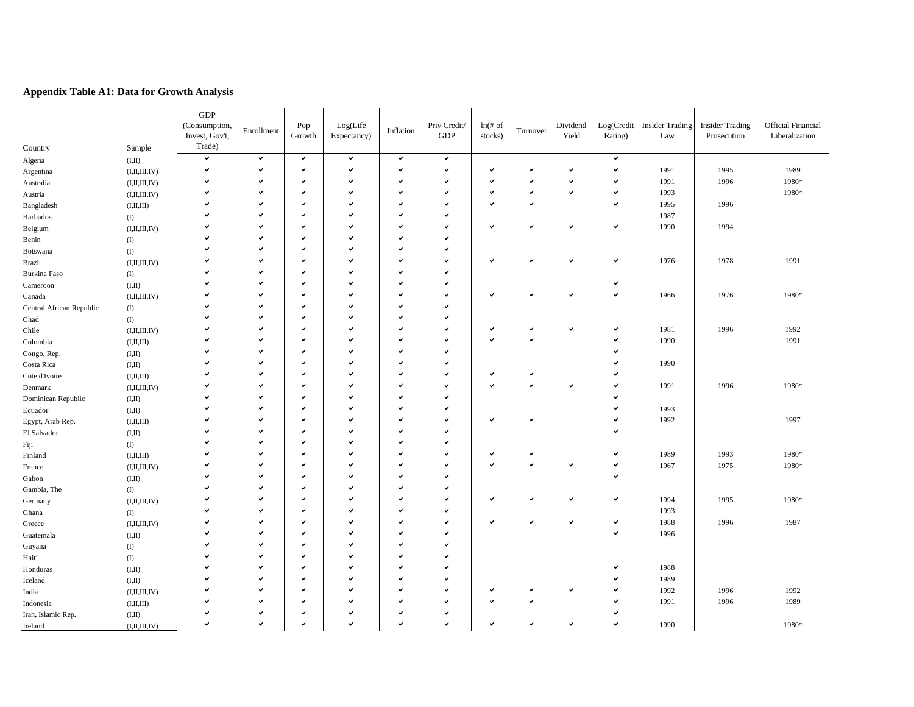### **Appendix Table A1: Data for Growth Analysis**

| (Consumption,<br>Log(Life<br>Priv Credit/<br>$ln(f)$ of<br>Dividend<br>Log(Credit Insider Trading<br><b>Insider Trading</b><br>Pop<br>Enrollment<br>Inflation<br>Turnover<br>Invest, Gov't,<br>Growth<br>Expectancy)<br><b>GDP</b><br>stocks)<br>Yield<br>Rating)<br>Law<br>Prosecution<br>Trade)<br>Country<br>Sample<br>$\checkmark$<br>$\checkmark$<br>$\checkmark$<br>$\checkmark$<br>$\checkmark$<br>$\checkmark$<br>$\checkmark$<br>(I,II)<br>Algeria<br>v<br>v<br>$\checkmark$<br>v<br>$\checkmark$<br>$\checkmark$<br>v<br>$\checkmark$<br>$\checkmark$<br>✓<br>1991<br>1995<br>(I, II, III, IV)<br>Argentina<br>$\checkmark$<br>$\checkmark$<br>$\checkmark$<br>$\checkmark$<br>v<br>v<br>v<br>$\checkmark$<br>✔<br>1991<br>1996<br>✓<br>(I, II, III, IV)<br>Australia | <b>Official Financial</b><br>Liberalization<br>1989<br>1980*<br>1980* |
|---------------------------------------------------------------------------------------------------------------------------------------------------------------------------------------------------------------------------------------------------------------------------------------------------------------------------------------------------------------------------------------------------------------------------------------------------------------------------------------------------------------------------------------------------------------------------------------------------------------------------------------------------------------------------------------------------------------------------------------------------------------------------------|-----------------------------------------------------------------------|
|                                                                                                                                                                                                                                                                                                                                                                                                                                                                                                                                                                                                                                                                                                                                                                                 |                                                                       |
|                                                                                                                                                                                                                                                                                                                                                                                                                                                                                                                                                                                                                                                                                                                                                                                 |                                                                       |
|                                                                                                                                                                                                                                                                                                                                                                                                                                                                                                                                                                                                                                                                                                                                                                                 |                                                                       |
|                                                                                                                                                                                                                                                                                                                                                                                                                                                                                                                                                                                                                                                                                                                                                                                 |                                                                       |
|                                                                                                                                                                                                                                                                                                                                                                                                                                                                                                                                                                                                                                                                                                                                                                                 |                                                                       |
| $\checkmark$<br>$\checkmark$<br>✓<br>$\checkmark$<br>$\checkmark$<br>v<br>1993<br>u                                                                                                                                                                                                                                                                                                                                                                                                                                                                                                                                                                                                                                                                                             |                                                                       |
| (I, II, III, IV)<br>Austria<br>v<br>$\checkmark$<br>v<br>$\checkmark$<br>$\checkmark$<br>$\checkmark$<br>1995<br>1996<br>v<br>v                                                                                                                                                                                                                                                                                                                                                                                                                                                                                                                                                                                                                                                 |                                                                       |
| (I, II, III)<br>Bangladesh<br>ں<br>$\checkmark$<br>$\checkmark$<br>1987<br>✓<br>$\checkmark$                                                                                                                                                                                                                                                                                                                                                                                                                                                                                                                                                                                                                                                                                    |                                                                       |
| Barbados<br>$\left( \mathrm{I}\right)$<br>$\checkmark$<br>v<br>$\checkmark$<br>$\checkmark$<br>v<br>v<br>$\checkmark$<br>$\checkmark$                                                                                                                                                                                                                                                                                                                                                                                                                                                                                                                                                                                                                                           |                                                                       |
| 1990<br>1994<br>(I, II, III, IV)<br>Belgium<br>v<br>$\checkmark$<br>$\checkmark$<br>$\checkmark$                                                                                                                                                                                                                                                                                                                                                                                                                                                                                                                                                                                                                                                                                |                                                                       |
| Benin<br>$\left( \mathrm{I}\right)$<br>$\checkmark$<br>$\checkmark$<br>$\checkmark$<br>v                                                                                                                                                                                                                                                                                                                                                                                                                                                                                                                                                                                                                                                                                        |                                                                       |
| $($ $\Gamma$<br>Botswana<br>$\checkmark$<br>$\checkmark$<br>v<br>$\checkmark$<br>$\checkmark$                                                                                                                                                                                                                                                                                                                                                                                                                                                                                                                                                                                                                                                                                   |                                                                       |
| v<br>$\checkmark$<br>v<br>1978<br>1976<br>(I, II, III, IV)<br>Brazil<br>v<br>v<br>$\checkmark$<br>$\checkmark$<br>$\checkmark$                                                                                                                                                                                                                                                                                                                                                                                                                                                                                                                                                                                                                                                  | 1991                                                                  |
| $\left( \mathrm{I}\right)$<br>Burkina Faso                                                                                                                                                                                                                                                                                                                                                                                                                                                                                                                                                                                                                                                                                                                                      |                                                                       |
| $\checkmark$<br>✓<br>u<br>$\checkmark$<br>$\checkmark$<br>(I,II)<br>Cameroon                                                                                                                                                                                                                                                                                                                                                                                                                                                                                                                                                                                                                                                                                                    |                                                                       |
| v<br>$\checkmark$<br>v<br>v<br>1976<br>v<br>$\checkmark$<br>$\checkmark$<br>$\checkmark$<br>1966<br>(I, II, III, IV)<br>Canada                                                                                                                                                                                                                                                                                                                                                                                                                                                                                                                                                                                                                                                  | 1980*                                                                 |
| $\checkmark$<br>$\checkmark$<br>v<br>v<br>v<br>Central African Republic<br>$\left( I\right)$                                                                                                                                                                                                                                                                                                                                                                                                                                                                                                                                                                                                                                                                                    |                                                                       |
| $\checkmark$<br>v<br>$\checkmark$<br>$\checkmark$<br>$\left( \mathrm{I}\right)$<br>Chad                                                                                                                                                                                                                                                                                                                                                                                                                                                                                                                                                                                                                                                                                         |                                                                       |
| $\checkmark$<br>$\checkmark$<br>$\checkmark$<br>$\checkmark$<br>1981<br>1996<br>v<br>$\checkmark$<br>$\checkmark$<br>✔<br>(I, II, III, IV)<br>Chile                                                                                                                                                                                                                                                                                                                                                                                                                                                                                                                                                                                                                             | 1992                                                                  |
| $\checkmark$<br>$\checkmark$<br>1990<br>$\checkmark$<br>$\checkmark$<br>v<br>Colombia<br>(I, II, III)                                                                                                                                                                                                                                                                                                                                                                                                                                                                                                                                                                                                                                                                           | 1991                                                                  |
| V<br>$\checkmark$<br>$\checkmark$<br>$\checkmark$<br>v<br>Congo, Rep.<br>(I,II)                                                                                                                                                                                                                                                                                                                                                                                                                                                                                                                                                                                                                                                                                                 |                                                                       |
| ں<br>$\checkmark$<br>$\checkmark$<br>v<br>1990<br>$\checkmark$<br>Costa Rica<br>(I,II)                                                                                                                                                                                                                                                                                                                                                                                                                                                                                                                                                                                                                                                                                          |                                                                       |
| $\checkmark$<br>$\checkmark$<br>✔<br>$\checkmark$<br>✓<br>✓<br>$\checkmark$<br>Cote d'Ivoire<br>(I, II, III)                                                                                                                                                                                                                                                                                                                                                                                                                                                                                                                                                                                                                                                                    |                                                                       |
| v<br>$\checkmark$<br>$\checkmark$<br>v<br>$\checkmark$<br>$\checkmark$<br>✓<br>1991<br>1996<br>$\checkmark$<br>(I, II, III, IV)<br>Denmark                                                                                                                                                                                                                                                                                                                                                                                                                                                                                                                                                                                                                                      | 1980*                                                                 |
| U<br>$\checkmark$<br>$\checkmark$<br>$\overline{\phantom{0}}$<br>v<br>Dominican Republic<br>(I,II)                                                                                                                                                                                                                                                                                                                                                                                                                                                                                                                                                                                                                                                                              |                                                                       |
| V<br>$\checkmark$<br>v<br>$\checkmark$<br>$\checkmark$<br>1993<br>Ecuador<br>(I,II)                                                                                                                                                                                                                                                                                                                                                                                                                                                                                                                                                                                                                                                                                             |                                                                       |
| v<br>$\checkmark$<br>V<br>v<br>$\checkmark$<br>$\checkmark$<br>$\checkmark$<br>1992<br>Egypt, Arab Rep.<br>(I, II, III)                                                                                                                                                                                                                                                                                                                                                                                                                                                                                                                                                                                                                                                         | 1997                                                                  |
| $\checkmark$<br>$\checkmark$<br>✓<br>v<br>✓<br>El Salvador<br>(I,II)                                                                                                                                                                                                                                                                                                                                                                                                                                                                                                                                                                                                                                                                                                            |                                                                       |
| v<br>$\checkmark$<br>$\checkmark$<br>$\checkmark$<br>Fiji<br>$\left( \mathrm{I}\right)$                                                                                                                                                                                                                                                                                                                                                                                                                                                                                                                                                                                                                                                                                         |                                                                       |
| V<br>$\checkmark$<br>v<br>$\checkmark$<br>1989<br>1993<br>v<br>$\checkmark$<br>$\checkmark$<br>Finland<br>(I, II, III)                                                                                                                                                                                                                                                                                                                                                                                                                                                                                                                                                                                                                                                          | 1980*                                                                 |
| v<br>$\checkmark$<br>$\checkmark$<br>$\checkmark$<br>✓<br>1975<br>v<br>$\checkmark$<br>1967<br>(I, II, III, IV)<br>France                                                                                                                                                                                                                                                                                                                                                                                                                                                                                                                                                                                                                                                       | 1980*                                                                 |
| $\checkmark$<br>v<br>v<br>$\checkmark$<br>$\checkmark$<br>(I,II)<br>Gabon                                                                                                                                                                                                                                                                                                                                                                                                                                                                                                                                                                                                                                                                                                       |                                                                       |
| $\checkmark$<br>$\checkmark$<br>Gambia, The<br>$\left( \mathrm{I}\right)$                                                                                                                                                                                                                                                                                                                                                                                                                                                                                                                                                                                                                                                                                                       |                                                                       |
| v<br>$\checkmark$<br>v<br>$\checkmark$<br>$\checkmark$<br>$\checkmark$<br>1994<br>1995<br>v<br>$\checkmark$<br>✓<br>(I, II, III, IV)<br>Germany                                                                                                                                                                                                                                                                                                                                                                                                                                                                                                                                                                                                                                 | 1980*                                                                 |
| ں<br>$\checkmark$<br>$\checkmark$<br>$\checkmark$<br>1993<br>Ghana<br>$\left( I\right)$                                                                                                                                                                                                                                                                                                                                                                                                                                                                                                                                                                                                                                                                                         |                                                                       |
| $\checkmark$<br>$\checkmark$<br>$\checkmark$<br>$\checkmark$<br>1988<br>1996<br>$\checkmark$<br>$\checkmark$<br>✓<br>$\checkmark$<br>(I, II, III, IV)<br>Greece                                                                                                                                                                                                                                                                                                                                                                                                                                                                                                                                                                                                                 | 1987                                                                  |
| v<br>$\checkmark$<br>$\checkmark$<br>$\checkmark$<br>✓<br>1996<br>Guatemala<br>(I,II)                                                                                                                                                                                                                                                                                                                                                                                                                                                                                                                                                                                                                                                                                           |                                                                       |
| $\checkmark$<br>$\checkmark$<br>$\checkmark$<br>v<br>$\left( I\right)$<br>Guyana                                                                                                                                                                                                                                                                                                                                                                                                                                                                                                                                                                                                                                                                                                |                                                                       |
| $\checkmark$<br>v<br>$\checkmark$<br>$\checkmark$<br>Haiti<br>$\left( \mathrm{I}\right)$                                                                                                                                                                                                                                                                                                                                                                                                                                                                                                                                                                                                                                                                                        |                                                                       |
| $\mathbf{v}$<br>$\checkmark$<br>1988<br>v<br>$\checkmark$<br>$\checkmark$<br>M<br>(I,II)<br>Honduras                                                                                                                                                                                                                                                                                                                                                                                                                                                                                                                                                                                                                                                                            |                                                                       |
| 1989<br>$\checkmark$<br>$\checkmark$<br>✓<br>v<br>✓<br>(I,II)<br>Iceland                                                                                                                                                                                                                                                                                                                                                                                                                                                                                                                                                                                                                                                                                                        |                                                                       |
| $\checkmark$<br>$\checkmark$<br>v<br>$\checkmark$<br>$\checkmark$<br>$\checkmark$<br>$\checkmark$<br>$\checkmark$<br>1992<br>1996<br>(I, II, III, IV)<br>India                                                                                                                                                                                                                                                                                                                                                                                                                                                                                                                                                                                                                  | 1992                                                                  |
| $\checkmark$<br>$\checkmark$<br>$\checkmark$<br>$\checkmark$<br>$\checkmark$<br>v<br>1991<br>1996<br>v<br>v<br>(I, II, III)<br>Indonesia                                                                                                                                                                                                                                                                                                                                                                                                                                                                                                                                                                                                                                        | 1989                                                                  |
| $\checkmark$<br>$\checkmark$<br>$\checkmark$<br>$\checkmark$<br>$\checkmark$<br>v<br>✔<br>(I,II)<br>Iran, Islamic Rep.                                                                                                                                                                                                                                                                                                                                                                                                                                                                                                                                                                                                                                                          |                                                                       |
| v<br>$\checkmark$<br>$\mathbf{v}$<br>v<br>$\checkmark$<br>v<br>V<br>v<br>$\checkmark$<br>✓<br>1990<br>(I, II, III, IV)<br>Ireland                                                                                                                                                                                                                                                                                                                                                                                                                                                                                                                                                                                                                                               | 1980*                                                                 |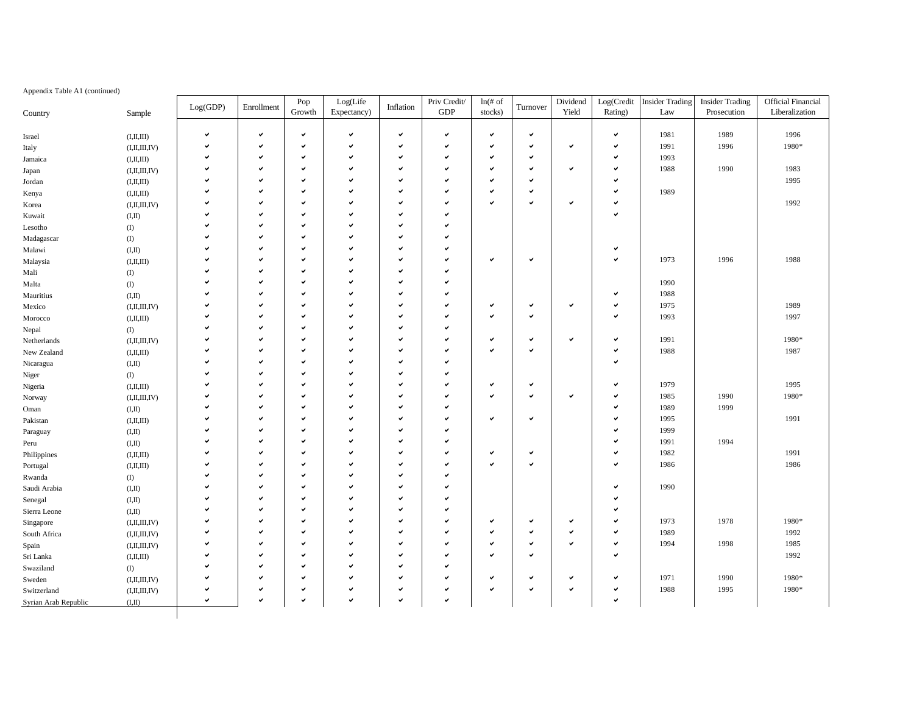### Appendix Table A1 (continued)

| Growth<br>GDP<br>stocks)<br>Yield<br>Rating)<br>Liberalization<br>Expectancy)<br>Law<br>Prosecution<br>Sample<br>$\checkmark$<br>$\checkmark$<br>v<br>$\checkmark$<br>v<br>$\checkmark$<br>$\checkmark$<br>$\checkmark$<br>1981<br>1989<br>1996<br>$\checkmark$<br>(I, II, III)<br>$\checkmark$<br>1991<br>1980*<br>v<br>$\checkmark$<br>v<br>1996<br>v<br>✓<br>✓<br>✓<br>v<br>(I, II, III, IV)<br>Italy<br>v<br>٧<br>$\checkmark$<br>$\checkmark$<br>٧<br>✓<br>$\checkmark$<br>$\checkmark$<br>1993<br>(I, II, III)<br>Jamaica<br>$\checkmark$<br>$\checkmark$<br>v<br>1988<br>1990<br>1983<br>v<br>$\checkmark$<br>$\checkmark$<br>✓<br>$\checkmark$<br>v<br>✓<br>(I, II, III, IV)<br>Japan<br>1995<br>$\checkmark$<br>$\checkmark$<br>ں<br>v<br>v<br>$\checkmark$<br>v<br>۷<br>(I, II, III)<br>Jordan<br>1989<br>$\checkmark$<br>ں<br>$\checkmark$<br>✓<br>$\checkmark$<br>$\checkmark$<br>v<br>$\checkmark$<br>v<br>(I, II, III)<br>Kenya<br>v<br>$\checkmark$<br>$\checkmark$<br>$\checkmark$<br>1992<br>$\checkmark$<br>✓<br>v<br>✓<br>(I, II, III, IV)<br>Korea<br>$\checkmark$<br>$\checkmark$<br>$\checkmark$<br>v<br>v<br>◡<br>v<br>(I,II)<br>Kuwait<br>$\checkmark$<br>v<br>ں<br>$\checkmark$<br>v<br>$\left( I\right)$<br>Lesotho<br>M<br>$\checkmark$<br>✓<br>u<br>v<br>◡<br>$\left( I\right)$<br>Madagascar<br>$\checkmark$<br>✓<br>$\checkmark$<br>$\checkmark$<br>✓<br>v<br>(I,II)<br>Malawi<br>v<br>$\checkmark$<br>v<br>1973<br>1996<br>1988<br>v<br>$\checkmark$<br>$\checkmark$<br>✓<br>$\checkmark$<br>v<br>(I, II, III)<br>Malaysia<br>$\checkmark$<br>v<br>v<br>v<br>$\left( \mathrm{I}\right)$<br>Mali<br>1990<br>$\checkmark$<br>M<br>$\checkmark$<br>u<br>$\checkmark$<br>◡<br>$\left( \mathrm{I}\right)$<br>Malta<br>1988<br>$\checkmark$<br>✔<br>✓<br>✓<br>✓<br>(I,II)<br>Mauritius<br>$\checkmark$<br>$\checkmark$<br>$\checkmark$<br>$\checkmark$<br>$\checkmark$<br>$\checkmark$<br>$\checkmark$<br>1975<br>1989<br>u<br>✓<br>٧<br>(I, II, III, IV)<br>Mexico<br>V<br>$\checkmark$<br>v<br>ں<br>$\checkmark$<br>$\checkmark$<br>$\checkmark$<br>1993<br>1997<br>v<br>(I, II, III)<br>Morocco<br>u<br>$\checkmark$<br>✓<br>v<br>(1)<br>ں<br>Nepal<br>✓<br>$\checkmark$<br>$\checkmark$<br>$\checkmark$<br>1991<br>1980*<br>$\checkmark$<br>✔<br>✔<br>v<br>(I, II, III, IV)<br>Netherlands<br>V<br>$\checkmark$<br>$\checkmark$<br>$\checkmark$<br>v<br>$\checkmark$<br>$\checkmark$<br>v<br>1988<br>1987<br>◡<br>New Zealand<br>(I,II,III)<br>$\checkmark$<br>$\checkmark$<br>ں<br>v<br>v<br>✓<br>(I,II)<br>$\checkmark$<br>M<br>$\checkmark$<br>u<br>$\checkmark$<br>◡<br>$\left( \mathrm{I}\right)$<br>1979<br>1995<br>$\checkmark$<br>✔<br>✓<br>✓<br>$\checkmark$<br>✓<br>✓<br>(I, II, III)<br>$\checkmark$<br>$\checkmark$<br>$\checkmark$<br>$\checkmark$<br>$\checkmark$<br>$\checkmark$<br>$\checkmark$<br>◡<br>1990<br>1980*<br>ں<br>1985<br>(I, II, III, IV)<br>$\checkmark$<br>v<br>v<br>$\checkmark$<br>v<br>1989<br>1999<br>✓<br>(I,II)<br>V<br>$\checkmark$<br>1991<br>v<br>1995<br>u<br>$\checkmark$<br>$\checkmark$<br>u<br>v<br>✓<br>(I, II, III)<br>$\checkmark$<br>1999<br>$\checkmark$<br>$\checkmark$<br>✓<br>v<br>(I,II)<br>$\checkmark$<br>$\checkmark$<br>v<br>$\checkmark$<br>$\checkmark$<br>◡<br>1994<br>✓<br>1991<br>(I,II)<br>$\checkmark$<br>v<br>v<br>$\checkmark$<br>$\checkmark$<br>v<br>1982<br>1991<br>۷<br>(I,II,III)<br>Philippines<br>V<br>$\checkmark$<br>1986<br>v<br>1986<br>M<br>$\checkmark$<br>$\checkmark$<br>u<br>$\checkmark$<br>◡<br>(I, II, III)<br>$\checkmark$<br>✓<br>v<br>v<br>$\left( \mathrm{I}\right)$<br>$\checkmark$<br>ں<br>$\checkmark$<br>$\checkmark$<br>v<br>$\checkmark$<br>✓<br>1990<br>(I,II)<br>$\checkmark$<br>v<br>v<br>v<br>◡<br>✓<br>(I,II)<br>Senegal<br>$\checkmark$<br>$\checkmark$<br>v<br>◡<br>ں<br>(I,II)<br>$\checkmark$<br>1973<br>1978<br>1980*<br>$\checkmark$<br>v<br>$\checkmark$<br>v<br>$\checkmark$<br>$\checkmark$<br>(I, II, III, IV)<br>Singapore<br>1989<br>1992<br>v<br>$\checkmark$<br>$\checkmark$<br>✓<br>$\checkmark$<br>✓<br>$\checkmark$<br>✓<br>✓<br>✓<br>South Africa<br>(I, II, III, IV)<br>1985<br>$\checkmark$<br>v<br>v<br>v<br>$\checkmark$<br>v<br>v<br>1994<br>1998<br>◡<br>٧<br>(I, II, III, IV)<br>Spain<br>v<br>$\checkmark$<br>1992<br>M<br>$\checkmark$<br>$\checkmark$<br>u<br>$\checkmark$<br>◡<br>✓<br>(I, II, III)<br>Sri Lanka<br>$\checkmark$<br>v<br>v<br>v<br>$\left( \mathrm{I}\right)$<br>Swaziland<br>$\checkmark$<br>$\checkmark$<br>$\checkmark$<br>✓<br>v<br>✓<br>v<br>1971<br>1990<br>1980*<br>v<br>$\checkmark$<br>✓<br>Sweden<br>(I, II, III, IV)<br>V<br>1980*<br>$\checkmark$<br>$\checkmark$<br>v<br>$\checkmark$<br>$\checkmark$<br>v<br>$\checkmark$<br>$\checkmark$<br>$\checkmark$<br>1988<br>1995<br>Switzerland<br>(I, II, III, IV)<br>V<br>$\mathbf{v}$<br>$\mathbf{v}$<br>v<br>v<br>v<br>◡<br>(I,II)<br>Syrian Arab Republic |              | Log(GDP) | Enrollment | Pop | $\rm Log(Life$ | Inflation | Priv Credit/ | $ln($ # of | Turnover | Dividend | Log(Credit | <b>Insider Trading</b> | <b>Insider Trading</b> | <b>Official Financial</b> |
|------------------------------------------------------------------------------------------------------------------------------------------------------------------------------------------------------------------------------------------------------------------------------------------------------------------------------------------------------------------------------------------------------------------------------------------------------------------------------------------------------------------------------------------------------------------------------------------------------------------------------------------------------------------------------------------------------------------------------------------------------------------------------------------------------------------------------------------------------------------------------------------------------------------------------------------------------------------------------------------------------------------------------------------------------------------------------------------------------------------------------------------------------------------------------------------------------------------------------------------------------------------------------------------------------------------------------------------------------------------------------------------------------------------------------------------------------------------------------------------------------------------------------------------------------------------------------------------------------------------------------------------------------------------------------------------------------------------------------------------------------------------------------------------------------------------------------------------------------------------------------------------------------------------------------------------------------------------------------------------------------------------------------------------------------------------------------------------------------------------------------------------------------------------------------------------------------------------------------------------------------------------------------------------------------------------------------------------------------------------------------------------------------------------------------------------------------------------------------------------------------------------------------------------------------------------------------------------------------------------------------------------------------------------------------------------------------------------------------------------------------------------------------------------------------------------------------------------------------------------------------------------------------------------------------------------------------------------------------------------------------------------------------------------------------------------------------------------------------------------------------------------------------------------------------------------------------------------------------------------------------------------------------------------------------------------------------------------------------------------------------------------------------------------------------------------------------------------------------------------------------------------------------------------------------------------------------------------------------------------------------------------------------------------------------------------------------------------------------------------------------------------------------------------------------------------------------------------------------------------------------------------------------------------------------------------------------------------------------------------------------------------------------------------------------------------------------------------------------------------------------------------------------------------------------------------------------------------------------------------------------------------------------------------------------------------------------------------------------------------------------------------------------------------------------------------------------------------------------------------------------------------------------------------------------------------------------------------------------------------------------------------------------------------------------------------------------------------------------------------------------------------------------------------------------------------------------------------------------------------------------------------------------|--------------|----------|------------|-----|----------------|-----------|--------------|------------|----------|----------|------------|------------------------|------------------------|---------------------------|
|                                                                                                                                                                                                                                                                                                                                                                                                                                                                                                                                                                                                                                                                                                                                                                                                                                                                                                                                                                                                                                                                                                                                                                                                                                                                                                                                                                                                                                                                                                                                                                                                                                                                                                                                                                                                                                                                                                                                                                                                                                                                                                                                                                                                                                                                                                                                                                                                                                                                                                                                                                                                                                                                                                                                                                                                                                                                                                                                                                                                                                                                                                                                                                                                                                                                                                                                                                                                                                                                                                                                                                                                                                                                                                                                                                                                                                                                                                                                                                                                                                                                                                                                                                                                                                                                                                                                                                                                                                                                                                                                                                                                                                                                                                                                                                                                                                                                                                      | Country      |          |            |     |                |           |              |            |          |          |            |                        |                        |                           |
|                                                                                                                                                                                                                                                                                                                                                                                                                                                                                                                                                                                                                                                                                                                                                                                                                                                                                                                                                                                                                                                                                                                                                                                                                                                                                                                                                                                                                                                                                                                                                                                                                                                                                                                                                                                                                                                                                                                                                                                                                                                                                                                                                                                                                                                                                                                                                                                                                                                                                                                                                                                                                                                                                                                                                                                                                                                                                                                                                                                                                                                                                                                                                                                                                                                                                                                                                                                                                                                                                                                                                                                                                                                                                                                                                                                                                                                                                                                                                                                                                                                                                                                                                                                                                                                                                                                                                                                                                                                                                                                                                                                                                                                                                                                                                                                                                                                                                                      |              |          |            |     |                |           |              |            |          |          |            |                        |                        |                           |
|                                                                                                                                                                                                                                                                                                                                                                                                                                                                                                                                                                                                                                                                                                                                                                                                                                                                                                                                                                                                                                                                                                                                                                                                                                                                                                                                                                                                                                                                                                                                                                                                                                                                                                                                                                                                                                                                                                                                                                                                                                                                                                                                                                                                                                                                                                                                                                                                                                                                                                                                                                                                                                                                                                                                                                                                                                                                                                                                                                                                                                                                                                                                                                                                                                                                                                                                                                                                                                                                                                                                                                                                                                                                                                                                                                                                                                                                                                                                                                                                                                                                                                                                                                                                                                                                                                                                                                                                                                                                                                                                                                                                                                                                                                                                                                                                                                                                                                      | Israel       |          |            |     |                |           |              |            |          |          |            |                        |                        |                           |
|                                                                                                                                                                                                                                                                                                                                                                                                                                                                                                                                                                                                                                                                                                                                                                                                                                                                                                                                                                                                                                                                                                                                                                                                                                                                                                                                                                                                                                                                                                                                                                                                                                                                                                                                                                                                                                                                                                                                                                                                                                                                                                                                                                                                                                                                                                                                                                                                                                                                                                                                                                                                                                                                                                                                                                                                                                                                                                                                                                                                                                                                                                                                                                                                                                                                                                                                                                                                                                                                                                                                                                                                                                                                                                                                                                                                                                                                                                                                                                                                                                                                                                                                                                                                                                                                                                                                                                                                                                                                                                                                                                                                                                                                                                                                                                                                                                                                                                      |              |          |            |     |                |           |              |            |          |          |            |                        |                        |                           |
|                                                                                                                                                                                                                                                                                                                                                                                                                                                                                                                                                                                                                                                                                                                                                                                                                                                                                                                                                                                                                                                                                                                                                                                                                                                                                                                                                                                                                                                                                                                                                                                                                                                                                                                                                                                                                                                                                                                                                                                                                                                                                                                                                                                                                                                                                                                                                                                                                                                                                                                                                                                                                                                                                                                                                                                                                                                                                                                                                                                                                                                                                                                                                                                                                                                                                                                                                                                                                                                                                                                                                                                                                                                                                                                                                                                                                                                                                                                                                                                                                                                                                                                                                                                                                                                                                                                                                                                                                                                                                                                                                                                                                                                                                                                                                                                                                                                                                                      |              |          |            |     |                |           |              |            |          |          |            |                        |                        |                           |
|                                                                                                                                                                                                                                                                                                                                                                                                                                                                                                                                                                                                                                                                                                                                                                                                                                                                                                                                                                                                                                                                                                                                                                                                                                                                                                                                                                                                                                                                                                                                                                                                                                                                                                                                                                                                                                                                                                                                                                                                                                                                                                                                                                                                                                                                                                                                                                                                                                                                                                                                                                                                                                                                                                                                                                                                                                                                                                                                                                                                                                                                                                                                                                                                                                                                                                                                                                                                                                                                                                                                                                                                                                                                                                                                                                                                                                                                                                                                                                                                                                                                                                                                                                                                                                                                                                                                                                                                                                                                                                                                                                                                                                                                                                                                                                                                                                                                                                      |              |          |            |     |                |           |              |            |          |          |            |                        |                        |                           |
|                                                                                                                                                                                                                                                                                                                                                                                                                                                                                                                                                                                                                                                                                                                                                                                                                                                                                                                                                                                                                                                                                                                                                                                                                                                                                                                                                                                                                                                                                                                                                                                                                                                                                                                                                                                                                                                                                                                                                                                                                                                                                                                                                                                                                                                                                                                                                                                                                                                                                                                                                                                                                                                                                                                                                                                                                                                                                                                                                                                                                                                                                                                                                                                                                                                                                                                                                                                                                                                                                                                                                                                                                                                                                                                                                                                                                                                                                                                                                                                                                                                                                                                                                                                                                                                                                                                                                                                                                                                                                                                                                                                                                                                                                                                                                                                                                                                                                                      |              |          |            |     |                |           |              |            |          |          |            |                        |                        |                           |
|                                                                                                                                                                                                                                                                                                                                                                                                                                                                                                                                                                                                                                                                                                                                                                                                                                                                                                                                                                                                                                                                                                                                                                                                                                                                                                                                                                                                                                                                                                                                                                                                                                                                                                                                                                                                                                                                                                                                                                                                                                                                                                                                                                                                                                                                                                                                                                                                                                                                                                                                                                                                                                                                                                                                                                                                                                                                                                                                                                                                                                                                                                                                                                                                                                                                                                                                                                                                                                                                                                                                                                                                                                                                                                                                                                                                                                                                                                                                                                                                                                                                                                                                                                                                                                                                                                                                                                                                                                                                                                                                                                                                                                                                                                                                                                                                                                                                                                      |              |          |            |     |                |           |              |            |          |          |            |                        |                        |                           |
|                                                                                                                                                                                                                                                                                                                                                                                                                                                                                                                                                                                                                                                                                                                                                                                                                                                                                                                                                                                                                                                                                                                                                                                                                                                                                                                                                                                                                                                                                                                                                                                                                                                                                                                                                                                                                                                                                                                                                                                                                                                                                                                                                                                                                                                                                                                                                                                                                                                                                                                                                                                                                                                                                                                                                                                                                                                                                                                                                                                                                                                                                                                                                                                                                                                                                                                                                                                                                                                                                                                                                                                                                                                                                                                                                                                                                                                                                                                                                                                                                                                                                                                                                                                                                                                                                                                                                                                                                                                                                                                                                                                                                                                                                                                                                                                                                                                                                                      |              |          |            |     |                |           |              |            |          |          |            |                        |                        |                           |
|                                                                                                                                                                                                                                                                                                                                                                                                                                                                                                                                                                                                                                                                                                                                                                                                                                                                                                                                                                                                                                                                                                                                                                                                                                                                                                                                                                                                                                                                                                                                                                                                                                                                                                                                                                                                                                                                                                                                                                                                                                                                                                                                                                                                                                                                                                                                                                                                                                                                                                                                                                                                                                                                                                                                                                                                                                                                                                                                                                                                                                                                                                                                                                                                                                                                                                                                                                                                                                                                                                                                                                                                                                                                                                                                                                                                                                                                                                                                                                                                                                                                                                                                                                                                                                                                                                                                                                                                                                                                                                                                                                                                                                                                                                                                                                                                                                                                                                      |              |          |            |     |                |           |              |            |          |          |            |                        |                        |                           |
|                                                                                                                                                                                                                                                                                                                                                                                                                                                                                                                                                                                                                                                                                                                                                                                                                                                                                                                                                                                                                                                                                                                                                                                                                                                                                                                                                                                                                                                                                                                                                                                                                                                                                                                                                                                                                                                                                                                                                                                                                                                                                                                                                                                                                                                                                                                                                                                                                                                                                                                                                                                                                                                                                                                                                                                                                                                                                                                                                                                                                                                                                                                                                                                                                                                                                                                                                                                                                                                                                                                                                                                                                                                                                                                                                                                                                                                                                                                                                                                                                                                                                                                                                                                                                                                                                                                                                                                                                                                                                                                                                                                                                                                                                                                                                                                                                                                                                                      |              |          |            |     |                |           |              |            |          |          |            |                        |                        |                           |
|                                                                                                                                                                                                                                                                                                                                                                                                                                                                                                                                                                                                                                                                                                                                                                                                                                                                                                                                                                                                                                                                                                                                                                                                                                                                                                                                                                                                                                                                                                                                                                                                                                                                                                                                                                                                                                                                                                                                                                                                                                                                                                                                                                                                                                                                                                                                                                                                                                                                                                                                                                                                                                                                                                                                                                                                                                                                                                                                                                                                                                                                                                                                                                                                                                                                                                                                                                                                                                                                                                                                                                                                                                                                                                                                                                                                                                                                                                                                                                                                                                                                                                                                                                                                                                                                                                                                                                                                                                                                                                                                                                                                                                                                                                                                                                                                                                                                                                      |              |          |            |     |                |           |              |            |          |          |            |                        |                        |                           |
|                                                                                                                                                                                                                                                                                                                                                                                                                                                                                                                                                                                                                                                                                                                                                                                                                                                                                                                                                                                                                                                                                                                                                                                                                                                                                                                                                                                                                                                                                                                                                                                                                                                                                                                                                                                                                                                                                                                                                                                                                                                                                                                                                                                                                                                                                                                                                                                                                                                                                                                                                                                                                                                                                                                                                                                                                                                                                                                                                                                                                                                                                                                                                                                                                                                                                                                                                                                                                                                                                                                                                                                                                                                                                                                                                                                                                                                                                                                                                                                                                                                                                                                                                                                                                                                                                                                                                                                                                                                                                                                                                                                                                                                                                                                                                                                                                                                                                                      |              |          |            |     |                |           |              |            |          |          |            |                        |                        |                           |
|                                                                                                                                                                                                                                                                                                                                                                                                                                                                                                                                                                                                                                                                                                                                                                                                                                                                                                                                                                                                                                                                                                                                                                                                                                                                                                                                                                                                                                                                                                                                                                                                                                                                                                                                                                                                                                                                                                                                                                                                                                                                                                                                                                                                                                                                                                                                                                                                                                                                                                                                                                                                                                                                                                                                                                                                                                                                                                                                                                                                                                                                                                                                                                                                                                                                                                                                                                                                                                                                                                                                                                                                                                                                                                                                                                                                                                                                                                                                                                                                                                                                                                                                                                                                                                                                                                                                                                                                                                                                                                                                                                                                                                                                                                                                                                                                                                                                                                      |              |          |            |     |                |           |              |            |          |          |            |                        |                        |                           |
|                                                                                                                                                                                                                                                                                                                                                                                                                                                                                                                                                                                                                                                                                                                                                                                                                                                                                                                                                                                                                                                                                                                                                                                                                                                                                                                                                                                                                                                                                                                                                                                                                                                                                                                                                                                                                                                                                                                                                                                                                                                                                                                                                                                                                                                                                                                                                                                                                                                                                                                                                                                                                                                                                                                                                                                                                                                                                                                                                                                                                                                                                                                                                                                                                                                                                                                                                                                                                                                                                                                                                                                                                                                                                                                                                                                                                                                                                                                                                                                                                                                                                                                                                                                                                                                                                                                                                                                                                                                                                                                                                                                                                                                                                                                                                                                                                                                                                                      |              |          |            |     |                |           |              |            |          |          |            |                        |                        |                           |
|                                                                                                                                                                                                                                                                                                                                                                                                                                                                                                                                                                                                                                                                                                                                                                                                                                                                                                                                                                                                                                                                                                                                                                                                                                                                                                                                                                                                                                                                                                                                                                                                                                                                                                                                                                                                                                                                                                                                                                                                                                                                                                                                                                                                                                                                                                                                                                                                                                                                                                                                                                                                                                                                                                                                                                                                                                                                                                                                                                                                                                                                                                                                                                                                                                                                                                                                                                                                                                                                                                                                                                                                                                                                                                                                                                                                                                                                                                                                                                                                                                                                                                                                                                                                                                                                                                                                                                                                                                                                                                                                                                                                                                                                                                                                                                                                                                                                                                      |              |          |            |     |                |           |              |            |          |          |            |                        |                        |                           |
|                                                                                                                                                                                                                                                                                                                                                                                                                                                                                                                                                                                                                                                                                                                                                                                                                                                                                                                                                                                                                                                                                                                                                                                                                                                                                                                                                                                                                                                                                                                                                                                                                                                                                                                                                                                                                                                                                                                                                                                                                                                                                                                                                                                                                                                                                                                                                                                                                                                                                                                                                                                                                                                                                                                                                                                                                                                                                                                                                                                                                                                                                                                                                                                                                                                                                                                                                                                                                                                                                                                                                                                                                                                                                                                                                                                                                                                                                                                                                                                                                                                                                                                                                                                                                                                                                                                                                                                                                                                                                                                                                                                                                                                                                                                                                                                                                                                                                                      |              |          |            |     |                |           |              |            |          |          |            |                        |                        |                           |
|                                                                                                                                                                                                                                                                                                                                                                                                                                                                                                                                                                                                                                                                                                                                                                                                                                                                                                                                                                                                                                                                                                                                                                                                                                                                                                                                                                                                                                                                                                                                                                                                                                                                                                                                                                                                                                                                                                                                                                                                                                                                                                                                                                                                                                                                                                                                                                                                                                                                                                                                                                                                                                                                                                                                                                                                                                                                                                                                                                                                                                                                                                                                                                                                                                                                                                                                                                                                                                                                                                                                                                                                                                                                                                                                                                                                                                                                                                                                                                                                                                                                                                                                                                                                                                                                                                                                                                                                                                                                                                                                                                                                                                                                                                                                                                                                                                                                                                      |              |          |            |     |                |           |              |            |          |          |            |                        |                        |                           |
|                                                                                                                                                                                                                                                                                                                                                                                                                                                                                                                                                                                                                                                                                                                                                                                                                                                                                                                                                                                                                                                                                                                                                                                                                                                                                                                                                                                                                                                                                                                                                                                                                                                                                                                                                                                                                                                                                                                                                                                                                                                                                                                                                                                                                                                                                                                                                                                                                                                                                                                                                                                                                                                                                                                                                                                                                                                                                                                                                                                                                                                                                                                                                                                                                                                                                                                                                                                                                                                                                                                                                                                                                                                                                                                                                                                                                                                                                                                                                                                                                                                                                                                                                                                                                                                                                                                                                                                                                                                                                                                                                                                                                                                                                                                                                                                                                                                                                                      |              |          |            |     |                |           |              |            |          |          |            |                        |                        |                           |
|                                                                                                                                                                                                                                                                                                                                                                                                                                                                                                                                                                                                                                                                                                                                                                                                                                                                                                                                                                                                                                                                                                                                                                                                                                                                                                                                                                                                                                                                                                                                                                                                                                                                                                                                                                                                                                                                                                                                                                                                                                                                                                                                                                                                                                                                                                                                                                                                                                                                                                                                                                                                                                                                                                                                                                                                                                                                                                                                                                                                                                                                                                                                                                                                                                                                                                                                                                                                                                                                                                                                                                                                                                                                                                                                                                                                                                                                                                                                                                                                                                                                                                                                                                                                                                                                                                                                                                                                                                                                                                                                                                                                                                                                                                                                                                                                                                                                                                      |              |          |            |     |                |           |              |            |          |          |            |                        |                        |                           |
|                                                                                                                                                                                                                                                                                                                                                                                                                                                                                                                                                                                                                                                                                                                                                                                                                                                                                                                                                                                                                                                                                                                                                                                                                                                                                                                                                                                                                                                                                                                                                                                                                                                                                                                                                                                                                                                                                                                                                                                                                                                                                                                                                                                                                                                                                                                                                                                                                                                                                                                                                                                                                                                                                                                                                                                                                                                                                                                                                                                                                                                                                                                                                                                                                                                                                                                                                                                                                                                                                                                                                                                                                                                                                                                                                                                                                                                                                                                                                                                                                                                                                                                                                                                                                                                                                                                                                                                                                                                                                                                                                                                                                                                                                                                                                                                                                                                                                                      |              |          |            |     |                |           |              |            |          |          |            |                        |                        |                           |
|                                                                                                                                                                                                                                                                                                                                                                                                                                                                                                                                                                                                                                                                                                                                                                                                                                                                                                                                                                                                                                                                                                                                                                                                                                                                                                                                                                                                                                                                                                                                                                                                                                                                                                                                                                                                                                                                                                                                                                                                                                                                                                                                                                                                                                                                                                                                                                                                                                                                                                                                                                                                                                                                                                                                                                                                                                                                                                                                                                                                                                                                                                                                                                                                                                                                                                                                                                                                                                                                                                                                                                                                                                                                                                                                                                                                                                                                                                                                                                                                                                                                                                                                                                                                                                                                                                                                                                                                                                                                                                                                                                                                                                                                                                                                                                                                                                                                                                      |              |          |            |     |                |           |              |            |          |          |            |                        |                        |                           |
|                                                                                                                                                                                                                                                                                                                                                                                                                                                                                                                                                                                                                                                                                                                                                                                                                                                                                                                                                                                                                                                                                                                                                                                                                                                                                                                                                                                                                                                                                                                                                                                                                                                                                                                                                                                                                                                                                                                                                                                                                                                                                                                                                                                                                                                                                                                                                                                                                                                                                                                                                                                                                                                                                                                                                                                                                                                                                                                                                                                                                                                                                                                                                                                                                                                                                                                                                                                                                                                                                                                                                                                                                                                                                                                                                                                                                                                                                                                                                                                                                                                                                                                                                                                                                                                                                                                                                                                                                                                                                                                                                                                                                                                                                                                                                                                                                                                                                                      |              |          |            |     |                |           |              |            |          |          |            |                        |                        |                           |
|                                                                                                                                                                                                                                                                                                                                                                                                                                                                                                                                                                                                                                                                                                                                                                                                                                                                                                                                                                                                                                                                                                                                                                                                                                                                                                                                                                                                                                                                                                                                                                                                                                                                                                                                                                                                                                                                                                                                                                                                                                                                                                                                                                                                                                                                                                                                                                                                                                                                                                                                                                                                                                                                                                                                                                                                                                                                                                                                                                                                                                                                                                                                                                                                                                                                                                                                                                                                                                                                                                                                                                                                                                                                                                                                                                                                                                                                                                                                                                                                                                                                                                                                                                                                                                                                                                                                                                                                                                                                                                                                                                                                                                                                                                                                                                                                                                                                                                      | Nicaragua    |          |            |     |                |           |              |            |          |          |            |                        |                        |                           |
|                                                                                                                                                                                                                                                                                                                                                                                                                                                                                                                                                                                                                                                                                                                                                                                                                                                                                                                                                                                                                                                                                                                                                                                                                                                                                                                                                                                                                                                                                                                                                                                                                                                                                                                                                                                                                                                                                                                                                                                                                                                                                                                                                                                                                                                                                                                                                                                                                                                                                                                                                                                                                                                                                                                                                                                                                                                                                                                                                                                                                                                                                                                                                                                                                                                                                                                                                                                                                                                                                                                                                                                                                                                                                                                                                                                                                                                                                                                                                                                                                                                                                                                                                                                                                                                                                                                                                                                                                                                                                                                                                                                                                                                                                                                                                                                                                                                                                                      | Niger        |          |            |     |                |           |              |            |          |          |            |                        |                        |                           |
|                                                                                                                                                                                                                                                                                                                                                                                                                                                                                                                                                                                                                                                                                                                                                                                                                                                                                                                                                                                                                                                                                                                                                                                                                                                                                                                                                                                                                                                                                                                                                                                                                                                                                                                                                                                                                                                                                                                                                                                                                                                                                                                                                                                                                                                                                                                                                                                                                                                                                                                                                                                                                                                                                                                                                                                                                                                                                                                                                                                                                                                                                                                                                                                                                                                                                                                                                                                                                                                                                                                                                                                                                                                                                                                                                                                                                                                                                                                                                                                                                                                                                                                                                                                                                                                                                                                                                                                                                                                                                                                                                                                                                                                                                                                                                                                                                                                                                                      | Nigeria      |          |            |     |                |           |              |            |          |          |            |                        |                        |                           |
|                                                                                                                                                                                                                                                                                                                                                                                                                                                                                                                                                                                                                                                                                                                                                                                                                                                                                                                                                                                                                                                                                                                                                                                                                                                                                                                                                                                                                                                                                                                                                                                                                                                                                                                                                                                                                                                                                                                                                                                                                                                                                                                                                                                                                                                                                                                                                                                                                                                                                                                                                                                                                                                                                                                                                                                                                                                                                                                                                                                                                                                                                                                                                                                                                                                                                                                                                                                                                                                                                                                                                                                                                                                                                                                                                                                                                                                                                                                                                                                                                                                                                                                                                                                                                                                                                                                                                                                                                                                                                                                                                                                                                                                                                                                                                                                                                                                                                                      | Norway       |          |            |     |                |           |              |            |          |          |            |                        |                        |                           |
|                                                                                                                                                                                                                                                                                                                                                                                                                                                                                                                                                                                                                                                                                                                                                                                                                                                                                                                                                                                                                                                                                                                                                                                                                                                                                                                                                                                                                                                                                                                                                                                                                                                                                                                                                                                                                                                                                                                                                                                                                                                                                                                                                                                                                                                                                                                                                                                                                                                                                                                                                                                                                                                                                                                                                                                                                                                                                                                                                                                                                                                                                                                                                                                                                                                                                                                                                                                                                                                                                                                                                                                                                                                                                                                                                                                                                                                                                                                                                                                                                                                                                                                                                                                                                                                                                                                                                                                                                                                                                                                                                                                                                                                                                                                                                                                                                                                                                                      | Oman         |          |            |     |                |           |              |            |          |          |            |                        |                        |                           |
|                                                                                                                                                                                                                                                                                                                                                                                                                                                                                                                                                                                                                                                                                                                                                                                                                                                                                                                                                                                                                                                                                                                                                                                                                                                                                                                                                                                                                                                                                                                                                                                                                                                                                                                                                                                                                                                                                                                                                                                                                                                                                                                                                                                                                                                                                                                                                                                                                                                                                                                                                                                                                                                                                                                                                                                                                                                                                                                                                                                                                                                                                                                                                                                                                                                                                                                                                                                                                                                                                                                                                                                                                                                                                                                                                                                                                                                                                                                                                                                                                                                                                                                                                                                                                                                                                                                                                                                                                                                                                                                                                                                                                                                                                                                                                                                                                                                                                                      | Pakistan     |          |            |     |                |           |              |            |          |          |            |                        |                        |                           |
|                                                                                                                                                                                                                                                                                                                                                                                                                                                                                                                                                                                                                                                                                                                                                                                                                                                                                                                                                                                                                                                                                                                                                                                                                                                                                                                                                                                                                                                                                                                                                                                                                                                                                                                                                                                                                                                                                                                                                                                                                                                                                                                                                                                                                                                                                                                                                                                                                                                                                                                                                                                                                                                                                                                                                                                                                                                                                                                                                                                                                                                                                                                                                                                                                                                                                                                                                                                                                                                                                                                                                                                                                                                                                                                                                                                                                                                                                                                                                                                                                                                                                                                                                                                                                                                                                                                                                                                                                                                                                                                                                                                                                                                                                                                                                                                                                                                                                                      | Paraguay     |          |            |     |                |           |              |            |          |          |            |                        |                        |                           |
|                                                                                                                                                                                                                                                                                                                                                                                                                                                                                                                                                                                                                                                                                                                                                                                                                                                                                                                                                                                                                                                                                                                                                                                                                                                                                                                                                                                                                                                                                                                                                                                                                                                                                                                                                                                                                                                                                                                                                                                                                                                                                                                                                                                                                                                                                                                                                                                                                                                                                                                                                                                                                                                                                                                                                                                                                                                                                                                                                                                                                                                                                                                                                                                                                                                                                                                                                                                                                                                                                                                                                                                                                                                                                                                                                                                                                                                                                                                                                                                                                                                                                                                                                                                                                                                                                                                                                                                                                                                                                                                                                                                                                                                                                                                                                                                                                                                                                                      | Peru         |          |            |     |                |           |              |            |          |          |            |                        |                        |                           |
|                                                                                                                                                                                                                                                                                                                                                                                                                                                                                                                                                                                                                                                                                                                                                                                                                                                                                                                                                                                                                                                                                                                                                                                                                                                                                                                                                                                                                                                                                                                                                                                                                                                                                                                                                                                                                                                                                                                                                                                                                                                                                                                                                                                                                                                                                                                                                                                                                                                                                                                                                                                                                                                                                                                                                                                                                                                                                                                                                                                                                                                                                                                                                                                                                                                                                                                                                                                                                                                                                                                                                                                                                                                                                                                                                                                                                                                                                                                                                                                                                                                                                                                                                                                                                                                                                                                                                                                                                                                                                                                                                                                                                                                                                                                                                                                                                                                                                                      |              |          |            |     |                |           |              |            |          |          |            |                        |                        |                           |
|                                                                                                                                                                                                                                                                                                                                                                                                                                                                                                                                                                                                                                                                                                                                                                                                                                                                                                                                                                                                                                                                                                                                                                                                                                                                                                                                                                                                                                                                                                                                                                                                                                                                                                                                                                                                                                                                                                                                                                                                                                                                                                                                                                                                                                                                                                                                                                                                                                                                                                                                                                                                                                                                                                                                                                                                                                                                                                                                                                                                                                                                                                                                                                                                                                                                                                                                                                                                                                                                                                                                                                                                                                                                                                                                                                                                                                                                                                                                                                                                                                                                                                                                                                                                                                                                                                                                                                                                                                                                                                                                                                                                                                                                                                                                                                                                                                                                                                      | Portugal     |          |            |     |                |           |              |            |          |          |            |                        |                        |                           |
|                                                                                                                                                                                                                                                                                                                                                                                                                                                                                                                                                                                                                                                                                                                                                                                                                                                                                                                                                                                                                                                                                                                                                                                                                                                                                                                                                                                                                                                                                                                                                                                                                                                                                                                                                                                                                                                                                                                                                                                                                                                                                                                                                                                                                                                                                                                                                                                                                                                                                                                                                                                                                                                                                                                                                                                                                                                                                                                                                                                                                                                                                                                                                                                                                                                                                                                                                                                                                                                                                                                                                                                                                                                                                                                                                                                                                                                                                                                                                                                                                                                                                                                                                                                                                                                                                                                                                                                                                                                                                                                                                                                                                                                                                                                                                                                                                                                                                                      | Rwanda       |          |            |     |                |           |              |            |          |          |            |                        |                        |                           |
|                                                                                                                                                                                                                                                                                                                                                                                                                                                                                                                                                                                                                                                                                                                                                                                                                                                                                                                                                                                                                                                                                                                                                                                                                                                                                                                                                                                                                                                                                                                                                                                                                                                                                                                                                                                                                                                                                                                                                                                                                                                                                                                                                                                                                                                                                                                                                                                                                                                                                                                                                                                                                                                                                                                                                                                                                                                                                                                                                                                                                                                                                                                                                                                                                                                                                                                                                                                                                                                                                                                                                                                                                                                                                                                                                                                                                                                                                                                                                                                                                                                                                                                                                                                                                                                                                                                                                                                                                                                                                                                                                                                                                                                                                                                                                                                                                                                                                                      | Saudi Arabia |          |            |     |                |           |              |            |          |          |            |                        |                        |                           |
|                                                                                                                                                                                                                                                                                                                                                                                                                                                                                                                                                                                                                                                                                                                                                                                                                                                                                                                                                                                                                                                                                                                                                                                                                                                                                                                                                                                                                                                                                                                                                                                                                                                                                                                                                                                                                                                                                                                                                                                                                                                                                                                                                                                                                                                                                                                                                                                                                                                                                                                                                                                                                                                                                                                                                                                                                                                                                                                                                                                                                                                                                                                                                                                                                                                                                                                                                                                                                                                                                                                                                                                                                                                                                                                                                                                                                                                                                                                                                                                                                                                                                                                                                                                                                                                                                                                                                                                                                                                                                                                                                                                                                                                                                                                                                                                                                                                                                                      |              |          |            |     |                |           |              |            |          |          |            |                        |                        |                           |
|                                                                                                                                                                                                                                                                                                                                                                                                                                                                                                                                                                                                                                                                                                                                                                                                                                                                                                                                                                                                                                                                                                                                                                                                                                                                                                                                                                                                                                                                                                                                                                                                                                                                                                                                                                                                                                                                                                                                                                                                                                                                                                                                                                                                                                                                                                                                                                                                                                                                                                                                                                                                                                                                                                                                                                                                                                                                                                                                                                                                                                                                                                                                                                                                                                                                                                                                                                                                                                                                                                                                                                                                                                                                                                                                                                                                                                                                                                                                                                                                                                                                                                                                                                                                                                                                                                                                                                                                                                                                                                                                                                                                                                                                                                                                                                                                                                                                                                      | Sierra Leone |          |            |     |                |           |              |            |          |          |            |                        |                        |                           |
|                                                                                                                                                                                                                                                                                                                                                                                                                                                                                                                                                                                                                                                                                                                                                                                                                                                                                                                                                                                                                                                                                                                                                                                                                                                                                                                                                                                                                                                                                                                                                                                                                                                                                                                                                                                                                                                                                                                                                                                                                                                                                                                                                                                                                                                                                                                                                                                                                                                                                                                                                                                                                                                                                                                                                                                                                                                                                                                                                                                                                                                                                                                                                                                                                                                                                                                                                                                                                                                                                                                                                                                                                                                                                                                                                                                                                                                                                                                                                                                                                                                                                                                                                                                                                                                                                                                                                                                                                                                                                                                                                                                                                                                                                                                                                                                                                                                                                                      |              |          |            |     |                |           |              |            |          |          |            |                        |                        |                           |
|                                                                                                                                                                                                                                                                                                                                                                                                                                                                                                                                                                                                                                                                                                                                                                                                                                                                                                                                                                                                                                                                                                                                                                                                                                                                                                                                                                                                                                                                                                                                                                                                                                                                                                                                                                                                                                                                                                                                                                                                                                                                                                                                                                                                                                                                                                                                                                                                                                                                                                                                                                                                                                                                                                                                                                                                                                                                                                                                                                                                                                                                                                                                                                                                                                                                                                                                                                                                                                                                                                                                                                                                                                                                                                                                                                                                                                                                                                                                                                                                                                                                                                                                                                                                                                                                                                                                                                                                                                                                                                                                                                                                                                                                                                                                                                                                                                                                                                      |              |          |            |     |                |           |              |            |          |          |            |                        |                        |                           |
|                                                                                                                                                                                                                                                                                                                                                                                                                                                                                                                                                                                                                                                                                                                                                                                                                                                                                                                                                                                                                                                                                                                                                                                                                                                                                                                                                                                                                                                                                                                                                                                                                                                                                                                                                                                                                                                                                                                                                                                                                                                                                                                                                                                                                                                                                                                                                                                                                                                                                                                                                                                                                                                                                                                                                                                                                                                                                                                                                                                                                                                                                                                                                                                                                                                                                                                                                                                                                                                                                                                                                                                                                                                                                                                                                                                                                                                                                                                                                                                                                                                                                                                                                                                                                                                                                                                                                                                                                                                                                                                                                                                                                                                                                                                                                                                                                                                                                                      |              |          |            |     |                |           |              |            |          |          |            |                        |                        |                           |
|                                                                                                                                                                                                                                                                                                                                                                                                                                                                                                                                                                                                                                                                                                                                                                                                                                                                                                                                                                                                                                                                                                                                                                                                                                                                                                                                                                                                                                                                                                                                                                                                                                                                                                                                                                                                                                                                                                                                                                                                                                                                                                                                                                                                                                                                                                                                                                                                                                                                                                                                                                                                                                                                                                                                                                                                                                                                                                                                                                                                                                                                                                                                                                                                                                                                                                                                                                                                                                                                                                                                                                                                                                                                                                                                                                                                                                                                                                                                                                                                                                                                                                                                                                                                                                                                                                                                                                                                                                                                                                                                                                                                                                                                                                                                                                                                                                                                                                      |              |          |            |     |                |           |              |            |          |          |            |                        |                        |                           |
|                                                                                                                                                                                                                                                                                                                                                                                                                                                                                                                                                                                                                                                                                                                                                                                                                                                                                                                                                                                                                                                                                                                                                                                                                                                                                                                                                                                                                                                                                                                                                                                                                                                                                                                                                                                                                                                                                                                                                                                                                                                                                                                                                                                                                                                                                                                                                                                                                                                                                                                                                                                                                                                                                                                                                                                                                                                                                                                                                                                                                                                                                                                                                                                                                                                                                                                                                                                                                                                                                                                                                                                                                                                                                                                                                                                                                                                                                                                                                                                                                                                                                                                                                                                                                                                                                                                                                                                                                                                                                                                                                                                                                                                                                                                                                                                                                                                                                                      |              |          |            |     |                |           |              |            |          |          |            |                        |                        |                           |
|                                                                                                                                                                                                                                                                                                                                                                                                                                                                                                                                                                                                                                                                                                                                                                                                                                                                                                                                                                                                                                                                                                                                                                                                                                                                                                                                                                                                                                                                                                                                                                                                                                                                                                                                                                                                                                                                                                                                                                                                                                                                                                                                                                                                                                                                                                                                                                                                                                                                                                                                                                                                                                                                                                                                                                                                                                                                                                                                                                                                                                                                                                                                                                                                                                                                                                                                                                                                                                                                                                                                                                                                                                                                                                                                                                                                                                                                                                                                                                                                                                                                                                                                                                                                                                                                                                                                                                                                                                                                                                                                                                                                                                                                                                                                                                                                                                                                                                      |              |          |            |     |                |           |              |            |          |          |            |                        |                        |                           |
|                                                                                                                                                                                                                                                                                                                                                                                                                                                                                                                                                                                                                                                                                                                                                                                                                                                                                                                                                                                                                                                                                                                                                                                                                                                                                                                                                                                                                                                                                                                                                                                                                                                                                                                                                                                                                                                                                                                                                                                                                                                                                                                                                                                                                                                                                                                                                                                                                                                                                                                                                                                                                                                                                                                                                                                                                                                                                                                                                                                                                                                                                                                                                                                                                                                                                                                                                                                                                                                                                                                                                                                                                                                                                                                                                                                                                                                                                                                                                                                                                                                                                                                                                                                                                                                                                                                                                                                                                                                                                                                                                                                                                                                                                                                                                                                                                                                                                                      |              |          |            |     |                |           |              |            |          |          |            |                        |                        |                           |
|                                                                                                                                                                                                                                                                                                                                                                                                                                                                                                                                                                                                                                                                                                                                                                                                                                                                                                                                                                                                                                                                                                                                                                                                                                                                                                                                                                                                                                                                                                                                                                                                                                                                                                                                                                                                                                                                                                                                                                                                                                                                                                                                                                                                                                                                                                                                                                                                                                                                                                                                                                                                                                                                                                                                                                                                                                                                                                                                                                                                                                                                                                                                                                                                                                                                                                                                                                                                                                                                                                                                                                                                                                                                                                                                                                                                                                                                                                                                                                                                                                                                                                                                                                                                                                                                                                                                                                                                                                                                                                                                                                                                                                                                                                                                                                                                                                                                                                      |              |          |            |     |                |           |              |            |          |          |            |                        |                        |                           |
|                                                                                                                                                                                                                                                                                                                                                                                                                                                                                                                                                                                                                                                                                                                                                                                                                                                                                                                                                                                                                                                                                                                                                                                                                                                                                                                                                                                                                                                                                                                                                                                                                                                                                                                                                                                                                                                                                                                                                                                                                                                                                                                                                                                                                                                                                                                                                                                                                                                                                                                                                                                                                                                                                                                                                                                                                                                                                                                                                                                                                                                                                                                                                                                                                                                                                                                                                                                                                                                                                                                                                                                                                                                                                                                                                                                                                                                                                                                                                                                                                                                                                                                                                                                                                                                                                                                                                                                                                                                                                                                                                                                                                                                                                                                                                                                                                                                                                                      |              |          |            |     |                |           |              |            |          |          |            |                        |                        |                           |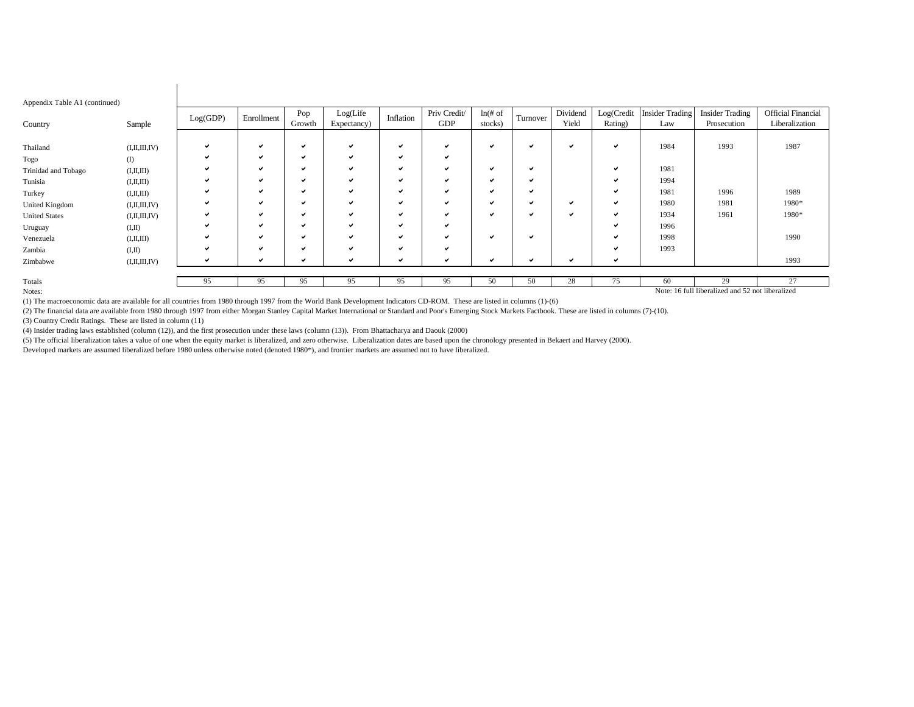| Appendix Table A1 (continued) |                                                  |              |            |               |                          |           |                     |                       |              |                   |                       |                               |                                       |                                             |
|-------------------------------|--------------------------------------------------|--------------|------------|---------------|--------------------------|-----------|---------------------|-----------------------|--------------|-------------------|-----------------------|-------------------------------|---------------------------------------|---------------------------------------------|
| Country                       | Sample                                           | Log(GDP)     | Enrollment | Pop<br>Growth | Log(Life)<br>Expectancy) | Inflation | Priv Credit/<br>GDP | $ln($ # of<br>stocks) | Turnover     | Dividend<br>Yield | Log(Credit<br>Rating) | <b>Insider Trading</b><br>Law | <b>Insider Trading</b><br>Prosecution | <b>Official Financial</b><br>Liberalization |
|                               |                                                  |              |            |               |                          |           |                     |                       |              |                   |                       |                               |                                       |                                             |
| Thailand                      | (I, II, III, IV)                                 |              | ✓          | м             | $\checkmark$             |           | ں                   | $\checkmark$          | ✔            | M                 | $\checkmark$          | 1984                          | 1993                                  | 1987                                        |
| Togo                          | $\left( \mathrm{I}\right)$                       |              | ✓          | ✓             | $\checkmark$             | v         | ✓                   |                       |              |                   |                       |                               |                                       |                                             |
| Trinidad and Tobago           | (I,II,III)                                       |              | ✓          | ◡             | $\checkmark$             |           | ں                   | $\checkmark$          | ✓            |                   | v                     | 1981                          |                                       |                                             |
| Tunisia                       | (I,II,III)                                       |              | ✓          | ч             | $\checkmark$             |           | ں                   | $\checkmark$          | ✓            |                   |                       | 1994                          |                                       |                                             |
| Turkey                        | (I,II,III)                                       |              | ✓          | м             | $\checkmark$             |           | ں                   | $\checkmark$          | ✓            |                   |                       | 1981                          | 1996                                  | 1989                                        |
| <b>United Kingdom</b>         | (I, II, III, IV)                                 |              | ✓          | ◡             | $\checkmark$             |           | ◡                   | $\checkmark$          | ✓            | M                 |                       | 1980                          | 1981                                  | 1980*                                       |
| <b>United States</b>          | (I, II, III, IV)                                 |              | ✔          | м             | $\checkmark$             |           | ◡                   | $\checkmark$          | $\checkmark$ |                   |                       | 1934                          | 1961                                  | 1980*                                       |
| Uruguay                       | (I,II)                                           |              | ✓          | ч             | $\checkmark$             |           | ◡                   |                       |              |                   |                       | 1996                          |                                       |                                             |
| Venezuela                     | (I,II,III)                                       |              | ✔          | ◡             | $\checkmark$             |           | ں                   | $\checkmark$          | ✔            |                   |                       | 1998                          |                                       | 1990                                        |
| Zambia                        | (I,II)                                           | $\checkmark$ | ✓          | ◡             | $\checkmark$             |           | ں                   |                       |              |                   |                       | 1993                          |                                       |                                             |
| Zimbabwe                      | (I, II, III, IV)                                 |              | ✓          |               | $\checkmark$             |           |                     | <b>M</b>              | ✓            |                   |                       |                               |                                       | 1993                                        |
|                               |                                                  |              |            |               |                          |           |                     |                       |              |                   |                       |                               |                                       |                                             |
| Totals                        |                                                  | 95           | 95         | 95            | 95                       | 95        | 95                  | 50                    | 50           | 28                | 75                    | 60                            | 29                                    | 27                                          |
| Notes:                        | Note: 16 full liberalized and 52 not liberalized |              |            |               |                          |           |                     |                       |              |                   |                       |                               |                                       |                                             |

(1) The macroeconomic data are available for all countries from 1980 through 1997 from the World Bank Development Indicators CD-ROM. These are listed in columns (1)-(6)

(2) The financial data are available from 1980 through 1997 from either Morgan Stanley Capital Market International or Standard and Poor's Emerging Stock Markets Factbook. These are listed in columns (7)-(10).

(3) Country Credit Ratings. These are listed in column (11)

 $\overline{\phantom{a}}$ 

(4) Insider trading laws established (column (12)), and the first prosecution under these laws (column (13)). From Bhattacharya and Daouk (2000)

(5) The official liberalization takes a value of one when the equity market is liberalized, and zero otherwise. Liberalization dates are based upon the chronology presented in Bekaert and Harvey (2000).

Developed markets are assumed liberalized before 1980 unless otherwise noted (denoted 1980\*), and frontier markets are assumed not to have liberalized.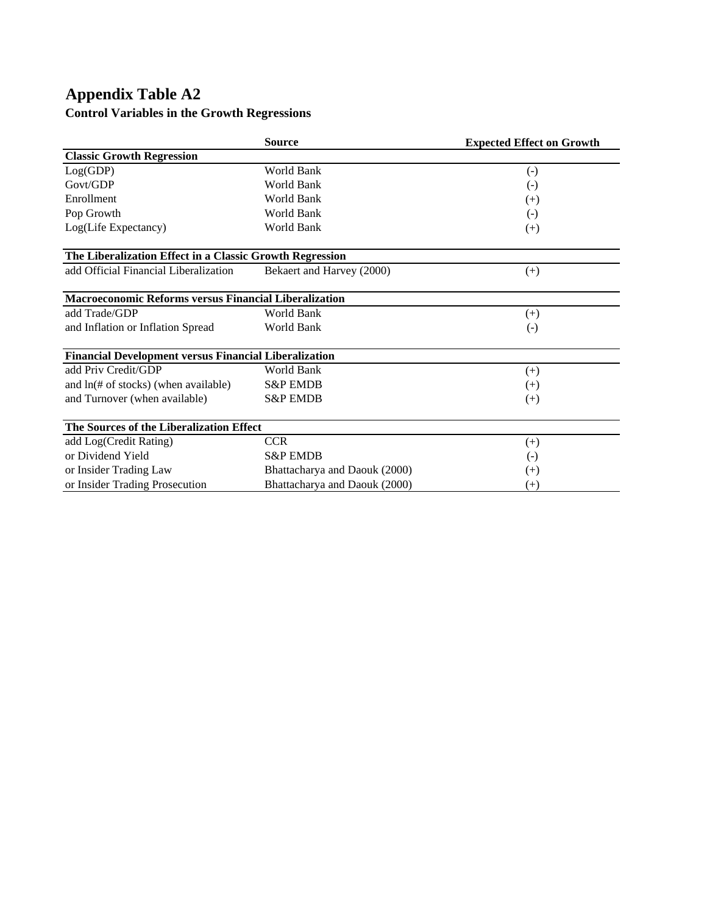# **Appendix Table A2 Control Variables in the Growth Regressions**

|                                                              | <b>Source</b>                 | <b>Expected Effect on Growth</b> |
|--------------------------------------------------------------|-------------------------------|----------------------------------|
| <b>Classic Growth Regression</b>                             |                               |                                  |
| Log(GDP)                                                     | World Bank                    | $\left( -\right)$                |
| Govt/GDP                                                     | World Bank                    | $\left( \cdot \right)$           |
| Enrollment                                                   | World Bank                    | $(+)$                            |
| Pop Growth                                                   | <b>World Bank</b>             | $(-)$                            |
| Log(Life Expectancy)                                         | World Bank                    | $^{(+)}$                         |
| The Liberalization Effect in a Classic Growth Regression     |                               |                                  |
| add Official Financial Liberalization                        | Bekaert and Harvey (2000)     | $^{(+)}$                         |
| Macroeconomic Reforms versus Financial Liberalization        |                               |                                  |
| add Trade/GDP                                                | World Bank                    | $^{(+)}$                         |
| and Inflation or Inflation Spread                            | World Bank                    | $\left( -\right)$                |
| <b>Financial Development versus Financial Liberalization</b> |                               |                                  |
| add Priv Credit/GDP                                          | World Bank                    | $^{(+)}$                         |
| and $ln(\text{\# of stocks})$ (when available)               | <b>S&amp;P EMDB</b>           | $(+)$                            |
| and Turnover (when available)                                | <b>S&amp;P EMDB</b>           | $^{(+)}$                         |
| The Sources of the Liberalization Effect                     |                               |                                  |
| add Log(Credit Rating)                                       | <b>CCR</b>                    | $^{(+)}$                         |
| or Dividend Yield                                            | <b>S&amp;P EMDB</b>           | $(-)$                            |
| or Insider Trading Law                                       | Bhattacharya and Daouk (2000) | $^{(+)}$                         |
| or Insider Trading Prosecution                               | Bhattacharya and Daouk (2000) | $^{(+)}$                         |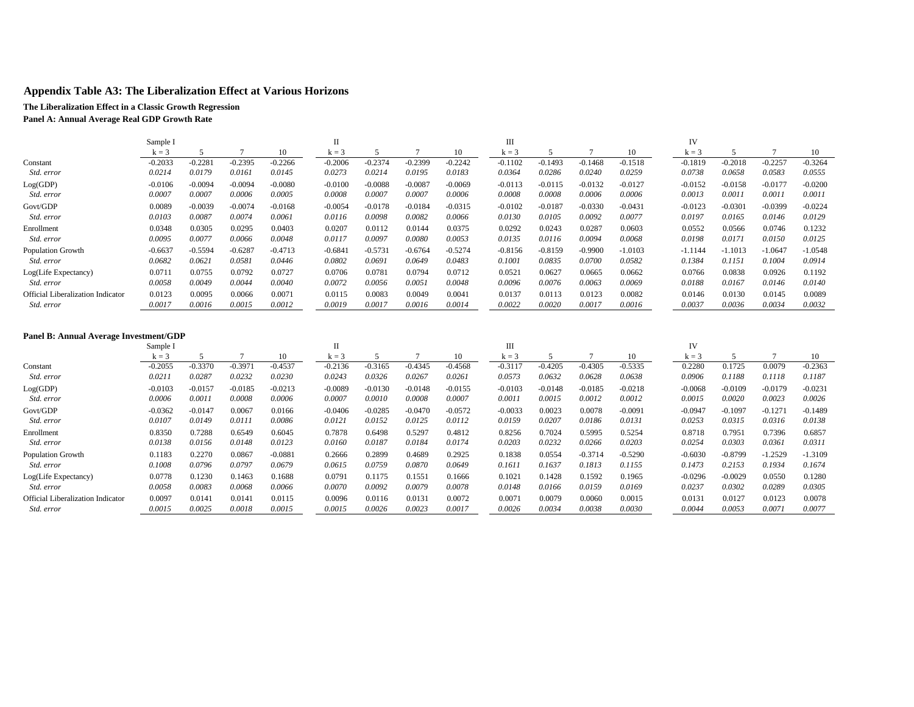## **Appendix Table A3: The Liberalization Effect at Various Horizons**

### **The Liberalization Effect in a Classic Growth Regression**

**Panel A: Annual Average Real GDP Growth Rate**

|                                          | Sample I  |           |           |           | п         |           |           |           | Ш         |           |           |           | IV        |           |           |           |
|------------------------------------------|-----------|-----------|-----------|-----------|-----------|-----------|-----------|-----------|-----------|-----------|-----------|-----------|-----------|-----------|-----------|-----------|
|                                          | $k = 3$   |           |           | 10        | $k = 3$   |           |           | 10        | $k = 3$   |           |           | 10        | $k = 3$   |           |           | 10        |
| Constant                                 | $-0.2033$ | $-0.2281$ | $-0.2395$ | $-0.2266$ | $-0.2006$ | $-0.2374$ | $-0.2399$ | $-0.2242$ | $-0.1102$ | $-0.1493$ | $-0.1468$ | $-0.1518$ | $-0.1819$ | $-0.2018$ | $-0.2257$ | $-0.3264$ |
| Std. error                               | 0.0214    | 0.0179    | 0.0161    | 0.0145    | 0.0273    | 0.0214    | 0.0195    | 0.0183    | 0.0364    | 0.0286    | 0.0240    | 0.0259    | 0.0738    | 0.0658    | 0.0583    | 0.0555    |
| Log(GDP)                                 | $-0.0106$ | $-0.0094$ | $-0.0094$ | $-0.0080$ | $-0.0100$ | $-0.0088$ | $-0.0087$ | $-0.0069$ | $-0.0113$ | $-0.0115$ | $-0.0132$ | $-0.0127$ | $-0.0152$ | $-0.0158$ | $-0.0177$ | $-0.0200$ |
| Std. error                               | 0.0007    | 0.0007    | 0.0006    | 0.0005    | 0.0008    | 0.0007    | 0.0007    | 0.0006    | 0.0008    | 0.0008    | 0.0006    | 0.0006    | 0.0013    | 0.0011    | 0.0011    | 0.0011    |
| Govt/GDP                                 | 0.0089    | $-0.0039$ | $-0.0074$ | $-0.0168$ | $-0.0054$ | $-0.0178$ | $-0.0184$ | $-0.0315$ | $-0.0102$ | $-0.0187$ | $-0.0330$ | $-0.0431$ | $-0.0123$ | $-0.0301$ | $-0.0399$ | $-0.0224$ |
| Std. error                               | 0.0103    | 0.0087    | 0.0074    | 0.0061    | 0.0116    | 0.0098    | 0.0082    | 0.0066    | 0.0130    | 0.0105    | 0.0092    | 0.0077    | 0.0197    | 0.0165    | 0.0146    | 0.0129    |
| Enrollment                               | 0.0348    | 0.0305    | 0.0295    | 0.0403    | 0.0207    | 0.0112    | 0.0144    | 0.0375    | 0.0292    | 0.0243    | 0.0287    | 0.0603    | 0.0552    | 0.0566    | 0.0746    | 0.1232    |
| Std. error                               | 0.0095    | 0.0077    | 0.0066    | 0.0048    | 0.0117    | 0.0097    | 0.0080    | 0.0053    | 0.0135    | 0.0116    | 0.0094    | 0.0068    | 0.0198    | 0.0171    | 0.0150    | 0.0125    |
| <b>Population Growth</b>                 | $-0.6637$ | $-0.5594$ | $-0.6287$ | $-0.4713$ | $-0.6841$ | $-0.5731$ | $-0.6764$ | $-0.5274$ | $-0.8156$ | $-0.8159$ | $-0.9900$ | $-1.0103$ | $-1.1144$ | $-1.1013$ | $-1.0647$ | $-1.0548$ |
| Std. error                               | 0.0682    | 0.0621    | 0.0581    | 0.0446    | 0.0802    | 0.0691    | 0.0649    | 0.0483    | 0.1001    | 0.0835    | 0.0700    | 0.0582    | 0.1384    | 0.1151    | 0.1004    | 0.0914    |
| Log(Life Expectancy)                     | 0.0711    | 0.0755    | 0.0792    | 0.0727    | 0.0706    | 0.0781    | 0.0794    | 0.0712    | 0.0521    | 0.0627    | 0.0665    | 0.0662    | 0.0766    | 0.0838    | 0.0926    | 0.1192    |
| <i>Std. error</i>                        | 0.0058    | 0.0049    | 0.0044    | 0.0040    | 0.0072    | 0.0056    | 0.0051    | 0.0048    | 0.0096    | 0.0076    | 0.0063    | 0.0069    | 0.0188    | 0.0167    | 0.0146    | 0.0140    |
| <b>Official Liberalization Indicator</b> | 0.0123    | 0.0095    | 0.0066    | 0.0071    | 0.0115    | 0.0083    | 0.0049    | 0.0041    | 0.0137    | 0.0113    | 0.0123    | 0.0082    | 0.0146    | 0.0130    | 0.0145    | 0.0089    |
| Std. error                               | 0.0017    | 0.0016    | 0.0015    | 0.0012    | 0.0019    | 0.0017    | 0.0016    | 0.0014    | 0.0022    | 0.0020    | 0.0017    | 0.0016    | 0.0037    | 0.0036    | 0.0034    | 0.0032    |

### **Panel B: Annual Average Investment/GDP**

|                                   | Sample I  |           |           |           |           |           |           |           | Ш         |           |           |           | IV        |           |           |           |
|-----------------------------------|-----------|-----------|-----------|-----------|-----------|-----------|-----------|-----------|-----------|-----------|-----------|-----------|-----------|-----------|-----------|-----------|
|                                   | $k = 3$   |           |           | 10        | $k = ?$   |           |           | 10        | $k = 3$   |           |           | 10        | $k = 3$   |           |           | 10        |
| Constant                          | $-0.2055$ | $-0.3370$ | $-0.3971$ | $-0.4537$ | $-0.2136$ | $-0.3165$ | $-0.4345$ | $-0.4568$ | $-0.3117$ | $-0.4205$ | $-0.4305$ | $-0.5335$ | 0.2280    | 0.1725    | 0.0079    | $-0.2363$ |
| Std. error                        | 0.0211    | 0.0287    | 0.0232    | 0.0230    | 0.0243    | 0.0326    | 0.0267    | 0.0261    | 0.0573    | 0.0632    | 0.0628    | 0.0638    | 0.0906    | 0.1188    | 0.1118    | 0.1187    |
| Log(GDP)                          | $-0.0103$ | $-0.0157$ | $-0.0185$ | $-0.0213$ | $-0.0089$ | $-0.0130$ | $-0.0148$ | $-0.0155$ | $-0.0103$ | $-0.0148$ | $-0.0185$ | $-0.0218$ | $-0.0068$ | $-0.0109$ | $-0.0179$ | $-0.0231$ |
| <i>Std. error</i>                 | 0.0006    | 0.0011    | 0.0008    | 0.0006    | 0.0007    | 0.0010    | 0.0008    | 0.0007    | 0.0011    | 0.0015    | 0.0012    | 0.0012    | 0.0015    | 0.0020    | 0.0023    | 0.0026    |
| Govt/GDP                          | $-0.0362$ | $-0.0147$ | 0.0067    | 0.0166    | $-0.0406$ | $-0.0285$ | $-0.0470$ | $-0.0572$ | $-0.0033$ | 0.0023    | 0.0078    | $-0.0091$ | $-0.0947$ | $-0.1097$ | $-0.1271$ | $-0.1489$ |
| <i>Std. error</i>                 | 0.0107    | 0.0149    | 0.0111    | 0.0086    | 0.0121    | 0.0152    | 0.0125    | 0.0112    | 0.0159    | 0.0207    | 0.0186    | 0.0131    | 0.0253    | 0.0315    | 0.0316    | 0.0138    |
| Enrollment                        | 0.8350    | 0.7288    | 0.6549    | 0.6045    | 0.7878    | 0.6498    | 0.5297    | 0.4812    | 0.8256    | 0.7024    | 0.5995    | 0.5254    | 0.8718    | 0.7951    | 0.7396    | 0.6857    |
| <i>Std. error</i>                 | 0.0138    | 0.0156    | 0.0148    | 0.0123    | 0.0160    | 0.0187    | 0.0184    | 0.0174    | 0.0203    | 0.0232    | 0.0266    | 0.0203    | 0.0254    | 0.0303    | 0.0361    | 0.0311    |
| <b>Population Growth</b>          | 0.1183    | 0.2270    | 0.0867    | $-0.0881$ | 0.2666    | 0.2899    | 0.4689    | 0.2925    | 0.1838    | 0.0554    | $-0.3714$ | $-0.5290$ | $-0.6030$ | $-0.8799$ | $-1.2529$ | $-1.3109$ |
| <i>Std. error</i>                 | 0.1008    | 0.0796    | 0.0797    | 0.0679    | 0.0615    | 0.0759    | 0.0870    | 0.0649    | 0.1611    | 0.1637    | 0.1813    | 0.1155    | 0.1473    | 0.2153    | 0.1934    | 0.1674    |
| Log(Life Expectancy)              | 0.0778    | 0.1230    | 0.1463    | 0.1688    | 0.0791    | 0.1175    | 0.1551    | 0.1666    | 0.1021    | 0.1428    | 0.1592    | 0.1965    | $-0.0296$ | $-0.0029$ | 0.0550    | 0.1280    |
| <i>Std. error</i>                 | 0.0058    | 0.0083    | 0.0068    | 0.0066    | 0.0070    | 0.0092    | 0.0079    | 0.0078    | 0.0148    | 0.0166    | 0.0159    | 0.0169    | 0.0237    | 0.0302    | 0.0289    | 0.0305    |
| Official Liberalization Indicator | 0.0097    | 0.0141    | 0.0141    | 0.0115    | 0.0096    | 0.0116    | 0.0131    | 0.0072    | 0.0071    | 0.0079    | 0.0060    | 0.0015    | 0.0131    | 0.0127    | 0.0123    | 0.0078    |
| <i>Std. error</i>                 | 0.0015    | 0.0025    | 0.0018    | 0.0015    | 0.0015    | 0.0026    | 0.0023    | 0.0017    | 0.0026    | 0.0034    | 0.0038    | 0.0030    | 0.0044    | 0.0053    | 0.0071    | 0.0077    |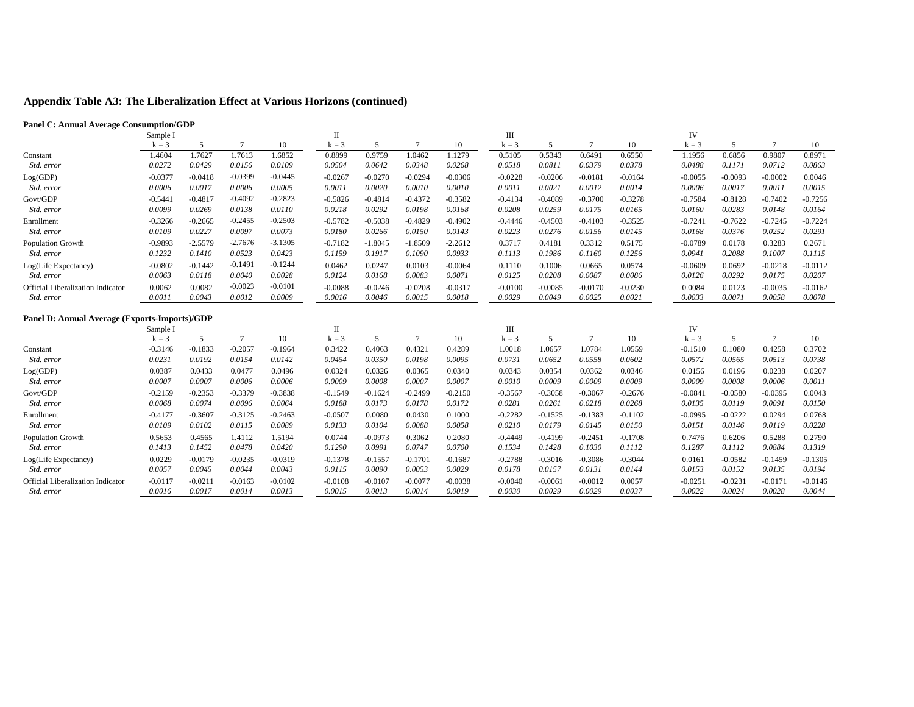# **Appendix Table A3: The Liberalization Effect at Various Horizons (continued)**

### **Panel C: Annual Average Consumption/GDP**

|                                   | Sample I  |           |           |           |           |           |           |           | Ш         |           |           |           | IV        |           |           |           |
|-----------------------------------|-----------|-----------|-----------|-----------|-----------|-----------|-----------|-----------|-----------|-----------|-----------|-----------|-----------|-----------|-----------|-----------|
|                                   | $k = 3$   |           |           | 10        | $k = 3$   |           |           | 10        | $k = 3$   |           |           | 10        | $k = 3$   |           |           |           |
| Constant                          | 1.4604    | .7627     | 1.7613    | 1.6852    | 0.8899    | 0.9759    | 1.0462    | .1279     | 0.5105    | 0.5343    | 0.6491    | 0.6550    | 1.1956    | 0.6856    | 0.9807    | 0.8971    |
| Std. error                        | 0.0272    | 0.0429    | 0.0156    | 0.0109    | 0.0504    | 0.0642    | 0.0348    | 0.0268    | 0.0518    | 0.0811    | 0.0379    | 0.0378    | 0.0488    | 0.1171    | 0.0712    | 0.0863    |
| Log(GDP)                          | $-0.0377$ | $-0.0418$ | $-0.0399$ | $-0.0445$ | $-0.0267$ | $-0.0270$ | $-0.0294$ | $-0.0306$ | $-0.0228$ | $-0.0206$ | $-0.0181$ | $-0.0164$ | $-0.0055$ | $-0.0093$ | $-0.0002$ | 0.0046    |
| Std. error                        | 0.0006    | 0.0017    | 0.0006    | 0.0005    | 0.0011    | 0.0020    | 0.0010    | 0.0010    | 0.0011    | 0.0021    | 0.0012    | 0.0014    | 0.0006    | 0.0017    | 0.0011    | 0.0015    |
| Govt/GDP                          | $-0.5441$ | $-0.4817$ | $-0.4092$ | $-0.2823$ | $-0.5826$ | $-0.4814$ | $-0.4372$ | $-0.3582$ | $-0.4134$ | $-0.4089$ | $-0.3700$ | $-0.3278$ | $-0.7584$ | $-0.8128$ | $-0.7402$ | $-0.7256$ |
| Std. error                        | 0.0099    | 0.0269    | 0.0138    | 0.0110    | 0.0218    | 0.0292    | 0.0198    | 0.0168    | 0.0208    | 0.0259    | 0.0175    | 0.0165    | 0.0160    | 0.0283    | 0.0148    | 0.0164    |
| Enrollment                        | $-0.3266$ | $-0.2665$ | $-0.2455$ | $-0.2503$ | $-0.5782$ | $-0.5038$ | $-0.4829$ | $-0.4902$ | $-0.4446$ | $-0.4503$ | $-0.4103$ | $-0.3525$ | $-0.7241$ | $-0.7622$ | $-0.7245$ | $-0.7224$ |
| Std. error                        | 0.0109    | 0.0227    | 0.0097    | 0.0073    | 0.0180    | 0.0266    | 0.0150    | 0.0143    | 0.0223    | 0.0276    | 0.0156    | 0.0145    | 0.0168    | 0.0376    | 0.0252    | 0.0291    |
| <b>Population Growth</b>          | $-0.9893$ | $-2.5579$ | $-2.7676$ | $-3.1305$ | $-0.7182$ | $-1.8045$ | $-1.8509$ | $-2.2612$ | 0.3717    | 0.4181    | 0.3312    | 0.5175    | $-0.0789$ | 0.0178    | 0.3283    | 0.2671    |
| <i>Std. error</i>                 | 0.1232    | 0.1410    | 0.0523    | 0.0423    | 0.1159    | 0.1917    | 0.1090    | 0.0933    | 0.1113    | 0.1986    | 0.1160    | 0.1256    | 0.0941    | 0.2088    | 0.1007    | 0.1115    |
| Log(Life Expectancy)              | $-0.0802$ | $-0.1442$ | $-0.1491$ | $-0.1244$ | 0.0462    | 0.0247    | 0.0103    | $-0.0064$ | 0.1110    | 0.1006    | 0.0665    | 0.0574    | $-0.0609$ | 0.0692    | $-0.0218$ | $-0.0112$ |
| <i>Std. error</i>                 | 0.0063    | 0.0118    | 0.0040    | 0.0028    | 0.0124    | 0.0168    | 0.0083    | 0.0071    | 0.0125    | 0.0208    | 0.0087    | 0.0086    | 0.0126    | 0.0292    | 0.0175    | 0.0207    |
| Official Liberalization Indicator | 0.0062    | 0.0082    | $-0.0023$ | $-0.0101$ | $-0.0088$ | $-0.0246$ | $-0.0208$ | $-0.0317$ | $-0.0100$ | $-0.0085$ | $-0.0170$ | $-0.0230$ | 0.0084    | 0.0123    | $-0.0035$ | $-0.0162$ |
| Std. error                        | 0.0011    | 0.0043    | 0.0012    | 0.0009    | 0.0016    | 0.0046    | 0.0015    | 0.0018    | 0.0029    | 0.0049    | 0.0025    | 0.0021    | 0.0033    | 0.0071    | 0.0058    | 0.0078    |
|                                   |           |           |           |           |           |           |           |           |           |           |           |           |           |           |           |           |

### **Panel D: Annual Average (Exports-Imports)/GDP**

|                                          | Sample I  |           |           |           |           |           |           |           | Ш         |           |           |           | IV        |           |           |           |
|------------------------------------------|-----------|-----------|-----------|-----------|-----------|-----------|-----------|-----------|-----------|-----------|-----------|-----------|-----------|-----------|-----------|-----------|
|                                          | $k = 3$   |           |           | 10        | $k = 3$   |           |           | 10        | $k = 3$   |           |           | 10        | $k = 3$   |           |           | 10        |
| Constant                                 | $-0.3146$ | $-0.1833$ | $-0.2057$ | $-0.1964$ | 0.3422    | 0.4063    | 0.4321    | 0.4289    | 1.0018    | .0657     | 1.0784    | 1.0559    | $-0.1510$ | 0.1080    | 0.4258    | 0.3702    |
| Std. error                               | 0.0231    | 0.0192    | 0.0154    | 0.0142    | 0.0454    | 0.0350    | 0.0198    | 0.0095    | 0.0731    | 0.0652    | 0.0558    | 0.0602    | 0.0572    | 0.0565    | 0.0513    | 0.0738    |
| Log(GDP)                                 | 0.0387    | 0.0433    | 0.0477    | 0.0496    | 0.0324    | 0.0326    | 0.0365    | 0.0340    | 0.0343    | 0.0354    | 0.0362    | 0.0346    | 0.0156    | 0.0196    | 0.0238    | 0.0207    |
| Std. error                               | 0.0007    | 0.0007    | 0.0006    | 0.0006    | 0.0009    | 0.0008    | 0.0007    | 0.0007    | 0.0010    | 0.0009    | 0.0009    | 0.0009    | 0.0009    | 0.0008    | 0.0006    | 0.0011    |
| Govt/GDP                                 | $-0.2159$ | $-0.2353$ | $-0.3379$ | $-0.3838$ | $-0.1549$ | $-0.1624$ | $-0.2499$ | $-0.2150$ | $-0.3567$ | $-0.3058$ | $-0.3067$ | $-0.2676$ | $-0.0841$ | $-0.0580$ | $-0.0395$ | 0.0043    |
| Std. error                               | 0.0068    | 0.0074    | 0.0096    | 0.0064    | 0.0188    | 0.0173    | 0.0178    | 0.0172    | 0.0281    | 0.0261    | 0.0218    | 0.0268    | 0.0135    | 0.0119    | 0.0091    | 0.0150    |
| Enrollment                               | $-0.4177$ | $-0.3607$ | $-0.3125$ | $-0.2463$ | $-0.0507$ | 0.0080    | 0.0430    | 0.1000    | $-0.2282$ | $-0.1525$ | $-0.1383$ | $-0.1102$ | $-0.0995$ | $-0.0222$ | 0.0294    | 0.0768    |
| Std. error                               | 0.0109    | 0.0102    | 0.0115    | 0.0089    | 0.0133    | 0.0104    | 0.0088    | 0.0058    | 0.0210    | 0.0179    | 0.0145    | 0.0150    | 0.0151    | 0.0146    | 0.0119    | 0.0228    |
| <b>Population Growth</b>                 | 0.5653    | 0.4565    | 1.4112    | 1.5194    | 0.0744    | $-0.0973$ | 0.3062    | 0.2080    | $-0.4449$ | $-0.4199$ | $-0.2451$ | $-0.1708$ | 0.7476    | 0.6206    | 0.5288    | 0.2790    |
| Std. error                               | 0.1413    | 0.1452    | 0.0478    | 0.0420    | 0.1290    | 0.0991    | 0.0747    | 0.0700    | 0.1534    | 0.1428    | 0.1030    | 0.1112    | 0.1287    | 0.1112    | 0.0884    | 0.1319    |
| Log(Life Expectancy)                     | 0.0229    | $-0.0179$ | $-0.0235$ | $-0.0319$ | $-0.1378$ | $-0.1557$ | $-0.1701$ | $-0.1687$ | $-0.2788$ | $-0.3016$ | $-0.3086$ | $-0.3044$ | 0.0161    | $-0.0582$ | $-0.1459$ | $-0.1305$ |
| Std. error                               | 0.0057    | 0.0045    | 0.0044    | 0.0043    | 0.0115    | 0.0090    | 0.0053    | 0.0029    | 0.0178    | 0.0157    | 0.0131    | 0.0144    | 0.0153    | 0.0152    | 0.0135    | 0.0194    |
| <b>Official Liberalization Indicator</b> | $-0.0117$ | $-0.0211$ | $-0.0163$ | $-0.0102$ | $-0.0108$ | $-0.0107$ | $-0.0077$ | $-0.0038$ | $-0.0040$ | $-0.0061$ | $-0.0012$ | 0.0057    | $-0.0251$ | $-0.0231$ | $-0.0171$ | $-0.0146$ |
| Std. error                               | 0.0016    | 0.0017    | 0.0014    | 0.0013    | 0.0015    | 0.0013    | 0.0014    | 0.0019    | 0.0030    | 0.0029    | 0.0029    | 0.0037    | 0.0022    | 0.0024    | 0.0028    | 0.0044    |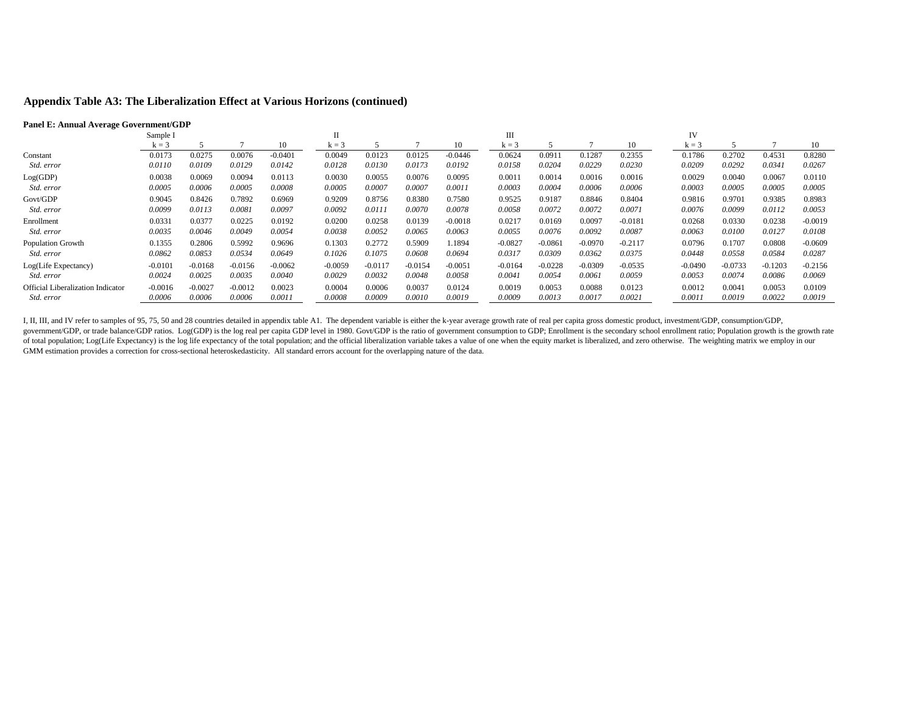# **Appendix Table A3: The Liberalization Effect at Various Horizons (continued)**

### **Panel E: Annual Average Government/GDP**

|                                          | Sample I  |           |           |           |           |           |           |           | Ш         |           |           |           | IV        |           |           |           |  |
|------------------------------------------|-----------|-----------|-----------|-----------|-----------|-----------|-----------|-----------|-----------|-----------|-----------|-----------|-----------|-----------|-----------|-----------|--|
|                                          | $k = 3$   |           |           | 10        | $k = 3$   |           |           | 10        | $k = 3$   |           |           | 10        | $k = 3$   |           |           | 10        |  |
| Constant                                 | 0.0173    | 0.0275    | 0.0076    | $-0.0401$ | 0.0049    | 0.0123    | 0.0125    | $-0.0446$ | 0.0624    | 0.0911    | 0.1287    | 0.2355    | 0.1786    | 0.2702    | 0.4531    | 0.8280    |  |
| Std. error                               | 0.0110    | 0.0109    | 0.0129    | 0.0142    | 0.0128    | 0.0130    | 0.0173    | 0.0192    | 0.0158    | 0.0204    | 0.0229    | 0.0230    | 0.0209    | 0.0292    | 0.0341    | 0.0267    |  |
| Log(GDP)                                 | 0.0038    | 0.0069    | 0.0094    | 0.0113    | 0.0030    | 0.0055    | 0.0076    | 0.0095    | 0.001     | 0.0014    | 0.0016    | 0.0016    | 0.0029    | 0.0040    | 0.0067    | 0.0110    |  |
| Std. error                               | 0.0005    | 0.0006    | 0.0005    | 0.0008    | 0.0005    | 0.0007    | 0.0007    | 0.0011    | 0.0003    | 0.0004    | 0.0006    | 0.0006    | 0.0003    | 0.0005    | 0.0005    | 0.0005    |  |
| Govt/GDP                                 | 0.9045    | 0.8426    | 0.7892    | 0.6969    | 0.9209    | 0.8756    | 0.8380    | 0.7580    | 0.9525    | 0.9187    | 0.8846    | 0.8404    | 0.9816    | 0.9701    | 0.9385    | 0.8983    |  |
| Std. error                               | 0.0099    | 0.0113    | 0.0081    | 0.0097    | 0.0092    | 0.0111    | 0.0070    | 0.0078    | 0.0058    | 0.0072    | 0.0072    | 0.0071    | 0.0076    | 0.0099    | 0.0112    | 0.0053    |  |
| Enrollment                               | 0.0331    | 0.0377    | 0.0225    | 0.0192    | 0.0200    | 0.0258    | 0.0139    | $-0.0018$ | 0.0217    | 0.0169    | 0.0097    | $-0.0181$ | 0.0268    | 0.0330    | 0.0238    | $-0.0019$ |  |
| Std. error                               | 0.0035    | 0.0046    | 0.0049    | 0.0054    | 0.0038    | 0.0052    | 0.0065    | 0.0063    | 0.0055    | 0.0076    | 0.0092    | 0.0087    | 0.0063    | 0.0100    | 0.0127    | 0.0108    |  |
| <b>Population Growth</b>                 | 0.1355    | 0.2806    | 0.5992    | 0.9696    | 0.1303    | 0.2772    | 0.5909    | 1.1894    | $-0.0827$ | $-0.0861$ | $-0.0970$ | $-0.2117$ | 0.0796    | 0.1707    | 0.0808    | $-0.0609$ |  |
| <i>Std. error</i>                        | 0.0862    | 0.0853    | 0.0534    | 0.0649    | 0.1026    | 0.1075    | 0.0608    | 0.0694    | 0.0317    | 0.0309    | 0.0362    | 0.0375    | 0.0448    | 0.0558    | 0.0584    | 0.0287    |  |
| Log(Life Expectancy)                     | $-0.0101$ | $-0.0168$ | $-0.0156$ | $-0.0062$ | $-0.0059$ | $-0.0117$ | $-0.0154$ | $-0.0051$ | $-0.0164$ | $-0.0228$ | $-0.0309$ | $-0.0535$ | $-0.0490$ | $-0.0733$ | $-0.1203$ | $-0.2156$ |  |
| Std. error                               | 0.0024    | 0.0025    | 0.0035    | 0.0040    | 0.0029    | 0.0032    | 0.0048    | 0.0058    | 0.0041    | 0.0054    | 0.0061    | 0.0059    | 0.0053    | 0.0074    | 0.0086    | 0.0069    |  |
| <b>Official Liberalization Indicator</b> | $-0.0016$ | $-0.0027$ | $-0.0012$ | 0.0023    | 0.0004    | 0.0006    | 0.0037    | 0.0124    | 0.0019    | 0.0053    | 0.0088    | 0.0123    | 0.0012    | 0.0041    | 0.0053    | 0.0109    |  |
| Std. error                               | 0.0006    | 0.0006    | 0.0006    | 0.0011    | 0.0008    | 0.0009    | 0.0010    | 0.0019    | 0.0009    | 0.0013    | 0.0017    | 0.0021    | 0.0011    | 0.0019    | 0.0022    | 0.0019    |  |

I, II, III, and IV refer to samples of 95, 75, 50 and 28 countries detailed in appendix table A1. The dependent variable is either the k-year average growth rate of real per capita gross domestic product, investment/GDP, c government/GDP, or trade balance/GDP ratios. Log(GDP) is the log real per capita GDP level in 1980. Govt/GDP is the ratio of government consumption to GDP; Enrollment is the secondary school enrollment ratio; Population gr of total population; Log(Life Expectancy) is the log life expectancy of the total population; and the official liberalization variable takes a value of one when the equity market is liberalized, and zero otherwise. The wei GMM estimation provides a correction for cross-sectional heteroskedasticity. All standard errors account for the overlapping nature of the data.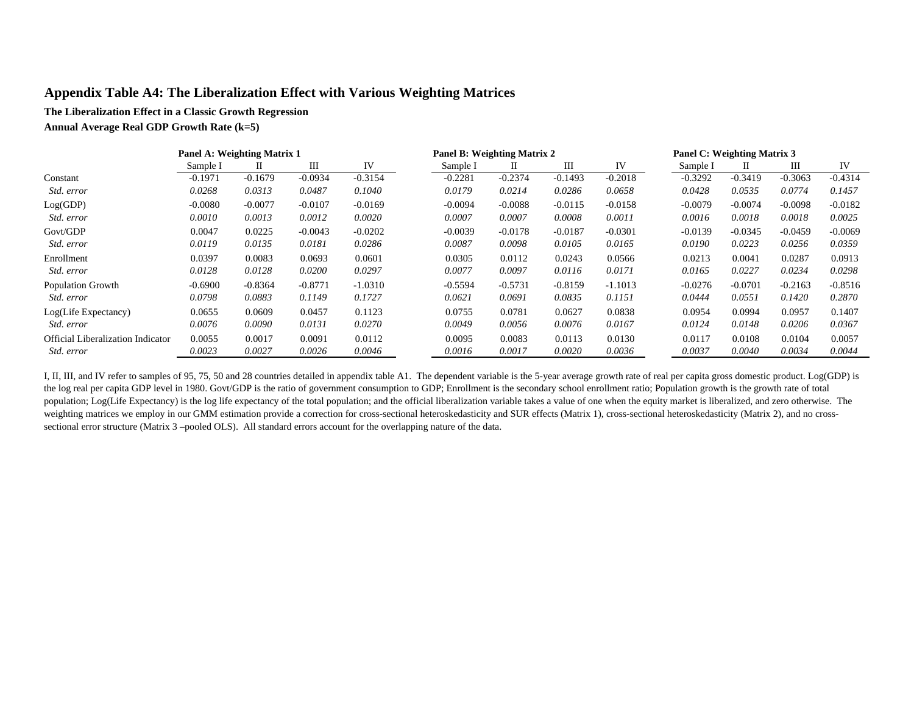# **Appendix Table A4: The Liberalization Effect with Various Weighting Matrices**

### **The Liberalization Effect in a Classic Growth Regression**

**Annual Average Real GDP Growth Rate (k=5)**

|                                          |           | <b>Panel A: Weighting Matrix 1</b> |           |           |  |           | <b>Panel B: Weighting Matrix 2</b> |           |           |           | Panel C: Weighting Matrix 3 |           |           |
|------------------------------------------|-----------|------------------------------------|-----------|-----------|--|-----------|------------------------------------|-----------|-----------|-----------|-----------------------------|-----------|-----------|
|                                          | Sample I  | П                                  | Ш         | IV        |  | Sample I  | П                                  | Ш         | IV        | Sample I  |                             | Ш         | IV        |
| Constant                                 | $-0.1971$ | $-0.1679$                          | $-0.0934$ | $-0.3154$ |  | $-0.2281$ | $-0.2374$                          | $-0.1493$ | $-0.2018$ | $-0.3292$ | $-0.3419$                   | $-0.3063$ | $-0.4314$ |
| Std. error                               | 0.0268    | 0.0313                             | 0.0487    | 0.1040    |  | 0.0179    | 0.0214                             | 0.0286    | 0.0658    | 0.0428    | 0.0535                      | 0.0774    | 0.1457    |
| Log(GDP)                                 | $-0.0080$ | $-0.0077$                          | $-0.0107$ | $-0.0169$ |  | $-0.0094$ | $-0.0088$                          | $-0.0115$ | $-0.0158$ | $-0.0079$ | $-0.0074$                   | $-0.0098$ | $-0.0182$ |
| Std. error                               | 0.0010    | 0.0013                             | 0.0012    | 0.0020    |  | 0.0007    | 0.0007                             | 0.0008    | 0.0011    | 0.0016    | 0.0018                      | 0.0018    | 0.0025    |
| Govt/GDP                                 | 0.0047    | 0.0225                             | $-0.0043$ | $-0.0202$ |  | $-0.0039$ | $-0.0178$                          | $-0.0187$ | $-0.0301$ | $-0.0139$ | $-0.0345$                   | $-0.0459$ | $-0.0069$ |
| Std. error                               | 0.0119    | 0.0135                             | 0.0181    | 0.0286    |  | 0.0087    | 0.0098                             | 0.0105    | 0.0165    | 0.0190    | 0.0223                      | 0.0256    | 0.0359    |
| Enrollment                               | 0.0397    | 0.0083                             | 0.0693    | 0.0601    |  | 0.0305    | 0.0112                             | 0.0243    | 0.0566    | 0.0213    | 0.0041                      | 0.0287    | 0.0913    |
| Std. error                               | 0.0128    | 0.0128                             | 0.0200    | 0.0297    |  | 0.0077    | 0.0097                             | 0.0116    | 0.0171    | 0.0165    | 0.0227                      | 0.0234    | 0.0298    |
| <b>Population Growth</b>                 | $-0.6900$ | $-0.8364$                          | $-0.8771$ | $-1.0310$ |  | $-0.5594$ | $-0.5731$                          | $-0.8159$ | $-1.1013$ | $-0.0276$ | $-0.0701$                   | $-0.2163$ | $-0.8516$ |
| <i>Std. error</i>                        | 0.0798    | 0.0883                             | 0.1149    | 0.1727    |  | 0.0621    | 0.0691                             | 0.0835    | 0.1151    | 0.0444    | 0.0551                      | 0.1420    | 0.2870    |
| Log(Life Expectancy)                     | 0.0655    | 0.0609                             | 0.0457    | 0.1123    |  | 0.0755    | 0.0781                             | 0.0627    | 0.0838    | 0.0954    | 0.0994                      | 0.0957    | 0.1407    |
| <i>Std. error</i>                        | 0.0076    | 0.0090                             | 0.0131    | 0.0270    |  | 0.0049    | 0.0056                             | 0.0076    | 0.0167    | 0.0124    | 0.0148                      | 0.0206    | 0.0367    |
| <b>Official Liberalization Indicator</b> | 0.0055    | 0.0017                             | 0.0091    | 0.0112    |  | 0.0095    | 0.0083                             | 0.0113    | 0.0130    | 0.0117    | 0.0108                      | 0.0104    | 0.0057    |
| <i>Std. error</i>                        | 0.0023    | 0.0027                             | 0.0026    | 0.0046    |  | 0.0016    | 0.0017                             | 0.0020    | 0.0036    | 0.0037    | 0.0040                      | 0.0034    | 0.0044    |
|                                          |           |                                    |           |           |  |           |                                    |           |           |           |                             |           |           |

I, II, III, and IV refer to samples of 95, 75, 50 and 28 countries detailed in appendix table A1. The dependent variable is the 5-year average growth rate of real per capita gross domestic product. Log(GDP) is the log real per capita GDP level in 1980. Govt/GDP is the ratio of government consumption to GDP; Enrollment is the secondary school enrollment ratio; Population growth is the growth rate of total population; Log(Life Expectancy) is the log life expectancy of the total population; and the official liberalization variable takes a value of one when the equity market is liberalized, and zero otherwise. The weighting matrices we employ in our GMM estimation provide a correction for cross-sectional heteroskedasticity and SUR effects (Matrix 1), cross-sectional heteroskedasticity (Matrix 2), and no crosssectional error structure (Matrix 3 –pooled OLS). All standard errors account for the overlapping nature of the data.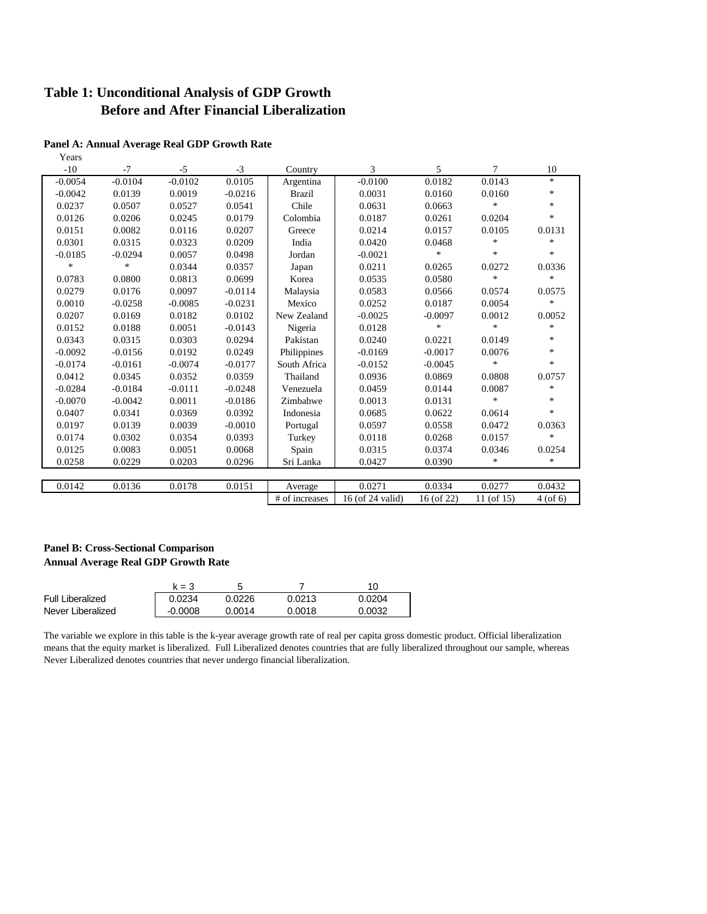# **Table 1: Unconditional Analysis of GDP Growth Before and After Financial Liberalization**

| Years     |           |           |           |                |                  |              |            |               |
|-----------|-----------|-----------|-----------|----------------|------------------|--------------|------------|---------------|
| $-10$     | $-7$      | $-5$      | $-3$      | Country        | 3                | 5            | 7          | 10            |
| $-0.0054$ | $-0.0104$ | $-0.0102$ | 0.0105    | Argentina      | $-0.0100$        | 0.0182       | 0.0143     | $\ast$        |
| $-0.0042$ | 0.0139    | 0.0019    | $-0.0216$ | <b>Brazil</b>  | 0.0031           | 0.0160       | 0.0160     | $\ast$        |
| 0.0237    | 0.0507    | 0.0527    | 0.0541    | Chile          | 0.0631           | 0.0663       | $\ast$     | $\ast$        |
| 0.0126    | 0.0206    | 0.0245    | 0.0179    | Colombia       | 0.0187           | 0.0261       | 0.0204     | $\ast$        |
| 0.0151    | 0.0082    | 0.0116    | 0.0207    | Greece         | 0.0214           | 0.0157       | 0.0105     | 0.0131        |
| 0.0301    | 0.0315    | 0.0323    | 0.0209    | India          | 0.0420           | 0.0468       | $\ast$     | $\ast$        |
| $-0.0185$ | $-0.0294$ | 0.0057    | 0.0498    | Jordan         | $-0.0021$        | *            | $\ast$     | $\ast$        |
| $\ast$    | $\ast$    | 0.0344    | 0.0357    | Japan          | 0.0211           | 0.0265       | 0.0272     | 0.0336        |
| 0.0783    | 0.0800    | 0.0813    | 0.0699    | Korea          | 0.0535           | 0.0580       | $\ast$     | $\ast$        |
| 0.0279    | 0.0176    | 0.0097    | $-0.0114$ | Malaysia       | 0.0583           | 0.0566       | 0.0574     | 0.0575        |
| 0.0010    | $-0.0258$ | $-0.0085$ | $-0.0231$ | Mexico         | 0.0252           | 0.0187       | 0.0054     | *             |
| 0.0207    | 0.0169    | 0.0182    | 0.0102    | New Zealand    | $-0.0025$        | $-0.0097$    | 0.0012     | 0.0052        |
| 0.0152    | 0.0188    | 0.0051    | $-0.0143$ | Nigeria        | 0.0128           | $\ast$       | $\ast$     | *             |
| 0.0343    | 0.0315    | 0.0303    | 0.0294    | Pakistan       | 0.0240           | 0.0221       | 0.0149     | $\ast$        |
| $-0.0092$ | $-0.0156$ | 0.0192    | 0.0249    | Philippines    | $-0.0169$        | $-0.0017$    | 0.0076     | $\ast$        |
| $-0.0174$ | $-0.0161$ | $-0.0074$ | $-0.0177$ | South Africa   | $-0.0152$        | $-0.0045$    | $\ast$     | $\ast$        |
| 0.0412    | 0.0345    | 0.0352    | 0.0359    | Thailand       | 0.0936           | 0.0869       | 0.0808     | 0.0757        |
| $-0.0284$ | $-0.0184$ | $-0.0111$ | $-0.0248$ | Venezuela      | 0.0459           | 0.0144       | 0.0087     | *             |
| $-0.0070$ | $-0.0042$ | 0.0011    | $-0.0186$ | Zimbabwe       | 0.0013           | 0.0131       | $\ast$     | $\ast$        |
| 0.0407    | 0.0341    | 0.0369    | 0.0392    | Indonesia      | 0.0685           | 0.0622       | 0.0614     | $\ast$        |
| 0.0197    | 0.0139    | 0.0039    | $-0.0010$ | Portugal       | 0.0597           | 0.0558       | 0.0472     | 0.0363        |
| 0.0174    | 0.0302    | 0.0354    | 0.0393    | Turkey         | 0.0118           | 0.0268       | 0.0157     | $\ast$        |
| 0.0125    | 0.0083    | 0.0051    | 0.0068    | Spain          | 0.0315           | 0.0374       | 0.0346     | 0.0254        |
| 0.0258    | 0.0229    | 0.0203    | 0.0296    | Sri Lanka      | 0.0427           | 0.0390       | *          | $\ast$        |
|           |           |           |           |                |                  |              |            |               |
| 0.0142    | 0.0136    | 0.0178    | 0.0151    | Average        | 0.0271           | 0.0334       | 0.0277     | 0.0432        |
|           |           |           |           | # of increases | 16 (of 24 valid) | $16($ of 22) | 11 (of 15) | $4($ of 6 $)$ |

### **Panel A: Annual Average Real GDP Growth Rate**

### **Panel B: Cross-Sectional Comparison Annual Average Real GDP Growth Rate**

|                         | $k = 3$   |        |        | 10     |
|-------------------------|-----------|--------|--------|--------|
| <b>Full Liberalized</b> | 0.0234    | 0.0226 | 0.0213 | 0.0204 |
| Never Liberalized       | $-0.0008$ | 0.0014 | 0.0018 | 0.0032 |

The variable we explore in this table is the k-year average growth rate of real per capita gross domestic product. Official liberalization means that the equity market is liberalized. Full Liberalized denotes countries that are fully liberalized throughout our sample, whereas Never Liberalized denotes countries that never undergo financial liberalization.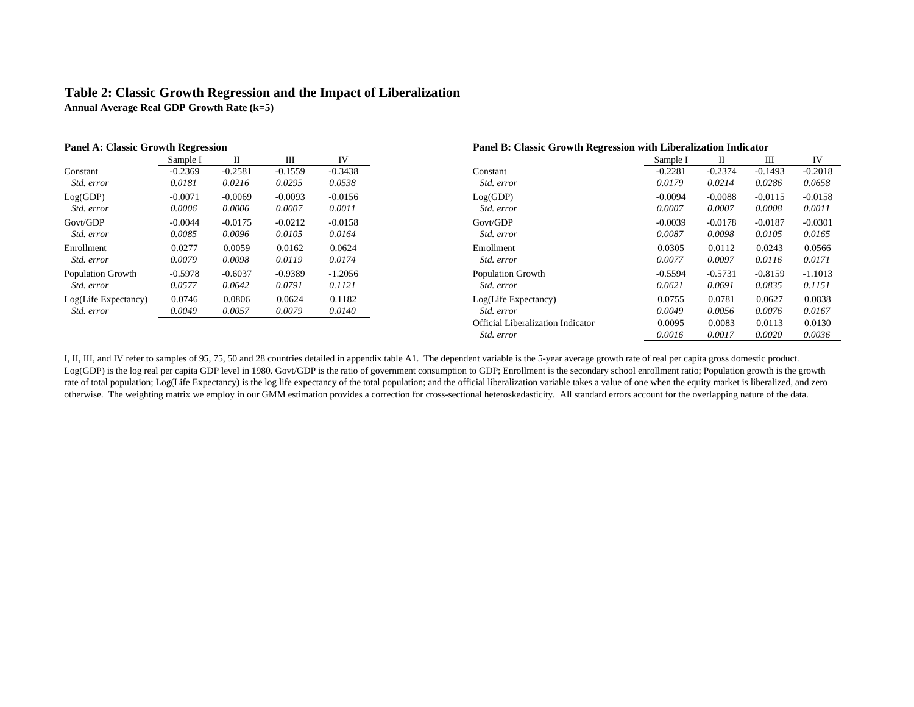## **Table 2: Classic Growth Regression and the Impact of Liberalization Annual Average Real GDP Growth Rate (k=5)**

| <b>Panel A: Classic Growth Regression</b> |           |           |           | Panel B: Classic Growth Regression with Liberalization Indicator |                                   |           |           |           |           |
|-------------------------------------------|-----------|-----------|-----------|------------------------------------------------------------------|-----------------------------------|-----------|-----------|-----------|-----------|
|                                           | Sample I  | П         | Ш         | IV                                                               |                                   | Sample I  | П         | Ш         | IV        |
| Constant                                  | $-0.2369$ | $-0.2581$ | $-0.1559$ | $-0.3438$                                                        | Constant                          | $-0.2281$ | $-0.2374$ | $-0.1493$ | $-0.2018$ |
| Std. error                                | 0.0181    | 0.0216    | 0.0295    | 0.0538                                                           | Std. error                        | 0.0179    | 0.0214    | 0.0286    | 0.0658    |
| Log(GDP)                                  | $-0.0071$ | $-0.0069$ | $-0.0093$ | $-0.0156$                                                        | Log(GDP)                          | $-0.0094$ | $-0.0088$ | $-0.0115$ | $-0.0158$ |
| Std. error                                | 0.0006    | 0.0006    | 0.0007    | 0.0011                                                           | Std. error                        | 0.0007    | 0.0007    | 0.0008    | 0.0011    |
| Govt/GDP                                  | $-0.0044$ | $-0.0175$ | $-0.0212$ | $-0.0158$                                                        | Govt/GDP                          | $-0.0039$ | $-0.0178$ | $-0.0187$ | $-0.0301$ |
| Std. error                                | 0.0085    | 0.0096    | 0.0105    | 0.0164                                                           | Std. error                        | 0.0087    | 0.0098    | 0.0105    | 0.0165    |
| Enrollment                                | 0.0277    | 0.0059    | 0.0162    | 0.0624                                                           | Enrollment                        | 0.0305    | 0.0112    | 0.0243    | 0.0566    |
| Std. error                                | 0.0079    | 0.0098    | 0.0119    | 0.0174                                                           | Std. error                        | 0.0077    | 0.0097    | 0.0116    | 0.0171    |
| <b>Population Growth</b>                  | $-0.5978$ | $-0.6037$ | $-0.9389$ | $-1.2056$                                                        | <b>Population Growth</b>          | $-0.5594$ | $-0.5731$ | $-0.8159$ | $-1.1013$ |
| Std. error                                | 0.0577    | 0.0642    | 0.0791    | 0.1121                                                           | Std. error                        | 0.0621    | 0.0691    | 0.0835    | 0.1151    |
| Log(Life Expectancy)                      | 0.0746    | 0.0806    | 0.0624    | 0.1182                                                           | Log(Life Expectancy)              | 0.0755    | 0.0781    | 0.0627    | 0.0838    |
| Std. error                                | 0.0049    | 0.0057    | 0.0079    | 0.0140                                                           | Std. error                        | 0.0049    | 0.0056    | 0.0076    | 0.0167    |
|                                           |           |           |           |                                                                  | Official Liberalization Indicator | 0.0095    | 0.0083    | 0.0113    | 0.0130    |
|                                           |           |           |           |                                                                  | Std. error                        | 0.0016    | 0.0017    | 0.0020    | 0.0036    |

I, II, III, and IV refer to samples of 95, 75, 50 and 28 countries detailed in appendix table A1. The dependent variable is the 5-year average growth rate of real per capita gross domestic product. Log(GDP) is the log real per capita GDP level in 1980. Govt/GDP is the ratio of government consumption to GDP; Enrollment is the secondary school enrollment ratio; Population growth is the growth rate of total population; Log(Life Expectancy) is the log life expectancy of the total population; and the official liberalization variable takes a value of one when the equity market is liberalized, and zero otherwise. The weighting matrix we employ in our GMM estimation provides a correction for cross-sectional heteroskedasticity. All standard errors account for the overlapping nature of the data.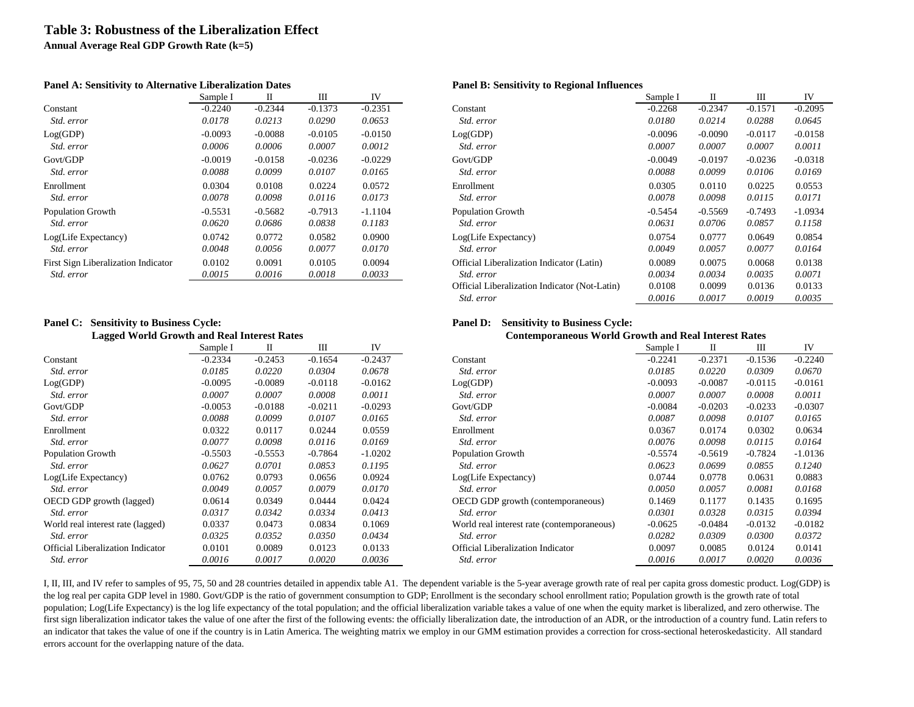# **Table 3: Robustness of the Liberalization Effect**

**Annual Average Real GDP Growth Rate (k=5)**

### **Panel A: Sensitivity to Alternative Liberalization Dates Panel B: Sensitivity to Regional Influences**

|                                     | Sample I  | П         | Ш         | IV        |
|-------------------------------------|-----------|-----------|-----------|-----------|
| Constant                            | $-0.2240$ | $-0.2344$ | $-0.1373$ | $-0.2351$ |
| <i>Std. error</i>                   | 0.0178    | 0.0213    | 0.0290    | 0.0653    |
| Log(GDP)                            | $-0.0093$ | $-0.0088$ | $-0.0105$ | $-0.0150$ |
| Std. error                          | 0.0006    | 0.0006    | 0.0007    | 0.0012    |
| Govt/GDP                            | $-0.0019$ | $-0.0158$ | $-0.0236$ | $-0.0229$ |
| <i>Std. error</i>                   | 0.0088    | 0.0099    | 0.0107    | 0.0165    |
| Enrollment                          | 0.0304    | 0.0108    | 0.0224    | 0.0572    |
| <i>Std. error</i>                   | 0.0078    | 0.0098    | 0.0116    | 0.0173    |
| <b>Population Growth</b>            | $-0.5531$ | $-0.5682$ | $-0.7913$ | $-1.1104$ |
| Std. error                          | 0.0620    | 0.0686    | 0.0838    | 0.1183    |
| Log(Life Expectancy)                | 0.0742    | 0.0772    | 0.0582    | 0.0900    |
| Std. error                          | 0.0048    | 0.0056    | 0.0077    | 0.0170    |
| First Sign Liberalization Indicator | 0.0102    | 0.0091    | 0.0105    | 0.0094    |
| Std. error                          | 0.0015    | 0.0016    | 0.0018    | 0.0033    |

# **Panel C: Sensitivity to Business Cycle: Panel D: Sensitivity to Business Cycle: Panel D: Sensitivity to Business Cycle:**

| ъэ                                       | Sample I  | П         | Ш         | IV        |
|------------------------------------------|-----------|-----------|-----------|-----------|
| Constant                                 | $-0.2334$ | $-0.2453$ | $-0.1654$ | $-0.2437$ |
| Std. error                               | 0.0185    | 0.0220    | 0.0304    | 0.0678    |
| Log(GDP)                                 | $-0.0095$ | $-0.0089$ | $-0.0118$ | $-0.0162$ |
| Std. error                               | 0.0007    | 0.0007    | 0.0008    | 0.0011    |
| Govt/GDP                                 | $-0.0053$ | $-0.0188$ | $-0.0211$ | $-0.0293$ |
| Std. error                               | 0.0088    | 0.0099    | 0.0107    | 0.0165    |
| Enrollment                               | 0.0322    | 0.0117    | 0.0244    | 0.0559    |
| <i>Std. error</i>                        | 0.0077    | 0.0098    | 0.0116    | 0.0169    |
| <b>Population Growth</b>                 | $-0.5503$ | $-0.5553$ | $-0.7864$ | $-1.0202$ |
| <i>Std. error</i>                        | 0.0627    | 0.0701    | 0.0853    | 0.1195    |
| Log(Life Expectancy)                     | 0.0762    | 0.0793    | 0.0656    | 0.0924    |
| <i>Std. error</i>                        | 0.0049    | 0.0057    | 0.0079    | 0.0170    |
| OECD GDP growth (lagged)                 | 0.0614    | 0.0349    | 0.0444    | 0.0424    |
| <i>Std. error</i>                        | 0.0317    | 0.0342    | 0.0334    | 0.0413    |
| World real interest rate (lagged)        | 0.0337    | 0.0473    | 0.0834    | 0.1069    |
| Std. error                               | 0.0325    | 0.0352    | 0.0350    | 0.0434    |
| <b>Official Liberalization Indicator</b> | 0.0101    | 0.0089    | 0.0123    | 0.0133    |
| Std. error                               | 0.0016    | 0.0017    | 0.0020    | 0.0036    |

|                                            | Sample I  | П         | Ш         | IV        |                                               | Sample I  | П         | Ш         | IV        |
|--------------------------------------------|-----------|-----------|-----------|-----------|-----------------------------------------------|-----------|-----------|-----------|-----------|
| Constant                                   | $-0.2240$ | $-0.2344$ | $-0.1373$ | $-0.2351$ | Constant                                      | $-0.2268$ | $-0.2347$ | $-0.1571$ | $-0.2095$ |
| Std. error                                 | 0.0178    | 0.0213    | 0.0290    | 0.0653    | Std. error                                    | 0.0180    | 0.0214    | 0.0288    | 0.0645    |
| Log(GDP)                                   | $-0.0093$ | $-0.0088$ | $-0.0105$ | $-0.0150$ | Log(GDP)                                      | $-0.0096$ | $-0.0090$ | $-0.0117$ | $-0.0158$ |
| Std. error                                 | 0.0006    | 0.0006    | 0.0007    | 0.0012    | Std. error                                    | 0.0007    | 0.0007    | 0.0007    | 0.0011    |
| Govt/GDP                                   | $-0.0019$ | $-0.0158$ | $-0.0236$ | $-0.0229$ | Govt/GDP                                      | $-0.0049$ | $-0.0197$ | $-0.0236$ | $-0.0318$ |
| Std. error                                 | 0.0088    | 0.0099    | 0.0107    | 0.0165    | Std. error                                    | 0.0088    | 0.0099    | 0.0106    | 0.0169    |
| Enrollment                                 | 0.0304    | 0.0108    | 0.0224    | 0.0572    | Enrollment                                    | 0.0305    | 0.0110    | 0.0225    | 0.0553    |
| Std. error                                 | 0.0078    | 0.0098    | 0.0116    | 0.0173    | Std. error                                    | 0.0078    | 0.0098    | 0.0115    | 0.0171    |
| <b>Population Growth</b>                   | $-0.5531$ | $-0.5682$ | $-0.7913$ | $-1.1104$ | <b>Population Growth</b>                      | $-0.5454$ | $-0.5569$ | $-0.7493$ | $-1.0934$ |
| Std. error                                 | 0.0620    | 0.0686    | 0.0838    | 0.1183    | Std. error                                    | 0.0631    | 0.0706    | 0.0857    | 0.1158    |
| Log(Life Expectancy)                       | 0.0742    | 0.0772    | 0.0582    | 0.0900    | Log(Life Expectancy)                          | 0.0754    | 0.0777    | 0.0649    | 0.0854    |
| Std. error                                 | 0.0048    | 0.0056    | 0.0077    | 0.0170    | Std. error                                    | 0.0049    | 0.0057    | 0.0077    | 0.0164    |
| <b>First Sign Liberalization Indicator</b> | 0.0102    | 0.0091    | 0.0105    | 0.0094    | Official Liberalization Indicator (Latin)     | 0.0089    | 0.0075    | 0.0068    | 0.0138    |
| Std. error                                 | 0.0015    | 0.0016    | 0.0018    | 0.0033    | Std. error                                    | 0.0034    | 0.0034    | 0.0035    | 0.0071    |
|                                            |           |           |           |           | Official Liberalization Indicator (Not-Latin) | 0.0108    | 0.0099    | 0.0136    | 0.0133    |
|                                            |           |           |           |           | Std. error                                    | 0.0016    | 0.0017    | 0.0019    | 0.0035    |

**Lagged World Growth and Real Interest Rates Contemporaneous World Growth and Real Interest Rates**

| Constant<br>$-0.2437$<br>$-0.2334$<br>$-0.2453$<br>$-0.1654$<br>$-0.2241$<br>$-0.2371$<br>$-0.1536$<br>Constant<br>0.0678<br>0.0309<br>0.0185<br>0.0220<br>0.0304<br>Std. error<br>0.0185<br>0.0220<br>Std. error<br>Log(GDP)<br>$-0.0115$<br>Log(GDP)<br>$-0.0095$<br>$-0.0089$<br>$-0.0118$<br>$-0.0162$<br>$-0.0093$<br>$-0.0087$<br>0.0008<br>0.0007<br>0.0008<br>0.0011<br>0.0007<br><i>Std. error</i><br>0.0007<br>0.0007<br>Std. error |           |
|-----------------------------------------------------------------------------------------------------------------------------------------------------------------------------------------------------------------------------------------------------------------------------------------------------------------------------------------------------------------------------------------------------------------------------------------------|-----------|
|                                                                                                                                                                                                                                                                                                                                                                                                                                               | $-0.2240$ |
|                                                                                                                                                                                                                                                                                                                                                                                                                                               | 0.0670    |
|                                                                                                                                                                                                                                                                                                                                                                                                                                               | $-0.0161$ |
|                                                                                                                                                                                                                                                                                                                                                                                                                                               | 0.0011    |
| Govt/GDP<br>$-0.0233$<br>Govt/GDP<br>$-0.0053$<br>$-0.0188$<br>$-0.0211$<br>$-0.0293$<br>$-0.0084$<br>$-0.0203$                                                                                                                                                                                                                                                                                                                               | $-0.0307$ |
| 0.0099<br>0.0107<br>0.0098<br>0.0107<br>0.0088<br>0.0165<br>Std. error<br>0.0087<br>Std. error                                                                                                                                                                                                                                                                                                                                                | 0.0165    |
| 0.0322<br>0.0117<br>0.0244<br>0.0559<br>0.0302<br>Enrollment<br>0.0367<br>0.0174<br>Enrollment                                                                                                                                                                                                                                                                                                                                                | 0.0634    |
| 0.0077<br>0.0115<br>0.0098<br>0.0116<br>0.0169<br>Std. error<br>0.0076<br>0.0098<br>Std. error                                                                                                                                                                                                                                                                                                                                                | 0.0164    |
| $-0.7824$<br>$-0.7864$<br>$-1.0202$<br>Population Growth<br><b>Population Growth</b><br>$-0.5503$<br>$-0.5553$<br>$-0.5574$<br>$-0.5619$                                                                                                                                                                                                                                                                                                      | $-1.0136$ |
| 0.0627<br>0.0701<br>0.0853<br>0.1195<br>0.0855<br>0.0623<br>0.0699<br>Std. error<br><i>Std. error</i>                                                                                                                                                                                                                                                                                                                                         | 0.1240    |
| 0.0793<br>0.0924<br>Log(Life Expectancy)<br>0.0778<br>0.0762<br>0.0656<br>0.0744<br>0.0631<br>Log(Life Expectancy)                                                                                                                                                                                                                                                                                                                            | 0.0883    |
| 0.0170<br>0.0057<br>0.0049<br>0.0057<br>0.0079<br><i>Std. error</i><br>0.0050<br>0.0081<br><i>Std. error</i>                                                                                                                                                                                                                                                                                                                                  | 0.0168    |
| OECD GDP growth (lagged)<br>0.0614<br>0.0349<br>0.0424<br>0.1435<br>0.0444<br>OECD GDP growth (contemporaneous)<br>0.1177<br>0.1469                                                                                                                                                                                                                                                                                                           | 0.1695    |
| 0.0317<br>0.0342<br>0.0334<br>0.0413<br>0.0328<br>0.0315<br>Std. error<br>0.0301<br><i>Std. error</i>                                                                                                                                                                                                                                                                                                                                         | 0.0394    |
| World real interest rate (lagged)<br>0.0337<br>0.0473<br>0.0834<br>$-0.0484$<br>$-0.0132$<br>0.1069<br>$-0.0625$<br>World real interest rate (contemporaneous)                                                                                                                                                                                                                                                                                | $-0.0182$ |
| 0.0325<br>0.0352<br>0.0309<br>0.0300<br>0.0350<br>0.0434<br>Std. error<br>0.0282<br><i>Std. error</i>                                                                                                                                                                                                                                                                                                                                         | 0.0372    |
| Official Liberalization Indicator<br>0.0101<br>0.0089<br>0.0133<br>Official Liberalization Indicator<br>0.0085<br>0.0124<br>0.0123<br>0.0097                                                                                                                                                                                                                                                                                                  | 0.0141    |
| 0.0036<br>0.0016<br>0.0017<br>0.0020<br>0.0016<br>0.0017<br>0.0020<br>Std. error<br>Std. error                                                                                                                                                                                                                                                                                                                                                | 0.0036    |

I, II, III, and IV refer to samples of 95, 75, 50 and 28 countries detailed in appendix table A1. The dependent variable is the 5-year average growth rate of real per capita gross domestic product. Log(GDP) is the log real per capita GDP level in 1980. Govt/GDP is the ratio of government consumption to GDP; Enrollment is the secondary school enrollment ratio; Population growth is the growth rate of total population; Log(Life Expectancy) is the log life expectancy of the total population; and the official liberalization variable takes a value of one when the equity market is liberalized, and zero otherwise. The first sign liberalization indicator takes the value of one after the first of the following events: the officially liberalization date, the introduction of an ADR, or the introduction of a country fund. Latin refers to an indicator that takes the value of one if the country is in Latin America. The weighting matrix we employ in our GMM estimation provides a correction for cross-sectional heteroskedasticity. All standard errors account for the overlapping nature of the data.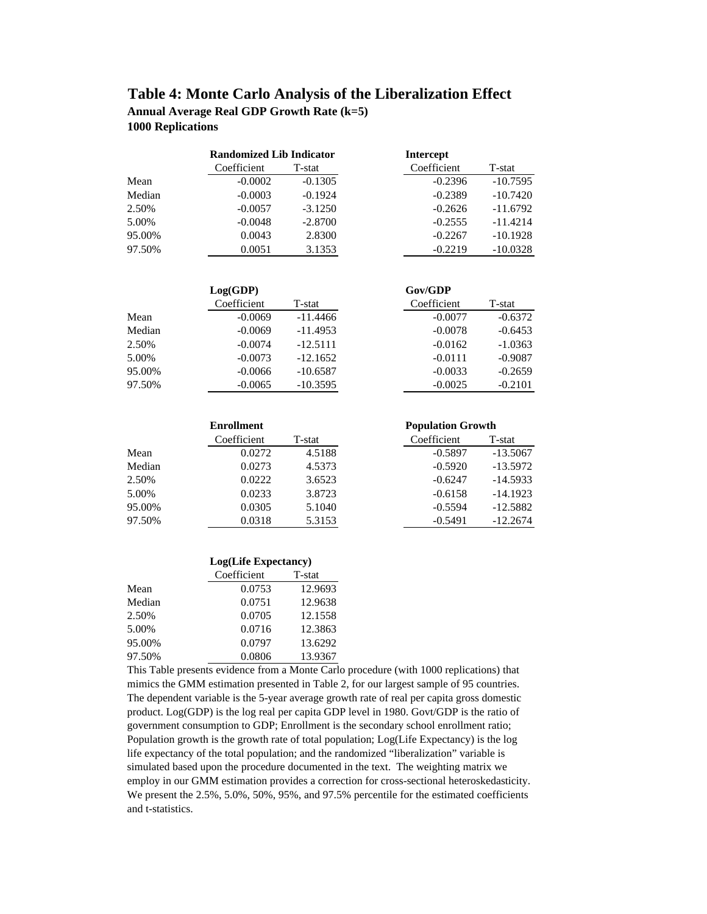# **Table 4: Monte Carlo Analysis of the Liberalization Effect**

**Annual Average Real GDP Growth Rate (k=5) 1000 Replications**

|        | <b>Randomized Lib Indicator</b> |           | <b>Intercept</b> |            |
|--------|---------------------------------|-----------|------------------|------------|
|        | Coefficient                     | T-stat    | Coefficient      | T-stat     |
| Mean   | $-0.0002$                       | $-0.1305$ | $-0.2396$        | $-10.7595$ |
| Median | $-0.0003$                       | $-0.1924$ | $-0.2389$        | $-10.7420$ |
| 2.50%  | $-0.0057$                       | $-3.1250$ | $-0.2626$        | $-11.6792$ |
| 5.00%  | $-0.0048$                       | $-2.8700$ | $-0.2555$        | $-11.4214$ |
| 95.00% | 0.0043                          | 2.8300    | $-0.2267$        | $-10.1928$ |
| 97.50% | 0.0051                          | 3.1353    | $-0.2219$        | $-10.0328$ |

| Intercept   |            |
|-------------|------------|
| Coefficient | T-stat     |
| $-0.2396$   | $-10.7595$ |
| $-0.2389$   | $-10.7420$ |
| $-0.2626$   | $-11.6792$ |
| $-0.2555$   | $-11.4214$ |
| $-0.2267$   | $-10.1928$ |
| $-0.2219$   | $-10.0328$ |

|        | Log(GDP)    |            | Gov/GDP     |           |
|--------|-------------|------------|-------------|-----------|
|        | Coefficient | T-stat     | Coefficient | T-stat    |
| Mean   | $-0.0069$   | $-11.4466$ | $-0.0077$   | $-0.6372$ |
| Median | $-0.0069$   | $-11.4953$ | $-0.0078$   | $-0.6453$ |
| 2.50%  | $-0.0074$   | $-12.5111$ | $-0.0162$   | $-1.0363$ |
| 5.00%  | $-0.0073$   | $-12.1652$ | $-0.0111$   | $-0.9087$ |
| 95.00% | $-0.0066$   | $-10.6587$ | $-0.0033$   | $-0.2659$ |
| 97.50% | $-0.0065$   | $-10.3595$ | $-0.0025$   | $-0.2101$ |

|        | <b>Enrollment</b> |        | <b>Population Growth</b> |            |  |  |
|--------|-------------------|--------|--------------------------|------------|--|--|
|        | Coefficient       | T-stat | Coefficient              | T-stat     |  |  |
| Mean   | 0.0272            | 4.5188 | $-0.5897$                | $-13.5067$ |  |  |
| Median | 0.0273            | 4.5373 | $-0.5920$                | $-13.5972$ |  |  |
| 2.50%  | 0.0222            | 3.6523 | $-0.6247$                | $-14.5933$ |  |  |
| 5.00%  | 0.0233            | 3.8723 | $-0.6158$                | $-14.1923$ |  |  |
| 95.00% | 0.0305            | 5.1040 | $-0.5594$                | $-12.5882$ |  |  |
| 97.50% | 0.0318            | 5.3153 | $-0.5491$                | $-12.2674$ |  |  |

|        | Log(Life Expectancy) |         |  |  |  |  |
|--------|----------------------|---------|--|--|--|--|
|        | Coefficient          | T-stat  |  |  |  |  |
| Mean   | 0.0753               | 12.9693 |  |  |  |  |
| Median | 0.0751               | 12.9638 |  |  |  |  |
| 2.50%  | 0.0705               | 12.1558 |  |  |  |  |
| 5.00%  | 0.0716               | 12.3863 |  |  |  |  |
| 95.00% | 0.0797               | 13.6292 |  |  |  |  |
| 97.50% | 0.0806               | 13.9367 |  |  |  |  |

This Table presents evidence from a Monte Carlo procedure (with 1000 replications) that mimics the GMM estimation presented in Table 2, for our largest sample of 95 countries. The dependent variable is the 5-year average growth rate of real per capita gross domestic product. Log(GDP) is the log real per capita GDP level in 1980. Govt/GDP is the ratio of government consumption to GDP; Enrollment is the secondary school enrollment ratio; Population growth is the growth rate of total population; Log(Life Expectancy) is the log life expectancy of the total population; and the randomized "liberalization" variable is simulated based upon the procedure documented in the text. The weighting matrix we employ in our GMM estimation provides a correction for cross-sectional heteroskedasticity. We present the 2.5%, 5.0%, 50%, 95%, and 97.5% percentile for the estimated coefficients and t-statistics.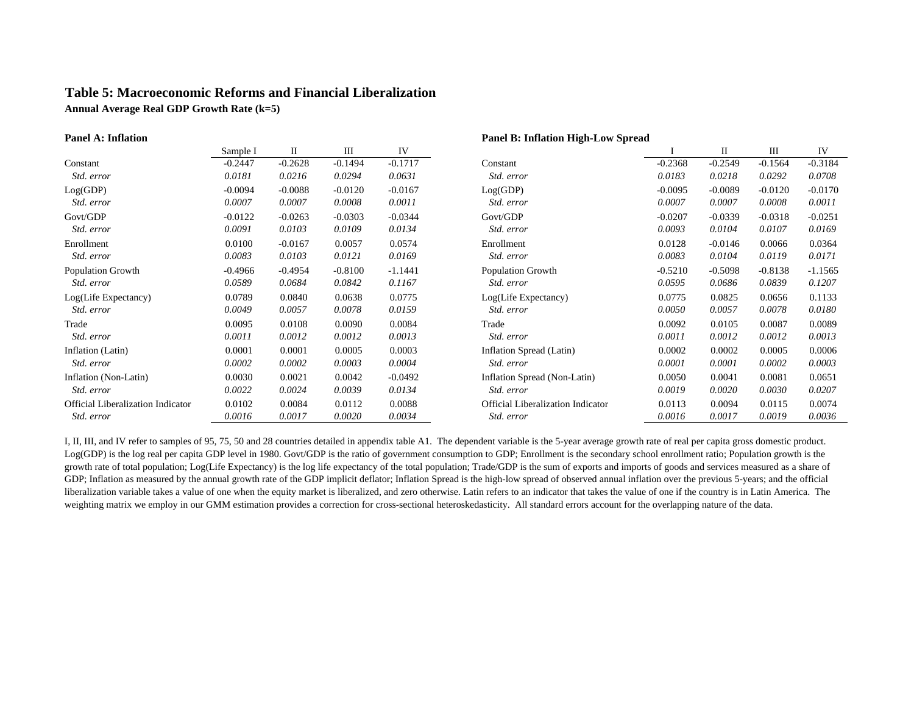# **Table 5: Macroeconomic Reforms and Financial Liberalization**

**Annual Average Real GDP Growth Rate (k=5)**

### **Panel A: Inflation Panel B: Inflation High-Low Spread**

|                                   | Sample I  | П         | Ш         | IV        |                                   |           | П         | Ш         | IV        |
|-----------------------------------|-----------|-----------|-----------|-----------|-----------------------------------|-----------|-----------|-----------|-----------|
| Constant                          | $-0.2447$ | $-0.2628$ | $-0.1494$ | $-0.1717$ | Constant                          | $-0.2368$ | $-0.2549$ | $-0.1564$ | $-0.3184$ |
| Std. error                        | 0.0181    | 0.0216    | 0.0294    | 0.0631    | Std. error                        | 0.0183    | 0.0218    | 0.0292    | 0.0708    |
| Log(GDP)                          | $-0.0094$ | $-0.0088$ | $-0.0120$ | $-0.0167$ | Log(GDP)                          | $-0.0095$ | $-0.0089$ | $-0.0120$ | $-0.0170$ |
| Std. error                        | 0.0007    | 0.0007    | 0.0008    | 0.0011    | Std. error                        | 0.0007    | 0.0007    | 0.0008    | 0.0011    |
| Govt/GDP                          | $-0.0122$ | $-0.0263$ | $-0.0303$ | $-0.0344$ | Govt/GDP                          | $-0.0207$ | $-0.0339$ | $-0.0318$ | $-0.0251$ |
| Std. error                        | 0.0091    | 0.0103    | 0.0109    | 0.0134    | Std. error                        | 0.0093    | 0.0104    | 0.0107    | 0.0169    |
| Enrollment                        | 0.0100    | $-0.0167$ | 0.0057    | 0.0574    | Enrollment                        | 0.0128    | $-0.0146$ | 0.0066    | 0.0364    |
| Std. error                        | 0.0083    | 0.0103    | 0.0121    | 0.0169    | Std. error                        | 0.0083    | 0.0104    | 0.0119    | 0.0171    |
| Population Growth                 | $-0.4966$ | $-0.4954$ | $-0.8100$ | $-1.1441$ | <b>Population Growth</b>          | $-0.5210$ | $-0.5098$ | $-0.8138$ | $-1.1565$ |
| Std. error                        | 0.0589    | 0.0684    | 0.0842    | 0.1167    | Std. error                        | 0.0595    | 0.0686    | 0.0839    | 0.1207    |
| Log(Life Expectancy)              | 0.0789    | 0.0840    | 0.0638    | 0.0775    | Log(Life Expectancy)              | 0.0775    | 0.0825    | 0.0656    | 0.1133    |
| Std. error                        | 0.0049    | 0.0057    | 0.0078    | 0.0159    | Std. error                        | 0.0050    | 0.0057    | 0.0078    | 0.0180    |
| Trade                             | 0.0095    | 0.0108    | 0.0090    | 0.0084    | Trade                             | 0.0092    | 0.0105    | 0.0087    | 0.0089    |
| Std. error                        | 0.0011    | 0.0012    | 0.0012    | 0.0013    | Std. error                        | 0.0011    | 0.0012    | 0.0012    | 0.0013    |
| Inflation (Latin)                 | 0.0001    | 0.0001    | 0.0005    | 0.0003    | Inflation Spread (Latin)          | 0.0002    | 0.0002    | 0.0005    | 0.0006    |
| Std. error                        | 0.0002    | 0.0002    | 0.0003    | 0.0004    | Std. error                        | 0.0001    | 0.0001    | 0.0002    | 0.0003    |
| Inflation (Non-Latin)             | 0.0030    | 0.0021    | 0.0042    | $-0.0492$ | Inflation Spread (Non-Latin)      | 0.0050    | 0.0041    | 0.0081    | 0.0651    |
| Std. error                        | 0.0022    | 0.0024    | 0.0039    | 0.0134    | Std. error                        | 0.0019    | 0.0020    | 0.0030    | 0.0207    |
| Official Liberalization Indicator | 0.0102    | 0.0084    | 0.0112    | 0.0088    | Official Liberalization Indicator | 0.0113    | 0.0094    | 0.0115    | 0.0074    |
| Std. error                        | 0.0016    | 0.0017    | 0.0020    | 0.0034    | Std. error                        | 0.0016    | 0.0017    | 0.0019    | 0.0036    |

I, II, III, and IV refer to samples of 95, 75, 50 and 28 countries detailed in appendix table A1. The dependent variable is the 5-year average growth rate of real per capita gross domestic product. Log(GDP) is the log real per capita GDP level in 1980. Govt/GDP is the ratio of government consumption to GDP; Enrollment is the secondary school enrollment ratio; Population growth is the growth rate of total population; Log(Life Expectancy) is the log life expectancy of the total population; Trade/GDP is the sum of exports and imports of goods and services measured as a share of GDP; Inflation as measured by the annual growth rate of the GDP implicit deflator; Inflation Spread is the high-low spread of observed annual inflation over the previous 5-years; and the official liberalization variable takes a value of one when the equity market is liberalized, and zero otherwise. Latin refers to an indicator that takes the value of one if the country is in Latin America. The weighting matrix we employ in our GMM estimation provides a correction for cross-sectional heteroskedasticity. All standard errors account for the overlapping nature of the data.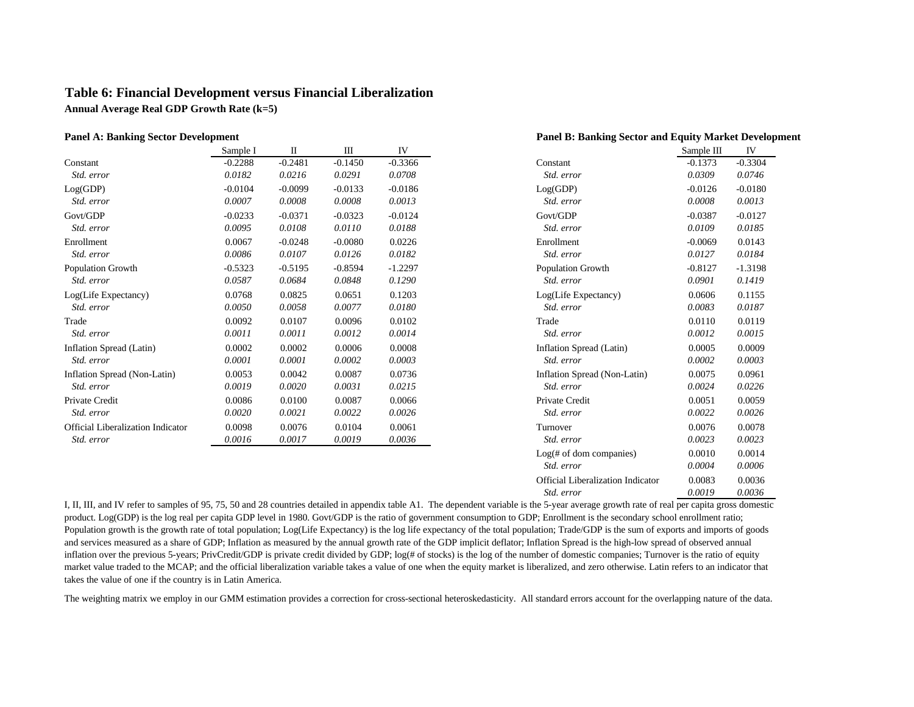## **Table 6: Financial Development versus Financial Liberalization Annual Average Real GDP Growth Rate (k=5)**

|                                   | Sample I  | П         | Ш         | IV        |                              | Sample III | IV        |
|-----------------------------------|-----------|-----------|-----------|-----------|------------------------------|------------|-----------|
| Constant                          | $-0.2288$ | $-0.2481$ | $-0.1450$ | $-0.3366$ | Constant                     | $-0.1373$  | $-0.3304$ |
| Std. error                        | 0.0182    | 0.0216    | 0.0291    | 0.0708    | Std. error                   | 0.0309     | 0.0746    |
| Log(GDP)                          | $-0.0104$ | $-0.0099$ | $-0.0133$ | $-0.0186$ | Log(GDP)                     | $-0.0126$  | $-0.0180$ |
| Std. error                        | 0.0007    | 0.0008    | 0.0008    | 0.0013    | Std. error                   | 0.0008     | 0.0013    |
| Govt/GDP                          | $-0.0233$ | $-0.0371$ | $-0.0323$ | $-0.0124$ | Govt/GDP                     | $-0.0387$  | $-0.0127$ |
| Std. error                        | 0.0095    | 0.0108    | 0.0110    | 0.0188    | Std. error                   | 0.0109     | 0.0185    |
| Enrollment                        | 0.0067    | $-0.0248$ | $-0.0080$ | 0.0226    | Enrollment                   | $-0.0069$  | 0.0143    |
| Std. error                        | 0.0086    | 0.0107    | 0.0126    | 0.0182    | Std. error                   | 0.0127     | 0.0184    |
| <b>Population Growth</b>          | $-0.5323$ | $-0.5195$ | $-0.8594$ | $-1.2297$ | <b>Population Growth</b>     | $-0.8127$  | $-1.3198$ |
| Std. error                        | 0.0587    | 0.0684    | 0.0848    | 0.1290    | Std. error                   | 0.0901     | 0.1419    |
| Log(Life Expectancy)              | 0.0768    | 0.0825    | 0.0651    | 0.1203    | Log(Life Expectancy)         | 0.0606     | 0.1155    |
| Std. error                        | 0.0050    | 0.0058    | 0.0077    | 0.0180    | Std. error                   | 0.0083     | 0.0187    |
| Trade                             | 0.0092    | 0.0107    | 0.0096    | 0.0102    | Trade                        | 0.0110     | 0.0119    |
| Std. error                        | 0.0011    | 0.0011    | 0.0012    | 0.0014    | Std. error                   | 0.0012     | 0.0015    |
| Inflation Spread (Latin)          | 0.0002    | 0.0002    | 0.0006    | 0.0008    | Inflation Spread (Latin)     | 0.0005     | 0.0009    |
| Std. error                        | 0.0001    | 0.0001    | 0.0002    | 0.0003    | Std. error                   | 0.0002     | 0.0003    |
| Inflation Spread (Non-Latin)      | 0.0053    | 0.0042    | 0.0087    | 0.0736    | Inflation Spread (Non-Latin) | 0.0075     | 0.0961    |
| Std. error                        | 0.0019    | 0.0020    | 0.0031    | 0.0215    | Std. error                   | 0.0024     | 0.0226    |
| Private Credit                    | 0.0086    | 0.0100    | 0.0087    | 0.0066    | Private Credit               | 0.0051     | 0.0059    |
| Std. error                        | 0.0020    | 0.0021    | 0.0022    | 0.0026    | Std. error                   | 0.0022     | 0.0026    |
| Official Liberalization Indicator | 0.0098    | 0.0076    | 0.0104    | 0.0061    | Turnover                     | 0.0076     | 0.0078    |
| Std. error                        | 0.0016    | 0.0017    | 0.0019    | 0.0036    | Std. error                   | 0.0023     | 0.0023    |
|                                   |           |           |           |           |                              |            |           |

| <b>Panel A: Banking Sector Development</b> |           |           |              |           | <b>Panel B: Banking Sector and Equity Market Development</b> |            |           |
|--------------------------------------------|-----------|-----------|--------------|-----------|--------------------------------------------------------------|------------|-----------|
|                                            | Sample I  | $\rm II$  | $\mathbf{I}$ | IV        |                                                              | Sample III | IV        |
| Constant                                   | $-0.2288$ | $-0.2481$ | $-0.1450$    | $-0.3366$ | Constant                                                     | $-0.1373$  | $-0.3304$ |
| Std. error                                 | 0.0182    | 0.0216    | 0.0291       | 0.0708    | Std. error                                                   | 0.0309     | 0.0746    |
| Log(GDP)                                   | $-0.0104$ | $-0.0099$ | $-0.0133$    | $-0.0186$ | Log(GDP)                                                     | $-0.0126$  | $-0.0180$ |
| Std. error                                 | 0.0007    | 0.0008    | 0.0008       | 0.0013    | Std. error                                                   | 0.0008     | 0.0013    |
| Govt/GDP                                   | $-0.0233$ | $-0.0371$ | $-0.0323$    | $-0.0124$ | Govt/GDP                                                     | $-0.0387$  | $-0.0127$ |
| Std. error                                 | 0.0095    | 0.0108    | 0.0110       | 0.0188    | Std. error                                                   | 0.0109     | 0.0185    |
| Enrollment                                 | 0.0067    | $-0.0248$ | $-0.0080$    | 0.0226    | Enrollment                                                   | $-0.0069$  | 0.0143    |
| Std. error                                 | 0.0086    | 0.0107    | 0.0126       | 0.0182    | Std. error                                                   | 0.0127     | 0.0184    |
| Population Growth                          | $-0.5323$ | $-0.5195$ | $-0.8594$    | $-1.2297$ | Population Growth                                            | $-0.8127$  | $-1.3198$ |
| Std. error                                 | 0.0587    | 0.0684    | 0.0848       | 0.1290    | Std. error                                                   | 0.0901     | 0.1419    |
| Log(Life Expectancy)                       | 0.0768    | 0.0825    | 0.0651       | 0.1203    | Log(Life Expectancy)                                         | 0.0606     | 0.1155    |
| Std. error                                 | 0.0050    | 0.0058    | 0.0077       | 0.0180    | Std. error                                                   | 0.0083     | 0.0187    |
| Trade                                      | 0.0092    | 0.0107    | 0.0096       | 0.0102    | Trade                                                        | 0.0110     | 0.0119    |
| Std. error                                 | 0.0011    | 0.0011    | 0.0012       | 0.0014    | Std. error                                                   | 0.0012     | 0.0015    |
| Inflation Spread (Latin)                   | 0.0002    | 0.0002    | 0.0006       | 0.0008    | Inflation Spread (Latin)                                     | 0.0005     | 0.0009    |
| Std. error                                 | 0.0001    | 0.0001    | 0.0002       | 0.0003    | Std. error                                                   | 0.0002     | 0.0003    |
| Inflation Spread (Non-Latin)               | 0.0053    | 0.0042    | 0.0087       | 0.0736    | Inflation Spread (Non-Latin)                                 | 0.0075     | 0.0961    |
| Std. error                                 | 0.0019    | 0.0020    | 0.0031       | 0.0215    | Std. error                                                   | 0.0024     | 0.0226    |
| Private Credit                             | 0.0086    | 0.0100    | 0.0087       | 0.0066    | Private Credit                                               | 0.0051     | 0.0059    |
| Std. error                                 | 0.0020    | 0.0021    | 0.0022       | 0.0026    | Std. error                                                   | 0.0022     | 0.0026    |
| <b>Official Liberalization Indicator</b>   | 0.0098    | 0.0076    | 0.0104       | 0.0061    | Turnover                                                     | 0.0076     | 0.0078    |
| Std. error                                 | 0.0016    | 0.0017    | 0.0019       | 0.0036    | Std. error                                                   | 0.0023     | 0.0023    |
|                                            |           |           |              |           | Log(f# of dom companies)                                     | 0.0010     | 0.0014    |
|                                            |           |           |              |           | Std. error                                                   | 0.0004     | 0.0006    |
|                                            |           |           |              |           | <b>Official Liberalization Indicator</b>                     | 0.0083     | 0.0036    |
|                                            |           |           |              |           | Std. error                                                   | 0.0019     | 0.0036    |

I, II, III, and IV refer to samples of 95, 75, 50 and 28 countries detailed in appendix table A1. The dependent variable is the 5-year average growth rate of real per capita gross domestic product. Log(GDP) is the log real per capita GDP level in 1980. Govt/GDP is the ratio of government consumption to GDP; Enrollment is the secondary school enrollment ratio; Population growth is the growth rate of total population; Log(Life Expectancy) is the log life expectancy of the total population; Trade/GDP is the sum of exports and imports of goods and services measured as a share of GDP; Inflation as measured by the annual growth rate of the GDP implicit deflator; Inflation Spread is the high-low spread of observed annual inflation over the previous 5-years; PrivCredit/GDP is private credit divided by GDP;  $log(f + \sigma)$  is the log of the number of domestic companies; Turnover is the ratio of equity market value traded to the MCAP; and the official liberalization variable takes a value of one when the equity market is liberalized, and zero otherwise. Latin refers to an indicator that takes the value of one if the country is in Latin America.

The weighting matrix we employ in our GMM estimation provides a correction for cross-sectional heteroskedasticity. All standard errors account for the overlapping nature of the data.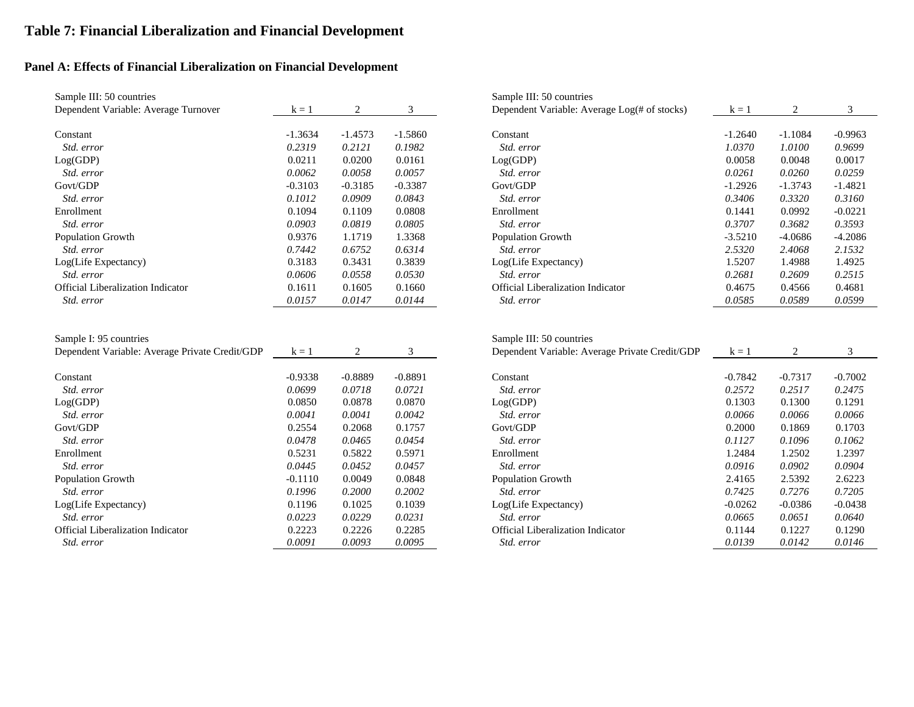# **Table 7: Financial Liberalization and Financial Development**

# **Panel A: Effects of Financial Liberalization on Financial Development**

| Sample III: 50 countries                                                 |           |                |           | Sample III: 50 countries                                                   |           |                |           |
|--------------------------------------------------------------------------|-----------|----------------|-----------|----------------------------------------------------------------------------|-----------|----------------|-----------|
| Dependent Variable: Average Turnover                                     | $k = 1$   | $\sqrt{2}$     | 3         | Dependent Variable: Average Log(# of stocks)                               | $k = 1$   | $\overline{2}$ | 3         |
| Constant                                                                 | $-1.3634$ | $-1.4573$      | $-1.5860$ | Constant                                                                   | $-1.2640$ | $-1.1084$      | $-0.9963$ |
| Std. error                                                               | 0.2319    | 0.2121         | 0.1982    | Std. error                                                                 | 1.0370    | 1.0100         | 0.9699    |
| Log(GDP)                                                                 | 0.0211    | 0.0200         | 0.0161    | Log(GDP)                                                                   | 0.0058    | 0.0048         | 0.0017    |
| Std. error                                                               | 0.0062    | 0.0058         | 0.0057    | Std. error                                                                 | 0.0261    | 0.0260         | 0.0259    |
| Govt/GDP                                                                 | $-0.3103$ | $-0.3185$      | $-0.3387$ | Govt/GDP                                                                   | $-1.2926$ | $-1.3743$      | $-1.4821$ |
| Std. error                                                               | 0.1012    | 0.0909         | 0.0843    | Std. error                                                                 | 0.3406    | 0.3320         | 0.3160    |
| Enrollment                                                               | 0.1094    | 0.1109         | 0.0808    | Enrollment                                                                 | 0.1441    | 0.0992         | $-0.0221$ |
| Std. error                                                               | 0.0903    | 0.0819         | 0.0805    | Std. error                                                                 | 0.3707    | 0.3682         | 0.3593    |
| Population Growth                                                        | 0.9376    | 1.1719         | 1.3368    | Population Growth                                                          | $-3.5210$ | $-4.0686$      | $-4.2086$ |
| Std. error                                                               | 0.7442    | 0.6752         | 0.6314    | Std. error                                                                 | 2.5320    | 2.4068         | 2.1532    |
| Log(Life Expectancy)                                                     | 0.3183    | 0.3431         | 0.3839    | Log(Life Expectancy)                                                       | 1.5207    | 1.4988         | 1.4925    |
| Std. error                                                               | 0.0606    | 0.0558         | 0.0530    | Std. error                                                                 | 0.2681    | 0.2609         | 0.2515    |
| <b>Official Liberalization Indicator</b>                                 | 0.1611    | 0.1605         | 0.1660    | <b>Official Liberalization Indicator</b>                                   | 0.4675    | 0.4566         | 0.4681    |
| Std. error                                                               | 0.0157    | 0.0147         | 0.0144    | Std. error                                                                 | 0.0585    | 0.0589         | 0.0599    |
| Sample I: 95 countries<br>Dependent Variable: Average Private Credit/GDP | $k = 1$   | $\overline{2}$ | 3         | Sample III: 50 countries<br>Dependent Variable: Average Private Credit/GDP | $k = 1$   | $\overline{c}$ | 3         |
| Constant                                                                 | $-0.9338$ | $-0.8889$      | $-0.8891$ | Constant                                                                   | $-0.7842$ | $-0.7317$      | $-0.7002$ |
| Std. error                                                               | 0.0699    | 0.0718         | 0.0721    | Std. error                                                                 | 0.2572    | 0.2517         | 0.2475    |
| Log(GDP)                                                                 | 0.0850    | 0.0878         | 0.0870    | Log(GDP)                                                                   | 0.1303    | 0.1300         | 0.1291    |
| Std. error                                                               | 0.0041    | 0.0041         | 0.0042    | Std. error                                                                 | 0.0066    | 0.0066         | 0.0066    |
| Govt/GDP                                                                 | 0.2554    | 0.2068         | 0.1757    | Govt/GDP                                                                   | 0.2000    | 0.1869         | 0.1703    |
| Std. error                                                               | 0.0478    | 0.0465         | 0.0454    | Std. error                                                                 | 0.1127    | 0.1096         | 0.1062    |
| Enrollment                                                               | 0.5231    | 0.5822         | 0.5971    | Enrollment                                                                 | 1.2484    | 1.2502         | 1.2397    |
| Std. error                                                               | 0.0445    | 0.0452         | 0.0457    | Std. error                                                                 | 0.0916    | 0.0902         | 0.0904    |
| Population Growth                                                        | $-0.1110$ | 0.0049         | 0.0848    | Population Growth                                                          | 2.4165    | 2.5392         | 2.6223    |
| Std. error                                                               | 0.1996    | 0.2000         | 0.2002    | Std. error                                                                 | 0.7425    | 0.7276         | 0.7205    |
| Log(Life Expectancy)                                                     | 0.1196    | 0.1025         | 0.1039    | Log(Life Expectancy)                                                       | $-0.0262$ | $-0.0386$      | $-0.0438$ |
| Std. error                                                               | 0.0223    | 0.0229         | 0.0231    | Std. error                                                                 | 0.0665    | 0.0651         | 0.0640    |
| Official Liberalization Indicator                                        | 0.2223    | 0.2226         | 0.2285    | Official Liberalization Indicator                                          | 0.1144    | 0.1227         | 0.1290    |
| Std. error                                                               | 0.0091    | 0.0093         | 0.0095    | Std. error                                                                 | 0.0139    | 0.0142         | 0.0146    |

| Sample III: 50 countries                                                 |           |           |           | Sample III: 50 countries                                                   |           |           |           |
|--------------------------------------------------------------------------|-----------|-----------|-----------|----------------------------------------------------------------------------|-----------|-----------|-----------|
| Dependent Variable: Average Turnover                                     | $k = 1$   | 2         | 3         | Dependent Variable: Average Log(# of stocks)                               | $k = 1$   | 2         | 3         |
| Constant                                                                 | $-1.3634$ | $-1.4573$ | $-1.5860$ | Constant                                                                   | $-1.2640$ | $-1.1084$ | $-0.9963$ |
| Std. error                                                               | 0.2319    | 0.2121    | 0.1982    | Std. error                                                                 | 1.0370    | 1.0100    | 0.9699    |
| Log(GDP)                                                                 | 0.0211    | 0.0200    | 0.0161    | Log(GDP)                                                                   | 0.0058    | 0.0048    | 0.0017    |
| Std. error                                                               | 0.0062    | 0.0058    | 0.0057    | Std. error                                                                 | 0.0261    | 0.0260    | 0.0259    |
| Govt/GDP                                                                 | $-0.3103$ | $-0.3185$ | $-0.3387$ | Govt/GDP                                                                   | $-1.2926$ | $-1.3743$ | $-1.4821$ |
| Std. error                                                               | 0.1012    | 0.0909    | 0.0843    | Std. error                                                                 | 0.3406    | 0.3320    | 0.3160    |
| Enrollment                                                               | 0.1094    | 0.1109    | 0.0808    | Enrollment                                                                 | 0.1441    | 0.0992    | $-0.0221$ |
| Std. error                                                               | 0.0903    | 0.0819    | 0.0805    | Std. error                                                                 | 0.3707    | 0.3682    | 0.3593    |
| Population Growth                                                        | 0.9376    | 1.1719    | 1.3368    | Population Growth                                                          | $-3.5210$ | $-4.0686$ | $-4.2086$ |
| Std. error                                                               | 0.7442    | 0.6752    | 0.6314    | Std. error                                                                 | 2.5320    | 2.4068    | 2.1532    |
| Log(Life Expectancy)                                                     | 0.3183    | 0.3431    | 0.3839    | Log(Life Expectancy)                                                       | 1.5207    | 1.4988    | 1.4925    |
| Std. error                                                               | 0.0606    | 0.0558    | 0.0530    | Std. error                                                                 | 0.2681    | 0.2609    | 0.2515    |
| <b>Official Liberalization Indicator</b>                                 | 0.1611    | 0.1605    | 0.1660    | Official Liberalization Indicator                                          | 0.4675    | 0.4566    | 0.4681    |
| Std. error                                                               | 0.0157    | 0.0147    | 0.0144    | Std. error                                                                 | 0.0585    | 0.0589    | 0.0599    |
| Sample I: 95 countries<br>Dependent Variable: Average Private Credit/GDP | $k = 1$   | 2         | 3         | Sample III: 50 countries<br>Dependent Variable: Average Private Credit/GDP | $k = 1$   | 2         | 3         |
|                                                                          |           |           |           |                                                                            |           |           |           |
| Constant                                                                 | $-0.9338$ | $-0.8889$ | $-0.8891$ | Constant                                                                   | $-0.7842$ | $-0.7317$ | $-0.7002$ |
| Std. error                                                               | 0.0699    | 0.0718    | 0.0721    | Std. error                                                                 | 0.2572    | 0.2517    | 0.2475    |
| Log(GDP)                                                                 | 0.0850    | 0.0878    | 0.0870    | Log(GDP)                                                                   | 0.1303    | 0.1300    | 0.1291    |
| Std. error                                                               | 0.0041    | 0.0041    | 0.0042    | Std. error                                                                 | 0.0066    | 0.0066    | 0.0066    |
| Govt/GDP                                                                 | 0.2554    | 0.2068    | 0.1757    | Govt/GDP                                                                   | 0.2000    | 0.1869    | 0.1703    |
| Std. error                                                               | 0.0478    | 0.0465    | 0.0454    | Std. error                                                                 | 0.1127    | 0.1096    | 0.1062    |
| Enrollment                                                               | 0.5231    | 0.5822    | 0.5971    | Enrollment                                                                 | 1.2484    | 1.2502    | 1.2397    |
| Std. error                                                               | 0.0445    | 0.0452    | 0.0457    | Std. error                                                                 | 0.0916    | 0.0902    | 0.0904    |
| Population Growth                                                        | $-0.1110$ | 0.0049    | 0.0848    | Population Growth                                                          | 2.4165    | 2.5392    | 2.6223    |
| Std. error                                                               | 0.1996    | 0.2000    | 0.2002    | Std. error                                                                 | 0.7425    | 0.7276    | 0.7205    |
| Log(Life Expectancy)                                                     | 0.1196    | 0.1025    | 0.1039    | Log(Life Expectancy)                                                       | $-0.0262$ | $-0.0386$ | $-0.0438$ |
| Std. error                                                               | 0.0223    | 0.0229    | 0.0231    | Std. error                                                                 | 0.0665    | 0.0651    | 0.0640    |
| Official Liberalization Indicator                                        | 0.2223    | 0.2226    | 0.2285    | Official Liberalization Indicator                                          | 0.1144    | 0.1227    | 0.1290    |
| Std. error                                                               | 0.0091    | 0.0093    | 0.0095    | Std. error                                                                 | 0.0139    | 0.0142    | 0.0146    |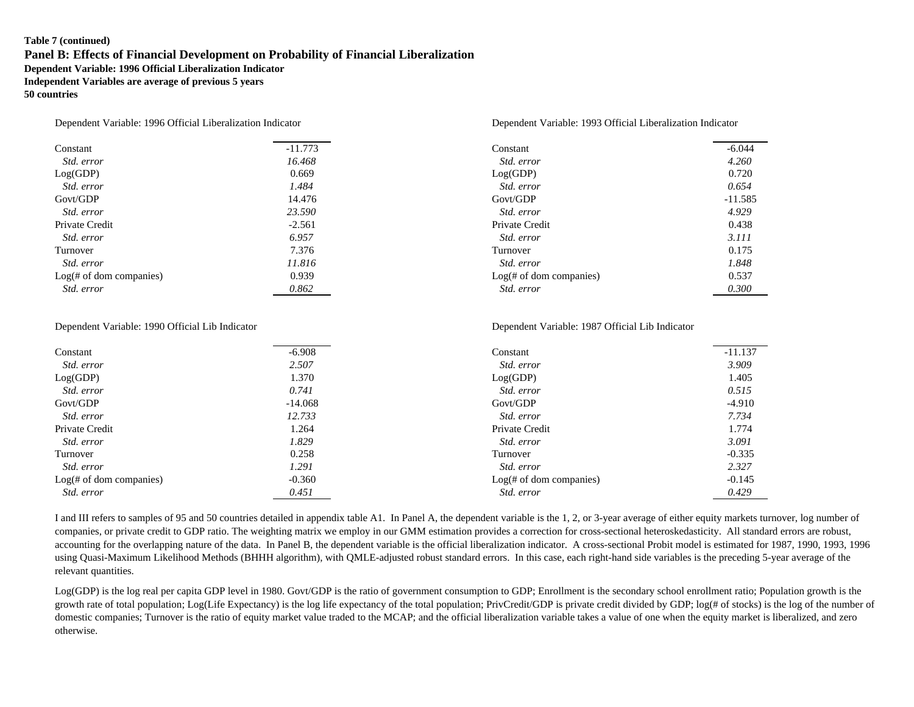### **Table 7 (continued) Panel B: Effects of Financial Development on Probability of Financial Liberalization Dependent Variable: 1996 Official Liberalization Indicator Independent Variables are average of previous 5 years 50 countries**

| Constant                   | $-11.773$ | Constant                   | $-6.044$  |
|----------------------------|-----------|----------------------------|-----------|
| Std. error                 | 16.468    | Std. error                 | 4.260     |
| Log(GDP)                   | 0.669     | Log(GDP)                   | 0.720     |
| Std. error                 | 1.484     | Std. error                 | 0.654     |
| Govt/GDP                   | 14.476    | Govt/GDP                   | $-11.585$ |
| Std. error                 | 23.590    | Std. error                 | 4.929     |
| Private Credit             | $-2.561$  | Private Credit             | 0.438     |
| Std. error                 | 6.957     | Std. error                 | 3.111     |
| Turnover                   | 7.376     | Turnover                   | 0.175     |
| <i>Std. error</i>          | 11.816    | Std. error                 | 1.848     |
| $Log(f)$ of dom companies) | 0.939     | $Log(f)$ of dom companies) | 0.537     |
| <i>Std. error</i>          | 0.862     | Std. error                 | 0.300     |

### Dependent Variable: 1990 Official Lib Indicator Dependent Variable: 1987 Official Lib Indicator

### Constant -11.137  *Std. error 2.507 Std. error 3.909* Log(GDP) 1.370 1.370 Log(GDP) 1.405  *Std. error 0.741 Std. error 0.515* Govt/GDP -14.068 -14.068 Govt/GDP -4.910  *Std. error 12.733 Std. error 7.734* Private Credit 1.774 **Private Credit** 1.264 **Private Credit** 1.774  *Std. error 1.829 Std. error 3.091* Turnover and the contract of the contract of the contract of the contract of the contract of the contract of the contract of the contract of the contract of the contract of the contract of the contract of the contract of t  *Std. error 1.291 Std. error 2.327* Log( $\#$  of dom companies)  $-0.360$  *Std. error 0.451 Std. error 0.429*

I and III refers to samples of 95 and 50 countries detailed in appendix table A1. In Panel A, the dependent variable is the 1, 2, or 3-year average of either equity markets turnover, log number of companies, or private credit to GDP ratio. The weighting matrix we employ in our GMM estimation provides a correction for cross-sectional heteroskedasticity. All standard errors are robust, accounting for the overlapping nature of the data. In Panel B, the dependent variable is the official liberalization indicator. A cross-sectional Probit model is estimated for 1987, 1990, 1993, 1996 using Quasi-Maximum Likelihood Methods (BHHH algorithm), with QMLE-adjusted robust standard errors. In this case, each right-hand side variables is the preceding 5-year average of the relevant quantities.

Log(GDP) is the log real per capita GDP level in 1980. Govt/GDP is the ratio of government consumption to GDP; Enrollment is the secondary school enrollment ratio; Population growth is the growth rate of total population; Log(Life Expectancy) is the log life expectancy of the total population; PrivCredit/GDP is private credit divided by GDP; log(# of stocks) is the log of the number of domestic companies; Turnover is the ratio of equity market value traded to the MCAP; and the official liberalization variable takes a value of one when the equity market is liberalized, and zero otherwise.

### Dependent Variable: 1996 Official Liberalization Indicator Dependent Variable: 1993 Official Liberalization Indicator

| Constant                        | $-6.044$  |
|---------------------------------|-----------|
| <i>Std. error</i>               | 4.260     |
| Log(GDP)                        | 0.720     |
| Std. error                      | 0.654     |
| Govt/GDP                        | $-11.585$ |
| Std. error                      | 4.929     |
| Private Credit                  | 0.438     |
| Std. error                      | 3.111     |
| Turnover                        | 0.175     |
| Std. error                      | 1.848     |
| Log( <i>#</i> of dom companies) | 0.537     |
| Std. error                      | 0.300     |

| Constant                   | $-11.137$ |
|----------------------------|-----------|
| <i>Std. error</i>          | 3.909     |
| Log(GDP)                   | 1.405     |
| Std. error                 | 0.515     |
| Govt/GDP                   | $-4.910$  |
| <i>Std. error</i>          | 7.734     |
| Private Credit             | 1.774     |
| <i>Std. error</i>          | 3.091     |
| Turnover                   | $-0.335$  |
| <i>Std. error</i>          | 2.327     |
| $Log(f)$ of dom companies) | $-0.145$  |
| Std. error                 | 0.429     |
|                            |           |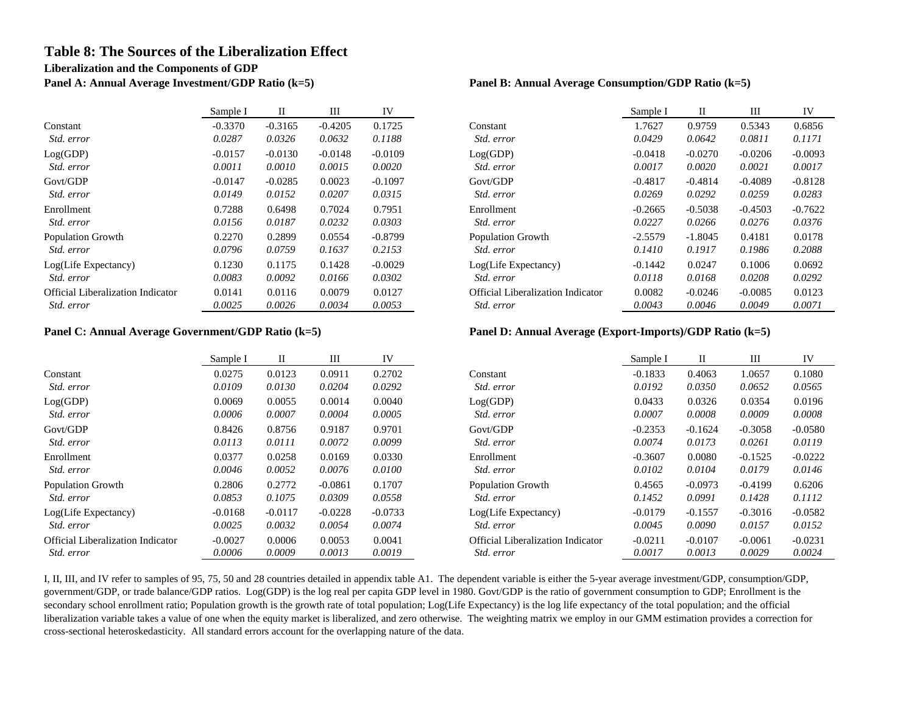# **Table 8: The Sources of the Liberalization Effect Liberalization and the Components of GDP**

**Panel A: Annual Average Investment/GDP Ratio (k=5) Panel B: Annual Average Consumption/GDP Ratio (k=5)**

|                                          | Sample I  |           | Ш         | IV        |                                   | Sample I  |           | Ш         | IV        |
|------------------------------------------|-----------|-----------|-----------|-----------|-----------------------------------|-----------|-----------|-----------|-----------|
| Constant                                 | $-0.3370$ | $-0.3165$ | $-0.4205$ | 0.1725    | Constant                          | 1.7627    | 0.9759    | 0.5343    | 0.6856    |
| Std. error                               | 0.0287    | 0.0326    | 0.0632    | 0.1188    | Std. error                        | 0.0429    | 0.0642    | 0.0811    | 0.1171    |
| Log(GDP)                                 | $-0.0157$ | $-0.0130$ | $-0.0148$ | $-0.0109$ | Log(GDP)                          | $-0.0418$ | $-0.0270$ | $-0.0206$ | $-0.0093$ |
| Std. error                               | 0.0011    | 0.0010    | 0.0015    | 0.0020    | Std. error                        | 0.0017    | 0.0020    | 0.0021    | 0.0017    |
| Govt/GDP                                 | $-0.0147$ | $-0.0285$ | 0.0023    | $-0.1097$ | Govt/GDP                          | $-0.4817$ | $-0.4814$ | $-0.4089$ | $-0.8128$ |
| Std. error                               | 0.0149    | 0.0152    | 0.0207    | 0.0315    | Std. error                        | 0.0269    | 0.0292    | 0.0259    | 0.0283    |
| Enrollment                               | 0.7288    | 0.6498    | 0.7024    | 0.7951    | Enrollment                        | $-0.2665$ | $-0.5038$ | $-0.4503$ | $-0.7622$ |
| Std. error                               | 0.0156    | 0.0187    | 0.0232    | 0.0303    | Std. error                        | 0.0227    | 0.0266    | 0.0276    | 0.0376    |
| <b>Population Growth</b>                 | 0.2270    | 0.2899    | 0.0554    | $-0.8799$ | <b>Population Growth</b>          | $-2.5579$ | $-1.8045$ | 0.4181    | 0.0178    |
| Std. error                               | 0.0796    | 0.0759    | 0.1637    | 0.2153    | Std. error                        | 0.1410    | 0.1917    | 0.1986    | 0.2088    |
| Log(Life Expectancy)                     | 0.1230    | 0.1175    | 0.1428    | $-0.0029$ | $Log(Life$ Expectancy)            | $-0.1442$ | 0.0247    | 0.1006    | 0.0692    |
| Std. error                               | 0.0083    | 0.0092    | 0.0166    | 0.0302    | Std. error                        | 0.0118    | 0.0168    | 0.0208    | 0.0292    |
| <b>Official Liberalization Indicator</b> | 0.0141    | 0.0116    | 0.0079    | 0.0127    | Official Liberalization Indicator | 0.0082    | $-0.0246$ | $-0.0085$ | 0.0123    |
| Std. error                               | 0.0025    | 0.0026    | 0.0034    | 0.0053    | Std. error                        | 0.0043    | 0.0046    | 0.0049    | 0.0071    |

|                                          | Sample I  | П         | Ш         | IV        |                                          | Sample I  | П         | Ш         | IV        |
|------------------------------------------|-----------|-----------|-----------|-----------|------------------------------------------|-----------|-----------|-----------|-----------|
| Constant                                 | 0.0275    | 0.0123    | 0.0911    | 0.2702    | Constant                                 | $-0.1833$ | 0.4063    | 1.0657    | 0.1080    |
| Std. error                               | 0.0109    | 0.0130    | 0.0204    | 0.0292    | Std. error                               | 0.0192    | 0.0350    | 0.0652    | 0.0565    |
| Log(GDP)                                 | 0.0069    | 0.0055    | 0.0014    | 0.0040    | Log(GDP)                                 | 0.0433    | 0.0326    | 0.0354    | 0.0196    |
| Std. error                               | 0.0006    | 0.0007    | 0.0004    | 0.0005    | Std. error                               | 0.0007    | 0.0008    | 0.0009    | 0.0008    |
| Govt/GDP                                 | 0.8426    | 0.8756    | 0.9187    | 0.9701    | Govt/GDP                                 | $-0.2353$ | $-0.1624$ | $-0.3058$ | $-0.0580$ |
| Std. error                               | 0.0113    | 0.0111    | 0.0072    | 0.0099    | Std. error                               | 0.0074    | 0.0173    | 0.0261    | 0.0119    |
| Enrollment                               | 0.0377    | 0.0258    | 0.0169    | 0.0330    | Enrollment                               | $-0.3607$ | 0.0080    | $-0.1525$ | $-0.0222$ |
| Std. error                               | 0.0046    | 0.0052    | 0.0076    | 0.0100    | Std. error                               | 0.0102    | 0.0104    | 0.0179    | 0.0146    |
| <b>Population Growth</b>                 | 0.2806    | 0.2772    | $-0.0861$ | 0.1707    | <b>Population Growth</b>                 | 0.4565    | $-0.0973$ | $-0.4199$ | 0.6206    |
| Std. error                               | 0.0853    | 0.1075    | 0.0309    | 0.0558    | Std. error                               | 0.1452    | 0.0991    | 0.1428    | 0.1112    |
| Log(Life Expectancy)                     | $-0.0168$ | $-0.0117$ | $-0.0228$ | $-0.0733$ | Log(Life Expectancy)                     | $-0.0179$ | $-0.1557$ | $-0.3016$ | $-0.0582$ |
| Std. error                               | 0.0025    | 0.0032    | 0.0054    | 0.0074    | Std. error                               | 0.0045    | 0.0090    | 0.0157    | 0.0152    |
| <b>Official Liberalization Indicator</b> | $-0.0027$ | 0.0006    | 0.0053    | 0.0041    | <b>Official Liberalization Indicator</b> | $-0.0211$ | $-0.0107$ | $-0.0061$ | $-0.0231$ |
| Std. error                               | 0.0006    | 0.0009    | 0.0013    | 0.0019    | <i>Std. error</i>                        | 0.0017    | 0.0013    | 0.0029    | 0.0024    |

| Sample I  | П         | Ш         | IV        |                                          | Sample I  | П         | Ш         | IV        |
|-----------|-----------|-----------|-----------|------------------------------------------|-----------|-----------|-----------|-----------|
| $-0.3370$ | $-0.3165$ | $-0.4205$ | 0.1725    | Constant                                 | 1.7627    | 0.9759    | 0.5343    | 0.6856    |
| 0.0287    | 0.0326    | 0.0632    | 0.1188    | Std. error                               | 0.0429    | 0.0642    | 0.0811    | 0.1171    |
| $-0.0157$ | $-0.0130$ | $-0.0148$ | $-0.0109$ | Log(GDP)                                 | $-0.0418$ | $-0.0270$ | $-0.0206$ | $-0.0093$ |
| 0.0011    | 0.0010    | 0.0015    | 0.0020    | Std. error                               | 0.0017    | 0.0020    | 0.0021    | 0.0017    |
| $-0.0147$ | $-0.0285$ | 0.0023    | $-0.1097$ | Govt/GDP                                 | $-0.4817$ | $-0.4814$ | $-0.4089$ | $-0.8128$ |
| 0.0149    | 0.0152    | 0.0207    | 0.0315    | Std. error                               | 0.0269    | 0.0292    | 0.0259    | 0.0283    |
| 0.7288    | 0.6498    | 0.7024    | 0.7951    | Enrollment                               | $-0.2665$ | $-0.5038$ | $-0.4503$ | $-0.7622$ |
| 0.0156    | 0.0187    | 0.0232    | 0.0303    | Std. error                               | 0.0227    | 0.0266    | 0.0276    | 0.0376    |
| 0.2270    | 0.2899    | 0.0554    | $-0.8799$ | <b>Population Growth</b>                 | $-2.5579$ | $-1.8045$ | 0.4181    | 0.0178    |
| 0.0796    | 0.0759    | 0.1637    | 0.2153    | <i>Std. error</i>                        | 0.1410    | 0.1917    | 0.1986    | 0.2088    |
| 0.1230    | 0.1175    | 0.1428    | $-0.0029$ | Log(Life Expectancy)                     | $-0.1442$ | 0.0247    | 0.1006    | 0.0692    |
| 0.0083    | 0.0092    | 0.0166    | 0.0302    | <i>Std. error</i>                        | 0.0118    | 0.0168    | 0.0208    | 0.0292    |
| 0.0141    | 0.0116    | 0.0079    | 0.0127    | <b>Official Liberalization Indicator</b> | 0.0082    | $-0.0246$ | $-0.0085$ | 0.0123    |
| 0.0025    | 0.0026    | 0.0034    | 0.0053    | <i>Std. error</i>                        | 0.0043    | 0.0046    | 0.0049    | 0.0071    |

### **Panel C: Annual Average Government/GDP Ratio (k=5) Panel D: Annual Average (Export-Imports)/GDP Ratio (k=5)**

| Sample I  | П         | Ш         | IV        |                                          | Sample I  | П         | Ш         | IV        |
|-----------|-----------|-----------|-----------|------------------------------------------|-----------|-----------|-----------|-----------|
| 0.0275    | 0.0123    | 0.0911    | 0.2702    | Constant                                 | $-0.1833$ | 0.4063    | 1.0657    | 0.1080    |
| 0.0109    | 0.0130    | 0.0204    | 0.0292    | Std. error                               | 0.0192    | 0.0350    | 0.0652    | 0.0565    |
| 0.0069    | 0.0055    | 0.0014    | 0.0040    | Log(GDP)                                 | 0.0433    | 0.0326    | 0.0354    | 0.0196    |
| 0.0006    | 0.0007    | 0.0004    | 0.0005    | Std. error                               | 0.0007    | 0.0008    | 0.0009    | 0.0008    |
| 0.8426    | 0.8756    | 0.9187    | 0.9701    | Govt/GDP                                 | $-0.2353$ | $-0.1624$ | $-0.3058$ | $-0.0580$ |
| 0.0113    | 0.0111    | 0.0072    | 0.0099    | Std. error                               | 0.0074    | 0.0173    | 0.0261    | 0.0119    |
| 0.0377    | 0.0258    | 0.0169    | 0.0330    | Enrollment                               | $-0.3607$ | 0.0080    | $-0.1525$ | $-0.0222$ |
| 0.0046    | 0.0052    | 0.0076    | 0.0100    | <i>Std. error</i>                        | 0.0102    | 0.0104    | 0.0179    | 0.0146    |
| 0.2806    | 0.2772    | $-0.0861$ | 0.1707    | <b>Population Growth</b>                 | 0.4565    | $-0.0973$ | $-0.4199$ | 0.6206    |
| 0.0853    | 0.1075    | 0.0309    | 0.0558    | Std. error                               | 0.1452    | 0.0991    | 0.1428    | 0.1112    |
| $-0.0168$ | $-0.0117$ | $-0.0228$ | $-0.0733$ | Log(Life Expectancy)                     | $-0.0179$ | $-0.1557$ | $-0.3016$ | $-0.0582$ |
| 0.0025    | 0.0032    | 0.0054    | 0.0074    | Std. error                               | 0.0045    | 0.0090    | 0.0157    | 0.0152    |
| $-0.0027$ | 0.0006    | 0.0053    | 0.0041    | <b>Official Liberalization Indicator</b> | $-0.0211$ | $-0.0107$ | $-0.0061$ | $-0.0231$ |
| 0.0006    | 0.0009    | 0.0013    | 0.0019    | Std. error                               | 0.0017    | 0.0013    | 0.0029    | 0.0024    |

I, II, III, and IV refer to samples of 95, 75, 50 and 28 countries detailed in appendix table A1. The dependent variable is either the 5-year average investment/GDP, consumption/GDP, government/GDP, or trade balance/GDP ratios. Log(GDP) is the log real per capita GDP level in 1980. Govt/GDP is the ratio of government consumption to GDP; Enrollment is the secondary school enrollment ratio; Population growth is the growth rate of total population; Log(Life Expectancy) is the log life expectancy of the total population; and the official liberalization variable takes a value of one when the equity market is liberalized, and zero otherwise. The weighting matrix we employ in our GMM estimation provides a correction for cross-sectional heteroskedasticity. All standard errors account for the overlapping nature of the data.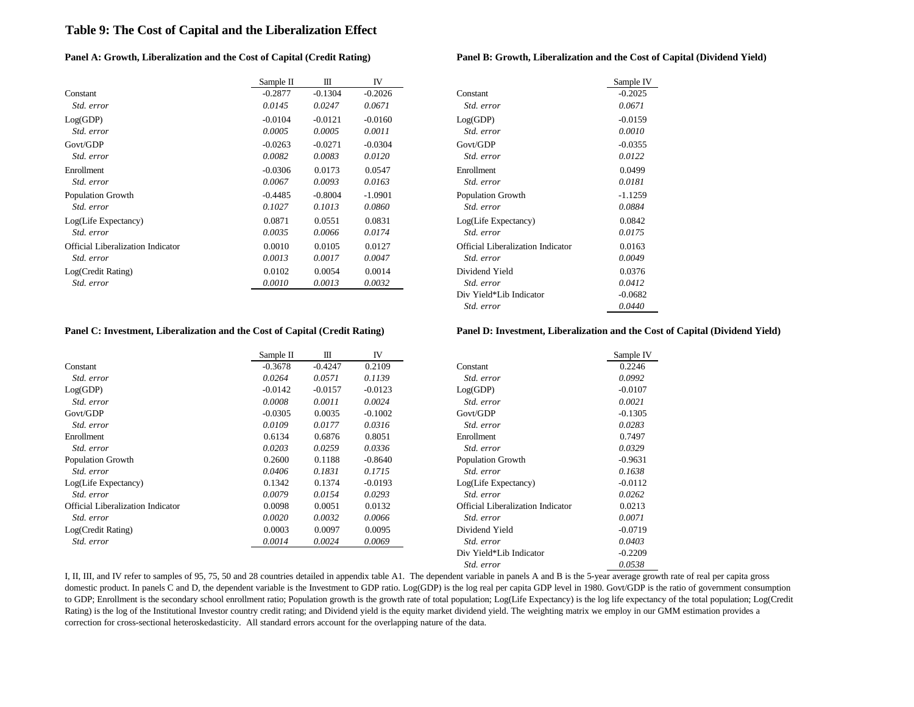## **Table 9: The Cost of Capital and the Liberalization Effect**

### **Panel A: Growth, Liberalization and the Cost of Capital (Credit Rating) Panel B: Growth, Liberalization and the Cost of Capital (Dividend Yield)**

|                                          | Sample II | Ш         | IV        |                                          | Sample I  |
|------------------------------------------|-----------|-----------|-----------|------------------------------------------|-----------|
| Constant                                 | $-0.2877$ | $-0.1304$ | $-0.2026$ | Constant                                 | $-0.2025$ |
| Std. error                               | 0.0145    | 0.0247    | 0.0671    | Std. error                               | 0.0671    |
| Log(GDP)                                 | $-0.0104$ | $-0.0121$ | $-0.0160$ | Log(GDP)                                 | $-0.0159$ |
| Std. error                               | 0.0005    | 0.0005    | 0.0011    | Std. error                               | 0.0010    |
| Govt/GDP                                 | $-0.0263$ | $-0.0271$ | $-0.0304$ | Govt/GDP                                 | $-0.0355$ |
| Std. error                               | 0.0082    | 0.0083    | 0.0120    | Std. error                               | 0.0122    |
| Enrollment                               | $-0.0306$ | 0.0173    | 0.0547    | Enrollment                               | 0.0499    |
| Std. error                               | 0.0067    | 0.0093    | 0.0163    | Std. error                               | 0.0181    |
| <b>Population Growth</b>                 | $-0.4485$ | $-0.8004$ | $-1.0901$ | <b>Population Growth</b>                 | $-1.1259$ |
| Std. error                               | 0.1027    | 0.1013    | 0.0860    | Std. error                               | 0.0884    |
| Log(Life Expectancy)                     | 0.0871    | 0.0551    | 0.0831    | Log(Life Expectancy)                     | 0.0842    |
| Std. error                               | 0.0035    | 0.0066    | 0.0174    | Std. error                               | 0.0175    |
| <b>Official Liberalization Indicator</b> | 0.0010    | 0.0105    | 0.0127    | <b>Official Liberalization Indicator</b> | 0.0163    |
| <i>Std. error</i>                        | 0.0013    | 0.0017    | 0.0047    | Std. error                               | 0.0049    |
| Log(Credit Rating)                       | 0.0102    | 0.0054    | 0.0014    | Dividend Yield                           | 0.0376    |
| Std. error                               | 0.0010    | 0.0013    | 0.0032    | Std. error                               | 0.0412    |
|                                          |           |           |           |                                          |           |

| Sample II | Ш         | IV        |                                          | Sample IV |
|-----------|-----------|-----------|------------------------------------------|-----------|
| $-0.2877$ | $-0.1304$ | $-0.2026$ | Constant                                 | $-0.2025$ |
| 0.0145    | 0.0247    | 0.0671    | Std. error                               | 0.0671    |
| $-0.0104$ | $-0.0121$ | $-0.0160$ | Log(GDP)                                 | $-0.0159$ |
| 0.0005    | 0.0005    | 0.0011    | Std. error                               | 0.0010    |
| $-0.0263$ | $-0.0271$ | $-0.0304$ | Govt/GDP                                 | $-0.0355$ |
| 0.0082    | 0.0083    | 0.0120    | Std. error                               | 0.0122    |
| $-0.0306$ | 0.0173    | 0.0547    | Enrollment                               | 0.0499    |
| 0.0067    | 0.0093    | 0.0163    | Std. error                               | 0.0181    |
| $-0.4485$ | $-0.8004$ | $-1.0901$ | <b>Population Growth</b>                 | $-1.1259$ |
| 0.1027    | 0.1013    | 0.0860    | Std. error                               | 0.0884    |
| 0.0871    | 0.0551    | 0.0831    | Log(Life Expectancy)                     | 0.0842    |
| 0.0035    | 0.0066    | 0.0174    | Std. error                               | 0.0175    |
| 0.0010    | 0.0105    | 0.0127    | <b>Official Liberalization Indicator</b> | 0.0163    |
| 0.0013    | 0.0017    | 0.0047    | Std. error                               | 0.0049    |
| 0.0102    | 0.0054    | 0.0014    | Dividend Yield                           | 0.0376    |
| 0.0010    | 0.0013    | 0.0032    | Std. error                               | 0.0412    |
|           |           |           | Div Yield*Lib Indicator                  | $-0.0682$ |
|           |           |           | Std. error                               | 0.0440    |
|           |           |           |                                          |           |

# **Panel C: Investment, Liberalization and the Cost of Capital (Credit Rating) Panel D: Investment, Liberalization and the Cost of Capital (Dividend Yield)**

|                                          | Sample II | Ш         | IV        |                                          | Sample IV |
|------------------------------------------|-----------|-----------|-----------|------------------------------------------|-----------|
| Constant                                 | $-0.3678$ | $-0.4247$ | 0.2109    | Constant                                 | 0.2246    |
| Std. error                               | 0.0264    | 0.0571    | 0.1139    | Std. error                               | 0.0992    |
| Log(GDP)                                 | $-0.0142$ | $-0.0157$ | $-0.0123$ | Log(GDP)                                 | $-0.0107$ |
| Std. error                               | 0.0008    | 0.0011    | 0.0024    | Std. error                               | 0.0021    |
| Govt/GDP                                 | $-0.0305$ | 0.0035    | $-0.1002$ | Govt/GDP                                 | $-0.1305$ |
| Std. error                               | 0.0109    | 0.0177    | 0.0316    | Std. error                               | 0.0283    |
| Enrollment                               | 0.6134    | 0.6876    | 0.8051    | Enrollment                               | 0.7497    |
| Std. error                               | 0.0203    | 0.0259    | 0.0336    | Std. error                               | 0.0329    |
| Population Growth                        | 0.2600    | 0.1188    | $-0.8640$ | <b>Population Growth</b>                 | $-0.9631$ |
| Std. error                               | 0.0406    | 0.1831    | 0.1715    | Std. error                               | 0.1638    |
| Log(Life Expectancy)                     | 0.1342    | 0.1374    | $-0.0193$ | Log(Life Expectancy)                     | $-0.0112$ |
| Std. error                               | 0.0079    | 0.0154    | 0.0293    | Std. error                               | 0.0262    |
| <b>Official Liberalization Indicator</b> | 0.0098    | 0.0051    | 0.0132    | <b>Official Liberalization Indicator</b> | 0.0213    |
| Std. error                               | 0.0020    | 0.0032    | 0.0066    | Std. error                               | 0.0071    |
| Log(Credit Rating)                       | 0.0003    | 0.0097    | 0.0095    | Dividend Yield                           | $-0.0719$ |
| Std. error                               | 0.0014    | 0.0024    | 0.0069    | Std. error                               | 0.0403    |
|                                          |           |           |           | Div Yield*Lib Indicator                  | $-0.2209$ |
|                                          |           |           |           | Std. error                               | 0.0538    |

I, II, III, and IV refer to samples of 95, 75, 50 and 28 countries detailed in appendix table A1. The dependent variable in panels A and B is the 5-year average growth rate of real per capita gross domestic product. In panels C and D, the dependent variable is the Investment to GDP ratio. Log(GDP) is the log real per capita GDP level in 1980. Govt/GDP is the ratio of government consumption to GDP; Enrollment is the secondary school enrollment ratio; Population growth is the growth rate of total population; Log(Life Expectancy) is the log life expectancy of the total population; Log(Credit Rating) is the log of the Institutional Investor country credit rating; and Dividend yield is the equity market dividend yield. The weighting matrix we employ in our GMM estimation provides a correction for cross-sectional heteroskedasticity. All standard errors account for the overlapping nature of the data.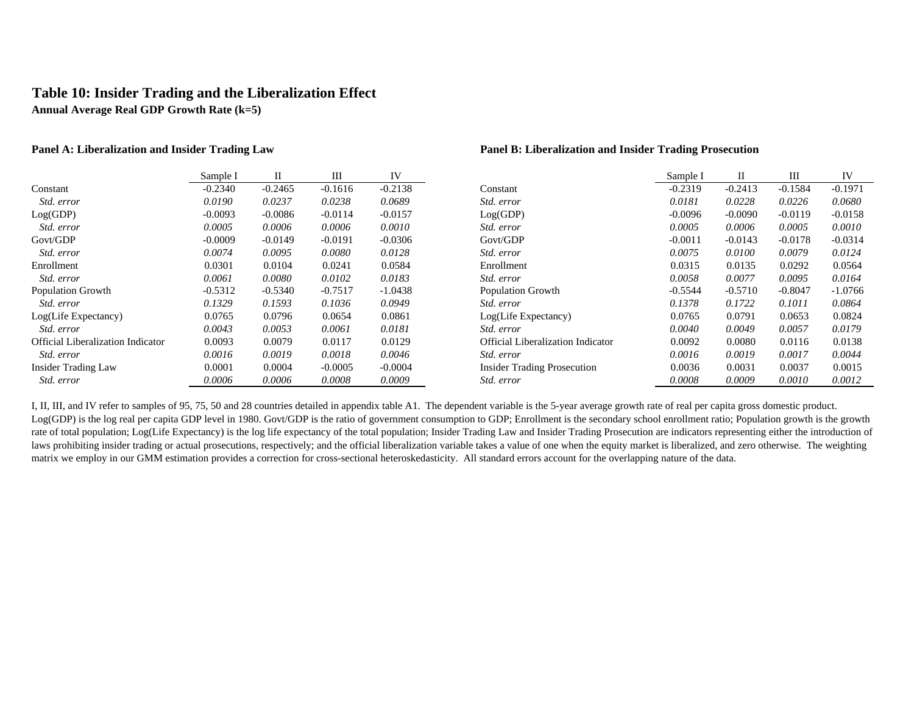# **Table 10: Insider Trading and the Liberalization Effect**

**Annual Average Real GDP Growth Rate (k=5)**

|                                   | Sample I  | П         | Ш         | IV        |                                          | Sample I  | П         | Ш         | IV        |
|-----------------------------------|-----------|-----------|-----------|-----------|------------------------------------------|-----------|-----------|-----------|-----------|
| Constant                          | $-0.2340$ | $-0.2465$ | $-0.1616$ | $-0.2138$ | Constant                                 | $-0.2319$ | $-0.2413$ | $-0.1584$ | $-0.1971$ |
| Std. error                        | 0.0190    | 0.0237    | 0.0238    | 0.0689    | Std. error                               | 0.0181    | 0.0228    | 0.0226    | 0.0680    |
| Log(GDP)                          | $-0.0093$ | $-0.0086$ | $-0.0114$ | $-0.0157$ | Log(GDP)                                 | $-0.0096$ | $-0.0090$ | $-0.0119$ | $-0.0158$ |
| Std. error                        | 0.0005    | 0.0006    | 0.0006    | 0.0010    | Std. error                               | 0.0005    | 0.0006    | 0.0005    | 0.0010    |
| Govt/GDP                          | $-0.0009$ | $-0.0149$ | $-0.0191$ | $-0.0306$ | Govt/GDP                                 | $-0.0011$ | $-0.0143$ | $-0.0178$ | $-0.0314$ |
| Std. error                        | 0.0074    | 0.0095    | 0.0080    | 0.0128    | Std. error                               | 0.0075    | 0.0100    | 0.0079    | 0.0124    |
| Enrollment                        | 0.0301    | 0.0104    | 0.0241    | 0.0584    | Enrollment                               | 0.0315    | 0.0135    | 0.0292    | 0.0564    |
| Std. error                        | 0.0061    | 0.0080    | 0.0102    | 0.0183    | Std. error                               | 0.0058    | 0.0077    | 0.0095    | 0.0164    |
| <b>Population Growth</b>          | $-0.5312$ | $-0.5340$ | $-0.7517$ | $-1.0438$ | <b>Population Growth</b>                 | $-0.5544$ | $-0.5710$ | $-0.8047$ | $-1.0766$ |
| <i>Std. error</i>                 | 0.1329    | 0.1593    | 0.1036    | 0.0949    | <i>Std. error</i>                        | 0.1378    | 0.1722    | 0.1011    | 0.0864    |
| Log(Life Expectancy)              | 0.0765    | 0.0796    | 0.0654    | 0.0861    | Log(Life Expectancy)                     | 0.0765    | 0.0791    | 0.0653    | 0.0824    |
| Std. error                        | 0.0043    | 0.0053    | 0.0061    | 0.0181    | <i>Std. error</i>                        | 0.0040    | 0.0049    | 0.0057    | 0.0179    |
| Official Liberalization Indicator | 0.0093    | 0.0079    | 0.0117    | 0.0129    | <b>Official Liberalization Indicator</b> | 0.0092    | 0.0080    | 0.0116    | 0.0138    |
| Std. error                        | 0.0016    | 0.0019    | 0.0018    | 0.0046    | Std. error                               | 0.0016    | 0.0019    | 0.0017    | 0.0044    |
| <b>Insider Trading Law</b>        | 0.0001    | 0.0004    | $-0.0005$ | $-0.0004$ | <b>Insider Trading Prosecution</b>       | 0.0036    | 0.0031    | 0.0037    | 0.0015    |
| Std. error                        | 0.0006    | 0.0006    | 0.0008    | 0.0009    | Std. error                               | 0.0008    | 0.0009    | 0.0010    | 0.0012    |

### **Panel A: Liberalization and Insider Trading Law Panel B: Liberalization and Insider Trading Prosecution**

| Sample I  | П         | Ш         | IV        |                                          | Sample I  | П         | Ш         | IV        |
|-----------|-----------|-----------|-----------|------------------------------------------|-----------|-----------|-----------|-----------|
| $-0.2340$ | $-0.2465$ | $-0.1616$ | $-0.2138$ | Constant                                 | $-0.2319$ | $-0.2413$ | $-0.1584$ | $-0.1971$ |
| 0.0190    | 0.0237    | 0.0238    | 0.0689    | Std. error                               | 0.0181    | 0.0228    | 0.0226    | 0.0680    |
| $-0.0093$ | $-0.0086$ | $-0.0114$ | $-0.0157$ | Log(GDP)                                 | $-0.0096$ | $-0.0090$ | $-0.0119$ | $-0.0158$ |
| 0.0005    | 0.0006    | 0.0006    | 0.0010    | Std. error                               | 0.0005    | 0.0006    | 0.0005    | 0.0010    |
| $-0.0009$ | $-0.0149$ | $-0.0191$ | $-0.0306$ | Govt/GDP                                 | $-0.0011$ | $-0.0143$ | $-0.0178$ | $-0.0314$ |
| 0.0074    | 0.0095    | 0.0080    | 0.0128    | Std. error                               | 0.0075    | 0.0100    | 0.0079    | 0.0124    |
| 0.0301    | 0.0104    | 0.0241    | 0.0584    | Enrollment                               | 0.0315    | 0.0135    | 0.0292    | 0.0564    |
| 0.0061    | 0.0080    | 0.0102    | 0.0183    | <i>Std. error</i>                        | 0.0058    | 0.0077    | 0.0095    | 0.0164    |
| $-0.5312$ | $-0.5340$ | $-0.7517$ | $-1.0438$ | <b>Population Growth</b>                 | $-0.5544$ | $-0.5710$ | $-0.8047$ | $-1.0766$ |
| 0.1329    | 0.1593    | 0.1036    | 0.0949    | <i>Std. error</i>                        | 0.1378    | 0.1722    | 0.1011    | 0.0864    |
| 0.0765    | 0.0796    | 0.0654    | 0.0861    | Log(Life Expectancy)                     | 0.0765    | 0.0791    | 0.0653    | 0.0824    |
| 0.0043    | 0.0053    | 0.0061    | 0.0181    | Std. error                               | 0.0040    | 0.0049    | 0.0057    | 0.0179    |
| 0.0093    | 0.0079    | 0.0117    | 0.0129    | <b>Official Liberalization Indicator</b> | 0.0092    | 0.0080    | 0.0116    | 0.0138    |
| 0.0016    | 0.0019    | 0.0018    | 0.0046    | Std. error                               | 0.0016    | 0.0019    | 0.0017    | 0.0044    |
| 0.0001    | 0.0004    | $-0.0005$ | $-0.0004$ | <b>Insider Trading Prosecution</b>       | 0.0036    | 0.0031    | 0.0037    | 0.0015    |
| 0.0006    | 0.0006    | 0.0008    | 0.0009    | Std. error                               | 0.0008    | 0.0009    | 0.0010    | 0.0012    |

I, II, III, and IV refer to samples of 95, 75, 50 and 28 countries detailed in appendix table A1. The dependent variable is the 5-year average growth rate of real per capita gross domestic product. Log(GDP) is the log real per capita GDP level in 1980. Govt/GDP is the ratio of government consumption to GDP; Enrollment is the secondary school enrollment ratio; Population growth is the growth rate of total population; Log(Life Expectancy) is the log life expectancy of the total population; Insider Trading Law and Insider Trading Prosecution are indicators representing either the introduction of laws prohibiting insider trading or actual prosecutions, respectively; and the official liberalization variable takes a value of one when the equity market is liberalized, and zero otherwise. The weighting matrix we employ in our GMM estimation provides a correction for cross-sectional heteroskedasticity. All standard errors account for the overlapping nature of the data.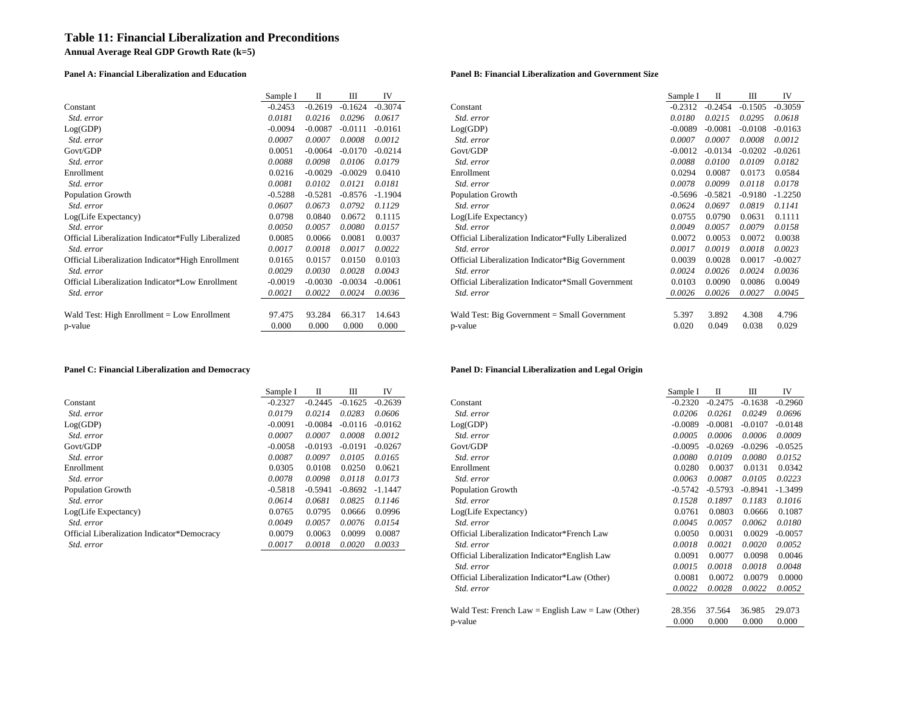## **Table 11: Financial Liberalization and Preconditions**

**Annual Average Real GDP Growth Rate (k=5)**

### **Panel A: Financial Liberalization and Education Panel B: Financial Liberalization and Government Size**

|                                                     | Sample I  |           | Ш         | IV        |                                                     | Sample I  |           | Ш         | IV        |
|-----------------------------------------------------|-----------|-----------|-----------|-----------|-----------------------------------------------------|-----------|-----------|-----------|-----------|
| Constant                                            | $-0.2453$ | $-0.2619$ | $-0.1624$ | $-0.3074$ | Constant                                            | $-0.2312$ | $-0.2454$ | $-0.1505$ | $-0.3059$ |
| Std. error                                          | 0.0181    | 0.0216    | 0.0296    | 0.0617    | Std. error                                          | 0.0180    | 0.0215    | 0.0295    | 0.0618    |
| Log(GDP)                                            | $-0.0094$ | $-0.0087$ | $-0.0111$ | $-0.0161$ | Log(GDP)                                            | $-0.0089$ | $-0.0081$ | $-0.0108$ | $-0.0163$ |
| Std. error                                          | 0.0007    | 0.0007    | 0.0008    | 0.0012    | Std. error                                          | 0.0007    | 0.0007    | 0.0008    | 0.0012    |
| Govt/GDP                                            | 0.0051    | $-0.0064$ | $-0.0170$ | $-0.0214$ | Govt/GDP                                            | $-0.001$  | $-0.0134$ | $-0.0202$ | $-0.0261$ |
| Std. error                                          | 0.0088    | 0.0098    | 0.0106    | 0.0179    | Std. error                                          | 0.0088    | 0.0100    | 0.0109    | 0.0182    |
| Enrollment                                          | 0.0216    | $-0.0029$ | $-0.0029$ | 0.0410    | Enrollment                                          | 0.0294    | 0.0087    | 0.0173    | 0.0584    |
| Std. error                                          | 0.0081    | 0.0102    | 0.0121    | 0.0181    | Std. error                                          | 0.0078    | 0.0099    | 0.0118    | 0.0178    |
| Population Growth                                   | $-0.5288$ | $-0.5281$ | $-0.8576$ | $-1.1904$ | <b>Population Growth</b>                            | -0.5696   | $-0.5821$ | $-0.9180$ | $-1.2250$ |
| Std. error                                          | 0.0607    | 0.0673    | 0.0792    | 0.1129    | Std. error                                          | 0.0624    | 0.0697    | 0.0819    | 0.1141    |
| Log(Life Expectancy)                                | 0.0798    | 0.0840    | 0.0672    | 0.1115    | Log(Life Expectancy)                                | 0.0755    | 0.0790    | 0.0631    | 0.1111    |
| <i>Std. error</i>                                   | 0.0050    | 0.0057    | 0.0080    | 0.0157    | Std. error                                          | 0.0049    | 0.0057    | 0.0079    | 0.0158    |
| Official Liberalization Indicator*Fully Liberalized | 0.0085    | 0.0066    | 0.0081    | 0.0037    | Official Liberalization Indicator*Fully Liberalized | 0.0072    | 0.0053    | 0.0072    | 0.0038    |
| <i>Std. error</i>                                   | 0.0017    | 0.0018    | 0.0017    | 0.0022    | Std. error                                          | 0.0017    | 0.0019    | 0.0018    | 0.0023    |
| Official Liberalization Indicator*High Enrollment   | 0.0165    | 0.0157    | 0.0150    | 0.0103    | Official Liberalization Indicator*Big Government    | 0.0039    | 0.0028    | 0.0017    | $-0.0027$ |
| <i>Std. error</i>                                   | 0.0029    | 0.0030    | 0.0028    | 0.0043    | <i>Std. error</i>                                   | 0.0024    | 0.0026    | 0.0024    | 0.0036    |
| Official Liberalization Indicator*Low Enrollment    | $-0.0019$ | $-0.0030$ | $-0.0034$ | $-0.0061$ | Official Liberalization Indicator*Small Government  | 0.0103    | 0.0090    | 0.0086    | 0.0049    |
| <i>Std. error</i>                                   | 0.0021    | 0.0022    | 0.0024    | 0.0036    | Std. error                                          | 0.0026    | 0.0026    | 0.0027    | 0.0045    |
| Wald Test: High Enrollment = Low Enrollment         | 97.475    | 93.284    | 66.317    | 14.643    | Wald Test: Big Government $=$ Small Government      | 5.397     | 3.892     | 4.308     | 4.796     |
| p-value                                             | 0.000     | 0.000     | 0.000     | 0.000     | p-value                                             | 0.020     | 0.049     | 0.038     | 0.029     |

| Sample I  | П         | Ш         | IV        |                                                     | Sample I  | П         | Ш         | IV        |
|-----------|-----------|-----------|-----------|-----------------------------------------------------|-----------|-----------|-----------|-----------|
| $-0.2453$ | $-0.2619$ | $-0.1624$ | $-0.3074$ | Constant                                            | $-0.2312$ | $-0.2454$ | $-0.1505$ | $-0.3059$ |
| 0.0181    | 0.0216    | 0.0296    | 0.0617    | Std. error                                          | 0.0180    | 0.0215    | 0.0295    | 0.0618    |
| $-0.0094$ | $-0.0087$ | $-0.0111$ | $-0.0161$ | Log(GDP)                                            | $-0.0089$ | $-0.0081$ | $-0.0108$ | $-0.0163$ |
| 0.0007    | 0.0007    | 0.0008    | 0.0012    | Std. error                                          | 0.0007    | 0.0007    | 0.0008    | 0.0012    |
| 0.0051    | $-0.0064$ | $-0.0170$ | $-0.0214$ | Govt/GDP                                            | $-0.0012$ | $-0.0134$ | $-0.0202$ | $-0.0261$ |
| 0.0088    | 0.0098    | 0.0106    | 0.0179    | Std. error                                          | 0.0088    | 0.0100    | 0.0109    | 0.0182    |
| 0.0216    | $-0.0029$ | $-0.0029$ | 0.0410    | Enrollment                                          | 0.0294    | 0.0087    | 0.0173    | 0.0584    |
| 0.0081    | 0.0102    | 0.0121    | 0.0181    | Std. error                                          | 0.0078    | 0.0099    | 0.0118    | 0.0178    |
| $-0.5288$ | $-0.5281$ | $-0.8576$ | $-1.1904$ | <b>Population Growth</b>                            | $-0.5696$ | $-0.5821$ | $-0.9180$ | $-1.2250$ |
| 0.0607    | 0.0673    | 0.0792    | 0.1129    | Std. error                                          | 0.0624    | 0.0697    | 0.0819    | 0.1141    |
| 0.0798    | 0.0840    | 0.0672    | 0.1115    | Log(Life Expectancy)                                | 0.0755    | 0.0790    | 0.0631    | 0.1111    |
| 0.0050    | 0.0057    | 0.0080    | 0.0157    | Std. error                                          | 0.0049    | 0.0057    | 0.0079    | 0.0158    |
| 0.0085    | 0.0066    | 0.0081    | 0.0037    | Official Liberalization Indicator*Fully Liberalized | 0.0072    | 0.0053    | 0.0072    | 0.0038    |
| 0.0017    | 0.0018    | 0.0017    | 0.0022    | Std. error                                          | 0.0017    | 0.0019    | 0.0018    | 0.0023    |
| 0.0165    | 0.0157    | 0.0150    | 0.0103    | Official Liberalization Indicator*Big Government    | 0.0039    | 0.0028    | 0.0017    | $-0.0027$ |
| 0.0029    | 0.0030    | 0.0028    | 0.0043    | Std. error                                          | 0.0024    | 0.0026    | 0.0024    | 0.0036    |
| $-0.0019$ | $-0.0030$ | $-0.0034$ | $-0.0061$ | Official Liberalization Indicator*Small Government  | 0.0103    | 0.0090    | 0.0086    | 0.0049    |
| 0.0021    | 0.0022    | 0.0024    | 0.0036    | Std. error                                          | 0.0026    | 0.0026    | 0.0027    | 0.0045    |
|           |           |           |           |                                                     |           |           |           |           |
| 97.475    | 93.284    | 66.317    | 14.643    | Wald Test: Big Government $=$ Small Government      | 5.397     | 3.892     | 4.308     | 4.796     |
| 0.000     | 0.000     | 0.000     | 0.000     | p-value                                             | 0.020     | 0.049     | 0.038     | 0.029     |

|                                             | Sample I  | п         | Ш         | IV        |
|---------------------------------------------|-----------|-----------|-----------|-----------|
| Constant                                    | $-0.2327$ | $-0.2445$ | $-0.1625$ | $-0.2639$ |
| <i>Std. error</i>                           | 0.0179    | 0.0214    | 0.0283    | 0.0606    |
| Log(GDP)                                    | $-0.0091$ | $-0.0084$ | $-0.0116$ | $-0.0162$ |
| Std. error                                  | 0.0007    | 0.0007    | 0.0008    | 0.0012    |
| Govt/GDP                                    | $-0.0058$ | $-0.0193$ | $-0.0191$ | $-0.0267$ |
| <i>Std. error</i>                           | 0.0087    | 0.0097    | 0.0105    | 0.0165    |
| Enrollment                                  | 0.0305    | 0.0108    | 0.0250    | 0.0621    |
| <i>Std. error</i>                           | 0.0078    | 0.0098    | 0.0118    | 0.0173    |
| <b>Population Growth</b>                    | $-0.5818$ | $-0.5941$ | $-0.8692$ | $-1.1447$ |
| <i>Std. error</i>                           | 0.0614    | 0.0681    | 0.0825    | 0.1146    |
| Log(Life Expectancy)                        | 0.0765    | 0.0795    | 0.0666    | 0.0996    |
| Std. error                                  | 0.0049    | 0.0057    | 0.0076    | 0.0154    |
| Official Liberalization Indicator*Democracy | 0.0079    | 0.0063    | 0.0099    | 0.0087    |
| <i>Std. error</i>                           | 0.0017    | 0.0018    | 0.0020    | 0.0033    |

### **Panel C: Financial Liberalization and Democracy Panel D: Financial Liberalization and Legal Origin**

|                                             | Sample I  | П         | Ш         | IV        |                                                   | Sample I  | П         | Ш         | IV        |
|---------------------------------------------|-----------|-----------|-----------|-----------|---------------------------------------------------|-----------|-----------|-----------|-----------|
| Constant                                    | $-0.2327$ | $-0.2445$ | $-0.1625$ | $-0.2639$ | Constant                                          | $-0.2320$ | $-0.2475$ | $-0.1638$ | $-0.2960$ |
| Std. error                                  | 0.0179    | 0.0214    | 0.0283    | 0.0606    | Std. error                                        | 0.0206    | 0.0261    | 0.0249    | 0.0696    |
| Log(GDP)                                    | $-0.0091$ | $-0.0084$ | $-0.0116$ | $-0.0162$ | Log(GDP)                                          | $-0.0089$ | $-0.0081$ | $-0.0107$ | $-0.0148$ |
| Std. error                                  | 0.0007    | 0.0007    | 0.0008    | 0.0012    | Std. error                                        | 0.0005    | 0.0006    | 0.0006    | 0.0009    |
| Govt/GDP                                    | $-0.0058$ | $-0.0193$ | $-0.0191$ | $-0.0267$ | Govt/GDP                                          | $-0.0095$ | $-0.0269$ | $-0.0296$ | $-0.0525$ |
| Std. error                                  | 0.0087    | 0.0097    | 0.0105    | 0.0165    | Std. error                                        | 0.0080    | 0.0109    | 0.0080    | 0.0152    |
| Enrollment                                  | 0.0305    | 0.0108    | 0.0250    | 0.0621    | Enrollment                                        | 0.0280    | 0.0037    | 0.0131    | 0.0342    |
| Std. error                                  | 0.0078    | 0.0098    | 0.0118    | 0.0173    | Std. error                                        | 0.0063    | 0.0087    | 0.0105    | 0.0223    |
| Population Growth                           | $-0.5818$ | $-0.5941$ | $-0.8692$ | $-1.1447$ | Population Growth                                 | $-0.5742$ | $-0.5793$ | $-0.8941$ | $-1.3499$ |
| Std. error                                  | 0.0614    | 0.0681    | 0.0825    | 0.1146    | Std. error                                        | 0.1528    | 0.1897    | 0.1183    | 0.1016    |
| Log(Life Expectancy)                        | 0.0765    | 0.0795    | 0.0666    | 0.0996    | Log(Life Expectancy)                              | 0.0761    | 0.0803    | 0.0666    | 0.1087    |
| Std. error                                  | 0.0049    | 0.0057    | 0.0076    | 0.0154    | Std. error                                        | 0.0045    | 0.0057    | 0.0062    | 0.0180    |
| Official Liberalization Indicator*Democracy | 0.0079    | 0.0063    | 0.0099    | 0.0087    | Official Liberalization Indicator*French Law      | 0.0050    | 0.0031    | 0.0029    | $-0.0057$ |
| Std. error                                  | 0.0017    | 0.0018    | 0.0020    | 0.0033    | Std. error                                        | 0.0018    | 0.0021    | 0.0020    | 0.0052    |
|                                             |           |           |           |           | Official Liberalization Indicator*English Law     | 0.0091    | 0.0077    | 0.0098    | 0.0046    |
|                                             |           |           |           |           | Std. error                                        | 0.0015    | 0.0018    | 0.0018    | 0.0048    |
|                                             |           |           |           |           | Official Liberalization Indicator*Law (Other)     | 0.0081    | 0.0072    | 0.0079    | 0.0000    |
|                                             |           |           |           |           | Std. error                                        | 0.0022    | 0.0028    | 0.0022    | 0.0052    |
|                                             |           |           |           |           | Wald Test: French Law = English Law = Law (Other) | 28.356    | 37.564    | 36.985    | 29.073    |
|                                             |           |           |           |           | p-value                                           | 0.000     | 0.000     | 0.000     | 0.000     |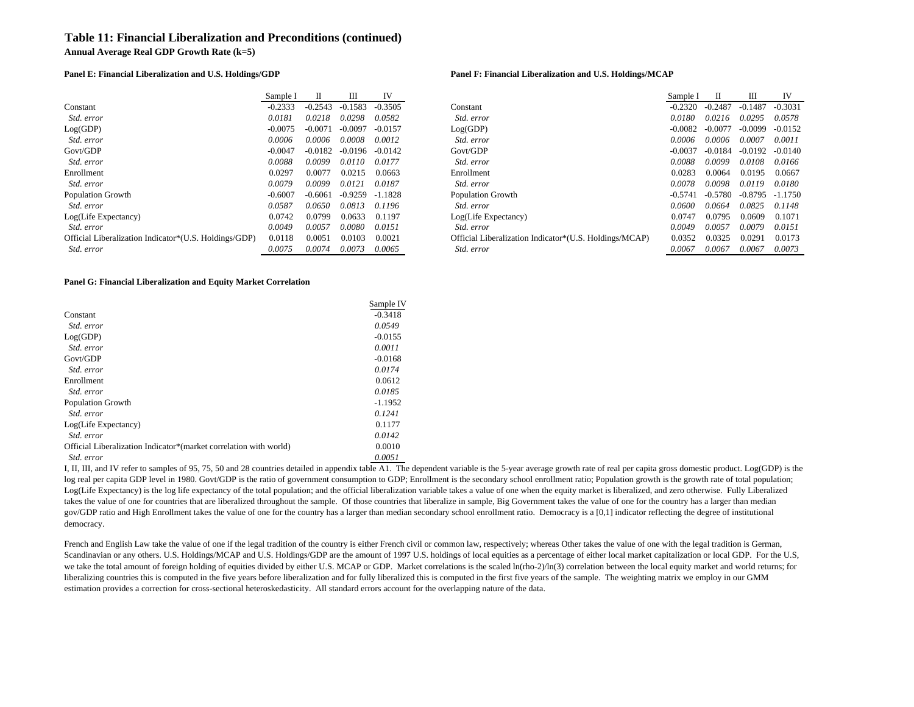### **Table 11: Financial Liberalization and Preconditions (continued)**

**Annual Average Real GDP Growth Rate (k=5)**

### **Panel E: Financial Liberalization and U.S. Holdings/GDP Panel F: Financial Liberalization and U.S. Holdings/MCAP**

|                                                       | Sample I  | Н         | Ш         | IV        |
|-------------------------------------------------------|-----------|-----------|-----------|-----------|
| Constant                                              | $-0.2333$ | $-0.2543$ | $-0.1583$ | $-0.3505$ |
| <i>Std. error</i>                                     | 0.0181    | 0.0218    | 0.0298    | 0.0582    |
| Log(GDP)                                              | $-0.0075$ | $-0.0071$ | $-0.0097$ | $-0.0157$ |
| <i>Std. error</i>                                     | 0.0006    | 0.0006    | 0.0008    | 0.0012    |
| Govt/GDP                                              | $-0.0047$ | $-0.0182$ | $-0.0196$ | $-0.0142$ |
| Std. error                                            | 0.0088    | 0.0099    | 0.0110    | 0.0177    |
| Enrollment                                            | 0.0297    | 0.0077    | 0.0215    | 0.0663    |
| Std. error                                            | 0.0079    | 0.0099    | 0.0121    | 0.0187    |
| <b>Population Growth</b>                              | $-0.6007$ | $-0.6061$ | $-0.9259$ | $-1.1828$ |
| Std. error                                            | 0.0587    | 0.0650    | 0.0813    | 0.1196    |
| Log(Life Expectancy)                                  | 0.0742    | 0.0799    | 0.0633    | 0.1197    |
| Std. error                                            | 0.0049    | 0.0057    | 0.0080    | 0.0151    |
| Official Liberalization Indicator*(U.S. Holdings/GDP) | 0.0118    | 0.0051    | 0.0103    | 0.0021    |
| Std. error                                            | 0.0075    | 0.0074    | 0.0073    | 0.0065    |

|                                                       | Sample I  |           | Ш         | IV        |                                                        | Sample I  |           | Ш         | IV        |
|-------------------------------------------------------|-----------|-----------|-----------|-----------|--------------------------------------------------------|-----------|-----------|-----------|-----------|
| Constant                                              | $-0.2333$ | $-0.2543$ | $-0.1583$ | $-0.3505$ | Constant                                               | $-0.2320$ | $-0.2487$ | $-0.1487$ | $-0.3031$ |
| Std. error                                            | 0.0181    | 0.0218    | 0.0298    | 0.0582    | Std. error                                             | 0.0180    | 0.0216    | 0.0295    | 0.0578    |
| Log(GDP)                                              | $-0.0075$ | $-0.0071$ | $-0.0097$ | $-0.0157$ | Log(GDP)                                               | $-0.0082$ | $-0.0077$ | $-0.0099$ | $-0.0152$ |
| Std. error                                            | 0.0006    | 0.0006    | 0.0008    | 0.0012    | Std. error                                             | 0.0006    | 0.0006    | 0.0007    | 0.0011    |
| Govt/GDP                                              | $-0.0047$ | $-0.0182$ | -0.0196   | $-0.0142$ | Govt/GDP                                               | $-0.0037$ | $-0.0184$ | $-0.0192$ | $-0.0140$ |
| Std. error                                            | 0.0088    | 0.0099    | 0.0110    | 0.0177    | Std. error                                             | 0.0088    | 0.0099    | 0.0108    | 0.0166    |
| Enrollment                                            | 0.0297    | 0.0077    | 0.0215    | 0.0663    | Enrollment                                             | 0.0283    | 0.0064    | 0.0195    | 0.0667    |
| Std. error                                            | 0.0079    | 0.0099    | 0.0121    | 0.0187    | Std. error                                             | 0.0078    | 0.0098    | 0.0119    | 0.0180    |
| Population Growth                                     | $-0.6007$ | $-0.6061$ | $-0.9259$ | -1.1828   | <b>Population Growth</b>                               | $-0.5741$ | -0.5780   | -0.8795   | $-1.1750$ |
| Std. error                                            | 0.0587    | 0.0650    | 0.0813    | 0.1196    | Std. error                                             | 0.0600    | 0.0664    | 0.0825    | 0.1148    |
| Log(Life Expectancy)                                  | 0.0742    | 0.0799    | 0.0633    | 0.1197    | Log(Life Expectancy)                                   | 0.0747    | 0.0795    | 0.0609    | 0.1071    |
| Std. error                                            | 0.0049    | 0.0057    | 0.0080    | 0.0151    | Std. error                                             | 0.0049    | 0.0057    | 0.0079    | 0.0151    |
| Official Liberalization Indicator*(U.S. Holdings/GDP) | 0.0118    | 0.0051    | 0.0103    | 0.0021    | Official Liberalization Indicator*(U.S. Holdings/MCAP) | 0.0352    | 0.0325    | 0.0291    | 0.0173    |
| Std. error                                            | 0.0075    | 0.0074    | 0.0073    | 0.0065    | Std. error                                             | 0.0067    | 0.0067    | 0.0067    | 0.0073    |

### **Panel G: Financial Liberalization and Equity Market Correlation**

|                                                                   | Sample IV |
|-------------------------------------------------------------------|-----------|
| Constant                                                          | $-0.3418$ |
| Std. error                                                        | 0.0549    |
| Log(GDP)                                                          | $-0.0155$ |
| Std. error                                                        | 0.0011    |
| Govt/GDP                                                          | $-0.0168$ |
| Std. error                                                        | 0.0174    |
| Enrollment                                                        | 0.0612    |
| Std. error                                                        | 0.0185    |
| <b>Population Growth</b>                                          | $-1.1952$ |
| Std. error                                                        | 0.1241    |
| Log(Life Expectancy)                                              | 0.1177    |
| Std. error                                                        | 0.0142    |
| Official Liberalization Indicator*(market correlation with world) | 0.0010    |
| Std. error                                                        | 0.0051    |

I, II, III, and IV refer to samples of 95, 75, 50 and 28 countries detailed in appendix table A1. The dependent variable is the 5-year average growth rate of real per capita gross domestic product. Log(GDP) is the log real per capita GDP level in 1980. Govt/GDP is the ratio of government consumption to GDP; Enrollment is the secondary school enrollment ratio; Population growth is the growth rate of total population; Log(Life Expectancy) is the log life expectancy of the total population; and the official liberalization variable takes a value of one when the equity market is liberalized, and zero otherwise. Fully Liberalized takes the value of one for countries that are liberalized throughout the sample. Of those countries that liberalize in sample, Big Government takes the value of one for the country has a larger than median gov/GDP ratio and High Enrollment takes the value of one for the country has a larger than median secondary school enrollment ratio. Democracy is a [0,1] indicator reflecting the degree of institutional democracy.

French and English Law take the value of one if the legal tradition of the country is either French civil or common law, respectively; whereas Other takes the value of one with the legal tradition is German, Scandinavian or any others. U.S. Holdings/MCAP and U.S. Holdings/GDP are the amount of 1997 U.S. holdings of local equities as a percentage of either local market capitalization or local GDP. For the U.S, we take the total amount of foreign holding of equities divided by either U.S. MCAP or GDP. Market correlations is the scaled ln(rho-2)/ln(3) correlation between the local equity market and world returns; for liberalizing countries this is computed in the five years before liberalization and for fully liberalized this is computed in the first five years of the sample. The weighting matrix we employ in our GMM estimation provides a correction for cross-sectional heteroskedasticity. All standard errors account for the overlapping nature of the data.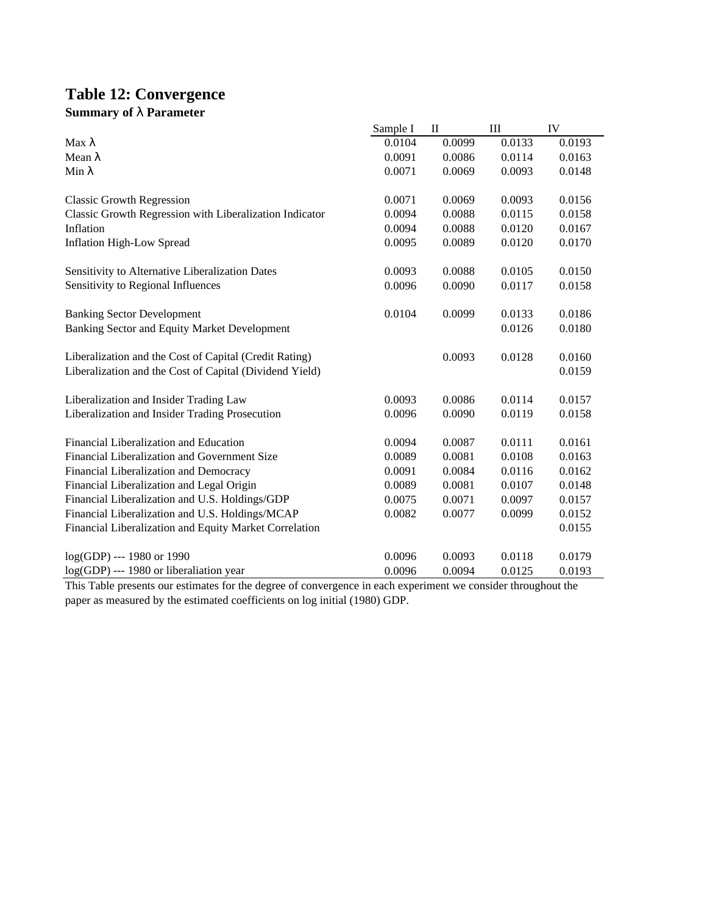# **Table 12: Convergence Summary of l Parameter**

|                                                         | Sample I | $\mathbf{I}$ | III    | IV     |
|---------------------------------------------------------|----------|--------------|--------|--------|
| Max <sub>λ</sub>                                        | 0.0104   | 0.0099       | 0.0133 | 0.0193 |
| Mean $\lambda$                                          | 0.0091   | 0.0086       | 0.0114 | 0.0163 |
| Min $\lambda$                                           | 0.0071   | 0.0069       | 0.0093 | 0.0148 |
| <b>Classic Growth Regression</b>                        | 0.0071   | 0.0069       | 0.0093 | 0.0156 |
| Classic Growth Regression with Liberalization Indicator | 0.0094   | 0.0088       | 0.0115 | 0.0158 |
| Inflation                                               | 0.0094   | 0.0088       | 0.0120 | 0.0167 |
| <b>Inflation High-Low Spread</b>                        | 0.0095   | 0.0089       | 0.0120 | 0.0170 |
| Sensitivity to Alternative Liberalization Dates         | 0.0093   | 0.0088       | 0.0105 | 0.0150 |
| Sensitivity to Regional Influences                      | 0.0096   | 0.0090       | 0.0117 | 0.0158 |
| <b>Banking Sector Development</b>                       | 0.0104   | 0.0099       | 0.0133 | 0.0186 |
| Banking Sector and Equity Market Development            |          |              | 0.0126 | 0.0180 |
| Liberalization and the Cost of Capital (Credit Rating)  |          | 0.0093       | 0.0128 | 0.0160 |
| Liberalization and the Cost of Capital (Dividend Yield) |          |              |        | 0.0159 |
| Liberalization and Insider Trading Law                  | 0.0093   | 0.0086       | 0.0114 | 0.0157 |
| Liberalization and Insider Trading Prosecution          | 0.0096   | 0.0090       | 0.0119 | 0.0158 |
| Financial Liberalization and Education                  | 0.0094   | 0.0087       | 0.0111 | 0.0161 |
| Financial Liberalization and Government Size            | 0.0089   | 0.0081       | 0.0108 | 0.0163 |
| Financial Liberalization and Democracy                  | 0.0091   | 0.0084       | 0.0116 | 0.0162 |
| Financial Liberalization and Legal Origin               | 0.0089   | 0.0081       | 0.0107 | 0.0148 |
| Financial Liberalization and U.S. Holdings/GDP          | 0.0075   | 0.0071       | 0.0097 | 0.0157 |
| Financial Liberalization and U.S. Holdings/MCAP         | 0.0082   | 0.0077       | 0.0099 | 0.0152 |
| Financial Liberalization and Equity Market Correlation  |          |              |        | 0.0155 |
| log(GDP) --- 1980 or 1990                               | 0.0096   | 0.0093       | 0.0118 | 0.0179 |
| log(GDP) --- 1980 or liberaliation year                 | 0.0096   | 0.0094       | 0.0125 | 0.0193 |

This Table presents our estimates for the degree of convergence in each experiment we consider throughout the paper as measured by the estimated coefficients on log initial (1980) GDP.